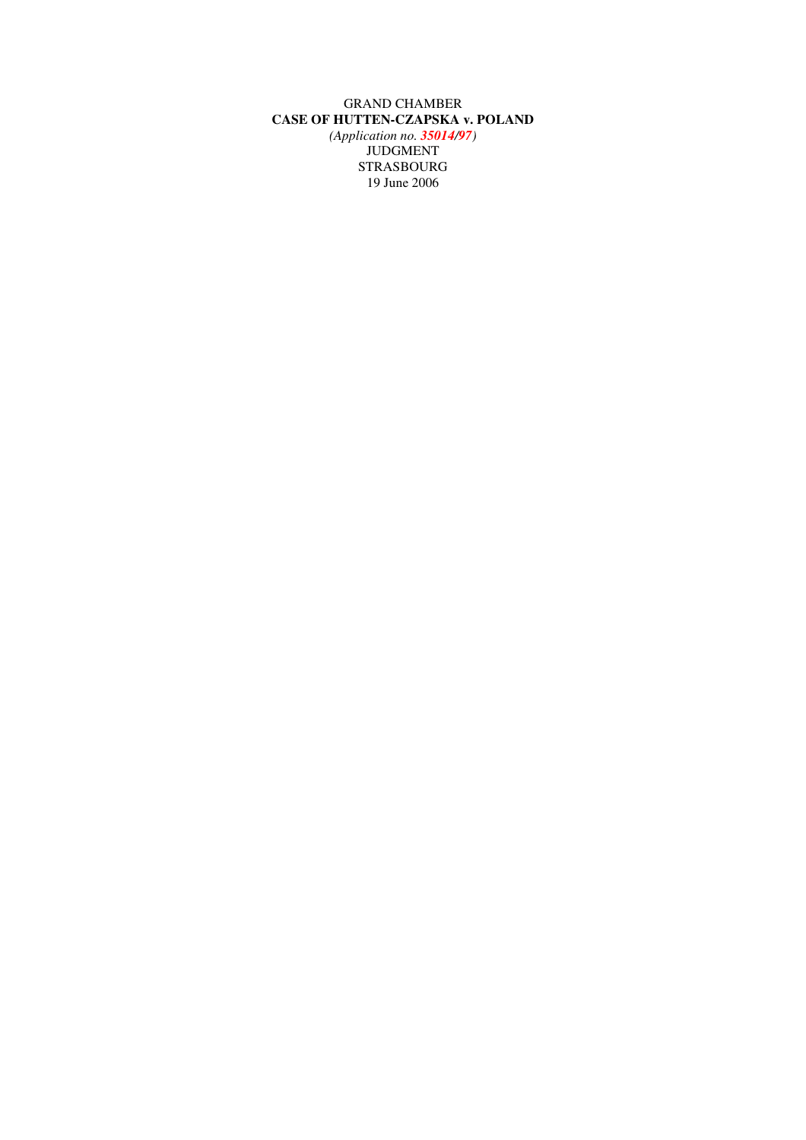## GRAND CHAMBER **CASE OF HUTTEN-CZAPSKA v. POLAND** *(Application no. 35014/97)* JUDGMENT STRASBOURG 19 June 2006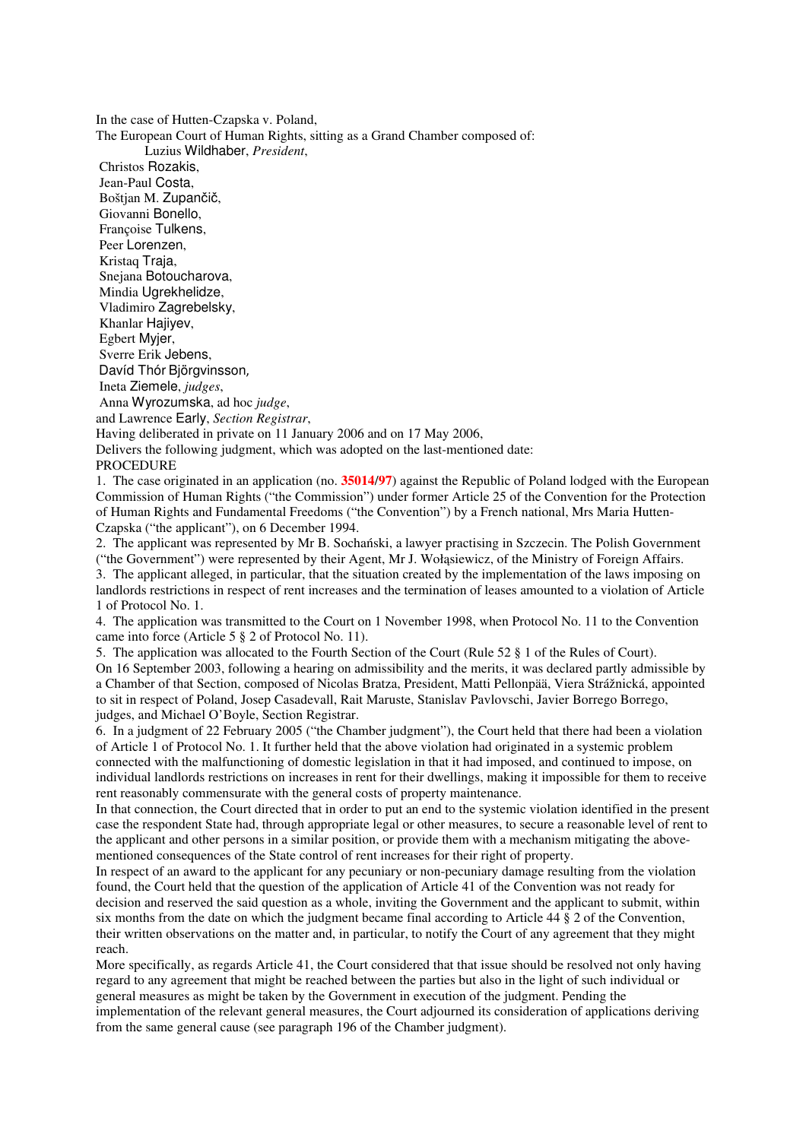In the case of Hutten-Czapska v. Poland, The European Court of Human Rights, sitting as a Grand Chamber composed of: Luzius Wildhaber, *President*, Christos Rozakis, Jean-Paul Costa, Boštjan M. Zupančič, Giovanni Bonello, Françoise Tulkens, Peer Lorenzen, Kristaq Traja, Snejana Botoucharova, Mindia Ugrekhelidze, Vladimiro Zagrebelsky, Khanlar Haiivev, Egbert Myjer, Sverre Erik Jebens, Davíd Thór Björgvinsson, Ineta Ziemele, *judges*, Anna Wyrozumska, ad hoc *judge*, and Lawrence Early, *Section Registrar*, Having deliberated in private on 11 January 2006 and on 17 May 2006, Delivers the following judgment, which was adopted on the last-mentioned date: PROCEDURE

1. The case originated in an application (no. **35014**/**97**) against the Republic of Poland lodged with the European Commission of Human Rights ("the Commission") under former Article 25 of the Convention for the Protection of Human Rights and Fundamental Freedoms ("the Convention") by a French national, Mrs Maria Hutten-Czapska ("the applicant"), on 6 December 1994.

2. The applicant was represented by Mr B. Sochański, a lawyer practising in Szczecin. The Polish Government ("the Government") were represented by their Agent, Mr J. Wołąsiewicz, of the Ministry of Foreign Affairs.

3. The applicant alleged, in particular, that the situation created by the implementation of the laws imposing on landlords restrictions in respect of rent increases and the termination of leases amounted to a violation of Article 1 of Protocol No. 1.

4. The application was transmitted to the Court on 1 November 1998, when Protocol No. 11 to the Convention came into force (Article 5 § 2 of Protocol No. 11).

5. The application was allocated to the Fourth Section of the Court (Rule 52 § 1 of the Rules of Court). On 16 September 2003, following a hearing on admissibility and the merits, it was declared partly admissible by a Chamber of that Section, composed of Nicolas Bratza, President, Matti Pellonpää, Viera Strážnická, appointed to sit in respect of Poland, Josep Casadevall, Rait Maruste, Stanislav Pavlovschi, Javier Borrego Borrego, judges, and Michael O'Boyle, Section Registrar.

6. In a judgment of 22 February 2005 ("the Chamber judgment"), the Court held that there had been a violation of Article 1 of Protocol No. 1. It further held that the above violation had originated in a systemic problem connected with the malfunctioning of domestic legislation in that it had imposed, and continued to impose, on individual landlords restrictions on increases in rent for their dwellings, making it impossible for them to receive rent reasonably commensurate with the general costs of property maintenance.

In that connection, the Court directed that in order to put an end to the systemic violation identified in the present case the respondent State had, through appropriate legal or other measures, to secure a reasonable level of rent to the applicant and other persons in a similar position, or provide them with a mechanism mitigating the abovementioned consequences of the State control of rent increases for their right of property.

In respect of an award to the applicant for any pecuniary or non-pecuniary damage resulting from the violation found, the Court held that the question of the application of Article 41 of the Convention was not ready for decision and reserved the said question as a whole, inviting the Government and the applicant to submit, within six months from the date on which the judgment became final according to Article 44 § 2 of the Convention, their written observations on the matter and, in particular, to notify the Court of any agreement that they might reach.

More specifically, as regards Article 41, the Court considered that that issue should be resolved not only having regard to any agreement that might be reached between the parties but also in the light of such individual or general measures as might be taken by the Government in execution of the judgment. Pending the implementation of the relevant general measures, the Court adjourned its consideration of applications deriving from the same general cause (see paragraph 196 of the Chamber judgment).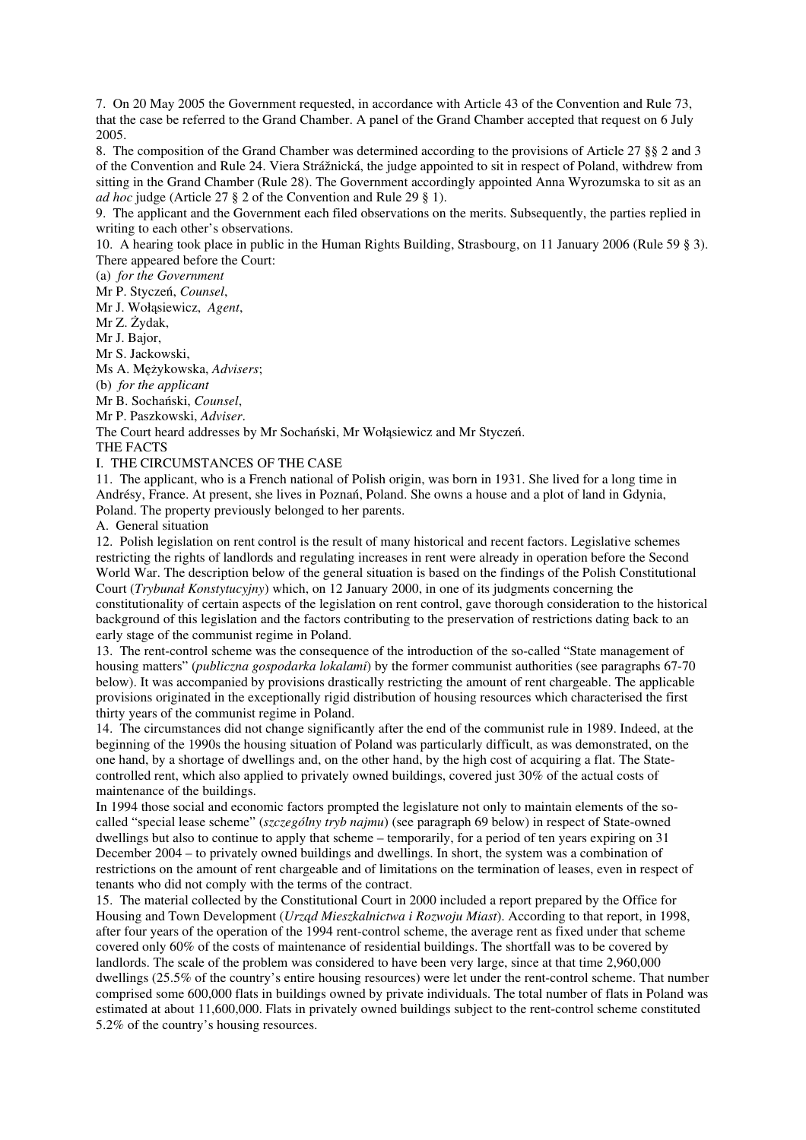7. On 20 May 2005 the Government requested, in accordance with Article 43 of the Convention and Rule 73, that the case be referred to the Grand Chamber. A panel of the Grand Chamber accepted that request on 6 July 2005.

8. The composition of the Grand Chamber was determined according to the provisions of Article 27 §§ 2 and 3 of the Convention and Rule 24. Viera Strážnická, the judge appointed to sit in respect of Poland, withdrew from sitting in the Grand Chamber (Rule 28). The Government accordingly appointed Anna Wyrozumska to sit as an *ad hoc* judge (Article 27 § 2 of the Convention and Rule 29 § 1).

9. The applicant and the Government each filed observations on the merits. Subsequently, the parties replied in writing to each other's observations.

10. A hearing took place in public in the Human Rights Building, Strasbourg, on 11 January 2006 (Rule 59 § 3). There appeared before the Court:

(a) *for the Government*

Mr P. Styczeń, *Counsel*,

Mr J. Wołąsiewicz, *Agent*,

Mr Z. Żydak,

Mr J. Bajor,

Mr S. Jackowski,

Ms A. Mężykowska, *Advisers*;

(b) *for the applicant*

Mr B. Sochański, *Counsel*,

Mr P. Paszkowski, *Adviser*.

The Court heard addresses by Mr Sochański, Mr Wołąsiewicz and Mr Styczeń. THE FACTS

I. THE CIRCUMSTANCES OF THE CASE

11. The applicant, who is a French national of Polish origin, was born in 1931. She lived for a long time in Andrésy, France. At present, she lives in Poznań, Poland. She owns a house and a plot of land in Gdynia, Poland. The property previously belonged to her parents.

A. General situation

12. Polish legislation on rent control is the result of many historical and recent factors. Legislative schemes restricting the rights of landlords and regulating increases in rent were already in operation before the Second World War. The description below of the general situation is based on the findings of the Polish Constitutional Court (*Trybunał Konstytucyjny*) which, on 12 January 2000, in one of its judgments concerning the constitutionality of certain aspects of the legislation on rent control, gave thorough consideration to the historical background of this legislation and the factors contributing to the preservation of restrictions dating back to an early stage of the communist regime in Poland.

13. The rent-control scheme was the consequence of the introduction of the so-called "State management of housing matters" (*publiczna gospodarka lokalami*) by the former communist authorities (see paragraphs 67-70 below). It was accompanied by provisions drastically restricting the amount of rent chargeable. The applicable provisions originated in the exceptionally rigid distribution of housing resources which characterised the first thirty years of the communist regime in Poland.

14. The circumstances did not change significantly after the end of the communist rule in 1989. Indeed, at the beginning of the 1990s the housing situation of Poland was particularly difficult, as was demonstrated, on the one hand, by a shortage of dwellings and, on the other hand, by the high cost of acquiring a flat. The Statecontrolled rent, which also applied to privately owned buildings, covered just 30% of the actual costs of maintenance of the buildings.

In 1994 those social and economic factors prompted the legislature not only to maintain elements of the socalled "special lease scheme" (*szczególny tryb najmu*) (see paragraph 69 below) in respect of State-owned dwellings but also to continue to apply that scheme – temporarily, for a period of ten years expiring on 31 December 2004 – to privately owned buildings and dwellings. In short, the system was a combination of restrictions on the amount of rent chargeable and of limitations on the termination of leases, even in respect of tenants who did not comply with the terms of the contract.

15. The material collected by the Constitutional Court in 2000 included a report prepared by the Office for Housing and Town Development (*Urz*ą*d Mieszkalnictwa i Rozwoju Miast*). According to that report, in 1998, after four years of the operation of the 1994 rent-control scheme, the average rent as fixed under that scheme covered only 60% of the costs of maintenance of residential buildings. The shortfall was to be covered by landlords. The scale of the problem was considered to have been very large, since at that time 2,960,000 dwellings (25.5% of the country's entire housing resources) were let under the rent-control scheme. That number comprised some 600,000 flats in buildings owned by private individuals. The total number of flats in Poland was estimated at about 11,600,000. Flats in privately owned buildings subject to the rent-control scheme constituted 5.2% of the country's housing resources.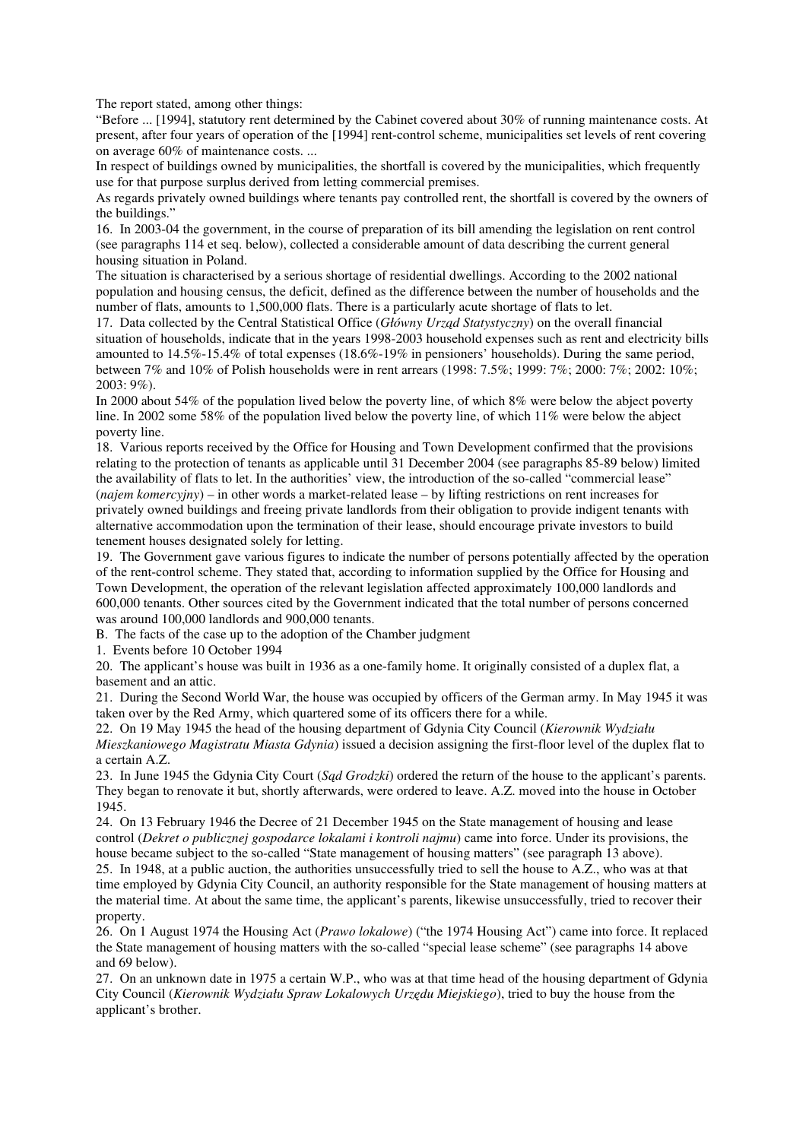The report stated, among other things:

"Before ... [1994], statutory rent determined by the Cabinet covered about 30% of running maintenance costs. At present, after four years of operation of the [1994] rent-control scheme, municipalities set levels of rent covering on average 60% of maintenance costs. ...

In respect of buildings owned by municipalities, the shortfall is covered by the municipalities, which frequently use for that purpose surplus derived from letting commercial premises.

As regards privately owned buildings where tenants pay controlled rent, the shortfall is covered by the owners of the buildings."

16. In 2003-04 the government, in the course of preparation of its bill amending the legislation on rent control (see paragraphs 114 et seq. below), collected a considerable amount of data describing the current general housing situation in Poland.

The situation is characterised by a serious shortage of residential dwellings. According to the 2002 national population and housing census, the deficit, defined as the difference between the number of households and the number of flats, amounts to 1,500,000 flats. There is a particularly acute shortage of flats to let.

17. Data collected by the Central Statistical Office (*Główny Urz*ą*d Statystyczny*) on the overall financial situation of households, indicate that in the years 1998-2003 household expenses such as rent and electricity bills amounted to 14.5%-15.4% of total expenses (18.6%-19% in pensioners' households). During the same period, between 7% and 10% of Polish households were in rent arrears (1998: 7.5%; 1999: 7%; 2000: 7%; 2002: 10%; 2003: 9%).

In 2000 about 54% of the population lived below the poverty line, of which 8% were below the abject poverty line. In 2002 some 58% of the population lived below the poverty line, of which 11% were below the abject poverty line.

18. Various reports received by the Office for Housing and Town Development confirmed that the provisions relating to the protection of tenants as applicable until 31 December 2004 (see paragraphs 85-89 below) limited the availability of flats to let. In the authorities' view, the introduction of the so-called "commercial lease" (*najem komercyjny*) – in other words a market-related lease – by lifting restrictions on rent increases for privately owned buildings and freeing private landlords from their obligation to provide indigent tenants with alternative accommodation upon the termination of their lease, should encourage private investors to build tenement houses designated solely for letting.

19. The Government gave various figures to indicate the number of persons potentially affected by the operation of the rent-control scheme. They stated that, according to information supplied by the Office for Housing and Town Development, the operation of the relevant legislation affected approximately 100,000 landlords and 600,000 tenants. Other sources cited by the Government indicated that the total number of persons concerned was around 100,000 landlords and 900,000 tenants.

B. The facts of the case up to the adoption of the Chamber judgment

1. Events before 10 October 1994

20. The applicant's house was built in 1936 as a one-family home. It originally consisted of a duplex flat, a basement and an attic.

21. During the Second World War, the house was occupied by officers of the German army. In May 1945 it was taken over by the Red Army, which quartered some of its officers there for a while.

22. On 19 May 1945 the head of the housing department of Gdynia City Council (*Kierownik Wydziału Mieszkaniowego Magistratu Miasta Gdynia*) issued a decision assigning the first-floor level of the duplex flat to a certain A.Z.

23. In June 1945 the Gdynia City Court (*S*ą*d Grodzki*) ordered the return of the house to the applicant's parents. They began to renovate it but, shortly afterwards, were ordered to leave. A.Z. moved into the house in October 1945.

24. On 13 February 1946 the Decree of 21 December 1945 on the State management of housing and lease control (*Dekret o publicznej gospodarce lokalami i kontroli najmu*) came into force. Under its provisions, the house became subject to the so-called "State management of housing matters" (see paragraph 13 above).

25. In 1948, at a public auction, the authorities unsuccessfully tried to sell the house to A.Z., who was at that time employed by Gdynia City Council, an authority responsible for the State management of housing matters at the material time. At about the same time, the applicant's parents, likewise unsuccessfully, tried to recover their property.

26. On 1 August 1974 the Housing Act (*Prawo lokalowe*) ("the 1974 Housing Act") came into force. It replaced the State management of housing matters with the so-called "special lease scheme" (see paragraphs 14 above and 69 below).

27. On an unknown date in 1975 a certain W.P., who was at that time head of the housing department of Gdynia City Council (*Kierownik Wydziału Spraw Lokalowych Urz*ę*du Miejskiego*), tried to buy the house from the applicant's brother.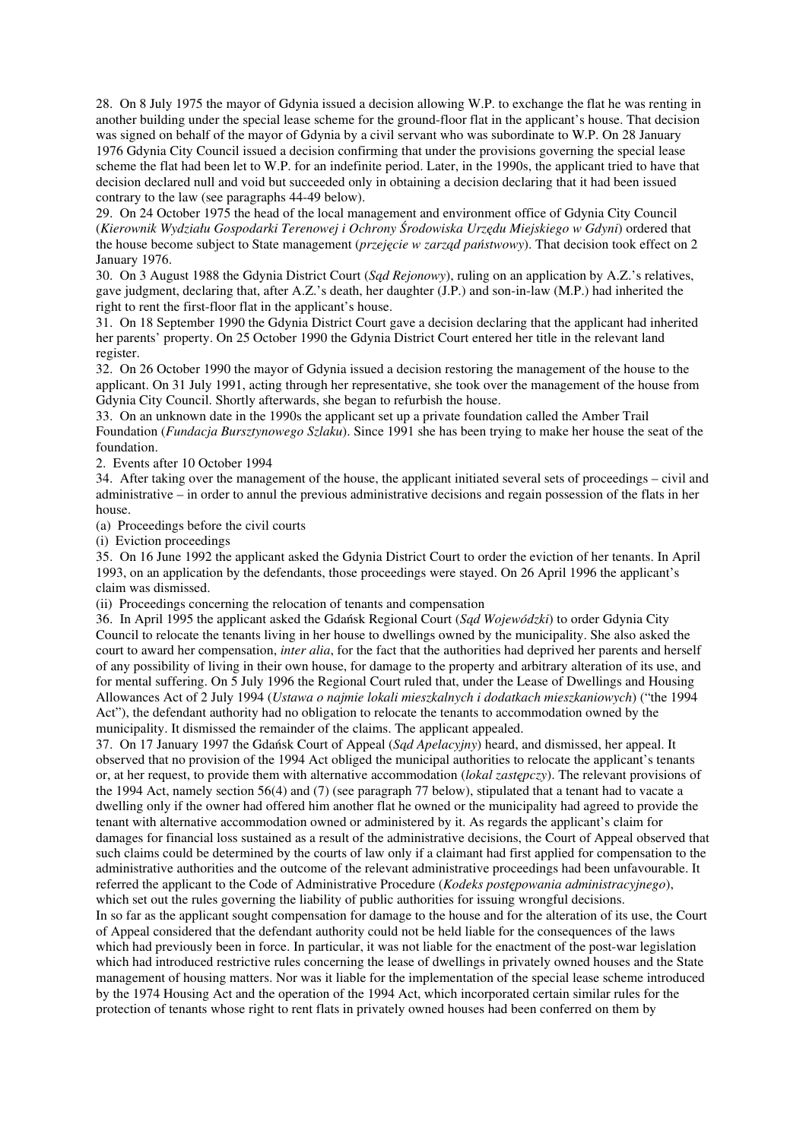28. On 8 July 1975 the mayor of Gdynia issued a decision allowing W.P. to exchange the flat he was renting in another building under the special lease scheme for the ground-floor flat in the applicant's house. That decision was signed on behalf of the mayor of Gdynia by a civil servant who was subordinate to W.P. On 28 January 1976 Gdynia City Council issued a decision confirming that under the provisions governing the special lease scheme the flat had been let to W.P. for an indefinite period. Later, in the 1990s, the applicant tried to have that decision declared null and void but succeeded only in obtaining a decision declaring that it had been issued contrary to the law (see paragraphs 44-49 below).

29. On 24 October 1975 the head of the local management and environment office of Gdynia City Council (*Kierownik Wydziału Gospodarki Terenowej i Ochrony* Ś*rodowiska Urz*ę*du Miejskiego w Gdyni*) ordered that the house become subject to State management (*przej*ę*cie w zarz*ą*d pa*ń*stwowy*). That decision took effect on 2 January 1976.

30. On 3 August 1988 the Gdynia District Court (*S*ą*d Rejonowy*), ruling on an application by A.Z.'s relatives, gave judgment, declaring that, after A.Z.'s death, her daughter (J.P.) and son-in-law (M.P.) had inherited the right to rent the first-floor flat in the applicant's house.

31. On 18 September 1990 the Gdynia District Court gave a decision declaring that the applicant had inherited her parents' property. On 25 October 1990 the Gdynia District Court entered her title in the relevant land register.

32. On 26 October 1990 the mayor of Gdynia issued a decision restoring the management of the house to the applicant. On 31 July 1991, acting through her representative, she took over the management of the house from Gdynia City Council. Shortly afterwards, she began to refurbish the house.

33. On an unknown date in the 1990s the applicant set up a private foundation called the Amber Trail Foundation (*Fundacja Bursztynowego Szlaku*). Since 1991 she has been trying to make her house the seat of the foundation.

2. Events after 10 October 1994

34. After taking over the management of the house, the applicant initiated several sets of proceedings – civil and administrative – in order to annul the previous administrative decisions and regain possession of the flats in her house.

(a) Proceedings before the civil courts

(i) Eviction proceedings

35. On 16 June 1992 the applicant asked the Gdynia District Court to order the eviction of her tenants. In April 1993, on an application by the defendants, those proceedings were stayed. On 26 April 1996 the applicant's claim was dismissed.

(ii) Proceedings concerning the relocation of tenants and compensation

36. In April 1995 the applicant asked the Gdańsk Regional Court (*S*ą*d Wojewódzki*) to order Gdynia City Council to relocate the tenants living in her house to dwellings owned by the municipality. She also asked the court to award her compensation, *inter alia*, for the fact that the authorities had deprived her parents and herself of any possibility of living in their own house, for damage to the property and arbitrary alteration of its use, and for mental suffering. On 5 July 1996 the Regional Court ruled that, under the Lease of Dwellings and Housing Allowances Act of 2 July 1994 (*Ustawa o najmie lokali mieszkalnych i dodatkach mieszkaniowych*) ("the 1994 Act"), the defendant authority had no obligation to relocate the tenants to accommodation owned by the municipality. It dismissed the remainder of the claims. The applicant appealed.

37. On 17 January 1997 the Gdańsk Court of Appeal (*S*ą*d Apelacyjny*) heard, and dismissed, her appeal. It observed that no provision of the 1994 Act obliged the municipal authorities to relocate the applicant's tenants or, at her request, to provide them with alternative accommodation (*lokal zast*ę*pczy*). The relevant provisions of the 1994 Act, namely section 56(4) and (7) (see paragraph 77 below), stipulated that a tenant had to vacate a dwelling only if the owner had offered him another flat he owned or the municipality had agreed to provide the tenant with alternative accommodation owned or administered by it. As regards the applicant's claim for damages for financial loss sustained as a result of the administrative decisions, the Court of Appeal observed that such claims could be determined by the courts of law only if a claimant had first applied for compensation to the administrative authorities and the outcome of the relevant administrative proceedings had been unfavourable. It referred the applicant to the Code of Administrative Procedure (*Kodeks post*ę*powania administracyjnego*), which set out the rules governing the liability of public authorities for issuing wrongful decisions.

In so far as the applicant sought compensation for damage to the house and for the alteration of its use, the Court of Appeal considered that the defendant authority could not be held liable for the consequences of the laws which had previously been in force. In particular, it was not liable for the enactment of the post-war legislation which had introduced restrictive rules concerning the lease of dwellings in privately owned houses and the State management of housing matters. Nor was it liable for the implementation of the special lease scheme introduced by the 1974 Housing Act and the operation of the 1994 Act, which incorporated certain similar rules for the protection of tenants whose right to rent flats in privately owned houses had been conferred on them by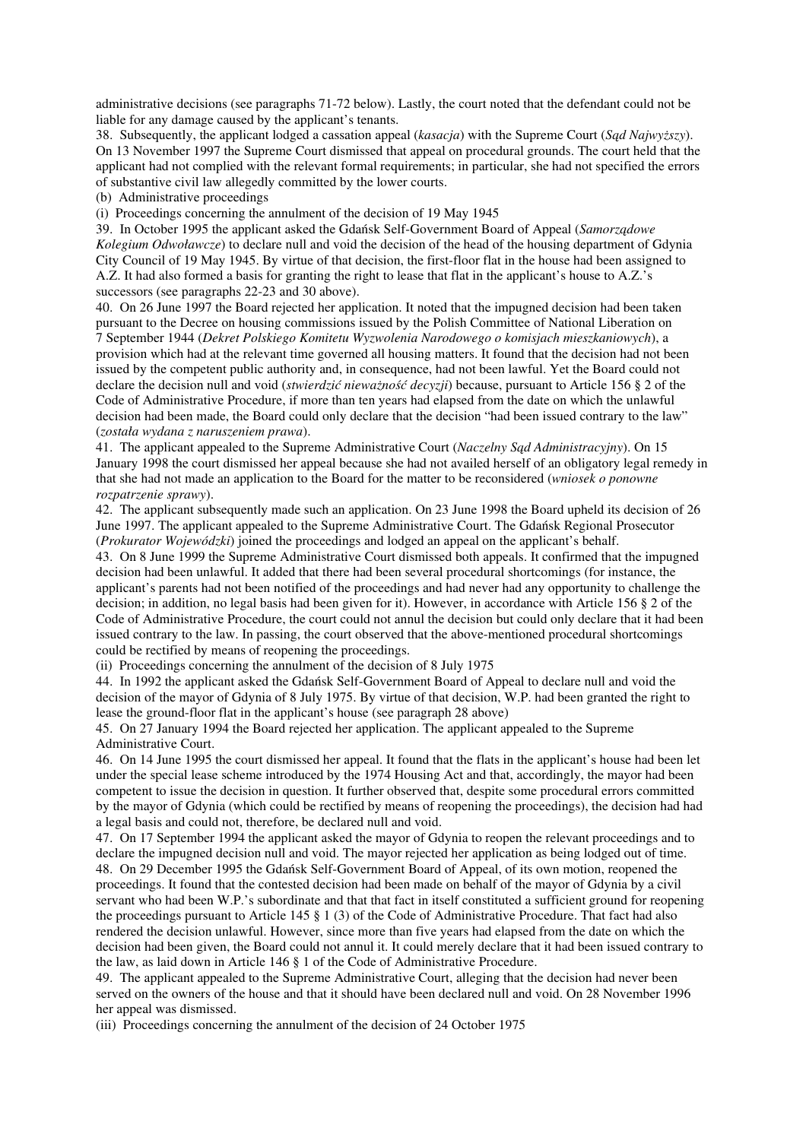administrative decisions (see paragraphs 71-72 below). Lastly, the court noted that the defendant could not be liable for any damage caused by the applicant's tenants.

38. Subsequently, the applicant lodged a cassation appeal (*kasacja*) with the Supreme Court (*S*ą*d Najwy*ż*szy*). On 13 November 1997 the Supreme Court dismissed that appeal on procedural grounds. The court held that the applicant had not complied with the relevant formal requirements; in particular, she had not specified the errors of substantive civil law allegedly committed by the lower courts.

(b) Administrative proceedings

(i) Proceedings concerning the annulment of the decision of 19 May 1945

39. In October 1995 the applicant asked the Gdańsk Self-Government Board of Appeal (*Samorz*ą*dowe Kolegium Odwoławcze*) to declare null and void the decision of the head of the housing department of Gdynia City Council of 19 May 1945. By virtue of that decision, the first-floor flat in the house had been assigned to A.Z. It had also formed a basis for granting the right to lease that flat in the applicant's house to A.Z.'s successors (see paragraphs 22-23 and 30 above).

40. On 26 June 1997 the Board rejected her application. It noted that the impugned decision had been taken pursuant to the Decree on housing commissions issued by the Polish Committee of National Liberation on 7 September 1944 (*Dekret Polskiego Komitetu Wyzwolenia Narodowego o komisjach mieszkaniowych*), a provision which had at the relevant time governed all housing matters. It found that the decision had not been issued by the competent public authority and, in consequence, had not been lawful. Yet the Board could not declare the decision null and void (*stwierdzi*ć *niewa*ż*no*ść *decyzji*) because, pursuant to Article 156 § 2 of the Code of Administrative Procedure, if more than ten years had elapsed from the date on which the unlawful decision had been made, the Board could only declare that the decision "had been issued contrary to the law" (*została wydana z naruszeniem prawa*).

41. The applicant appealed to the Supreme Administrative Court (*Naczelny S*ą*d Administracyjny*). On 15 January 1998 the court dismissed her appeal because she had not availed herself of an obligatory legal remedy in that she had not made an application to the Board for the matter to be reconsidered (*wniosek o ponowne rozpatrzenie sprawy*).

42. The applicant subsequently made such an application. On 23 June 1998 the Board upheld its decision of 26 June 1997. The applicant appealed to the Supreme Administrative Court. The Gdańsk Regional Prosecutor (*Prokurator Wojewódzki*) joined the proceedings and lodged an appeal on the applicant's behalf.

43. On 8 June 1999 the Supreme Administrative Court dismissed both appeals. It confirmed that the impugned decision had been unlawful. It added that there had been several procedural shortcomings (for instance, the applicant's parents had not been notified of the proceedings and had never had any opportunity to challenge the decision; in addition, no legal basis had been given for it). However, in accordance with Article 156 § 2 of the Code of Administrative Procedure, the court could not annul the decision but could only declare that it had been issued contrary to the law. In passing, the court observed that the above-mentioned procedural shortcomings could be rectified by means of reopening the proceedings.

(ii) Proceedings concerning the annulment of the decision of 8 July 1975

44. In 1992 the applicant asked the Gdańsk Self-Government Board of Appeal to declare null and void the decision of the mayor of Gdynia of 8 July 1975. By virtue of that decision, W.P. had been granted the right to lease the ground-floor flat in the applicant's house (see paragraph 28 above)

45. On 27 January 1994 the Board rejected her application. The applicant appealed to the Supreme Administrative Court.

46. On 14 June 1995 the court dismissed her appeal. It found that the flats in the applicant's house had been let under the special lease scheme introduced by the 1974 Housing Act and that, accordingly, the mayor had been competent to issue the decision in question. It further observed that, despite some procedural errors committed by the mayor of Gdynia (which could be rectified by means of reopening the proceedings), the decision had had a legal basis and could not, therefore, be declared null and void.

47. On 17 September 1994 the applicant asked the mayor of Gdynia to reopen the relevant proceedings and to declare the impugned decision null and void. The mayor rejected her application as being lodged out of time. 48. On 29 December 1995 the Gdańsk Self-Government Board of Appeal, of its own motion, reopened the proceedings. It found that the contested decision had been made on behalf of the mayor of Gdynia by a civil servant who had been W.P.'s subordinate and that that fact in itself constituted a sufficient ground for reopening the proceedings pursuant to Article 145 § 1 (3) of the Code of Administrative Procedure. That fact had also rendered the decision unlawful. However, since more than five years had elapsed from the date on which the decision had been given, the Board could not annul it. It could merely declare that it had been issued contrary to the law, as laid down in Article 146 § 1 of the Code of Administrative Procedure.

49. The applicant appealed to the Supreme Administrative Court, alleging that the decision had never been served on the owners of the house and that it should have been declared null and void. On 28 November 1996 her appeal was dismissed.

(iii) Proceedings concerning the annulment of the decision of 24 October 1975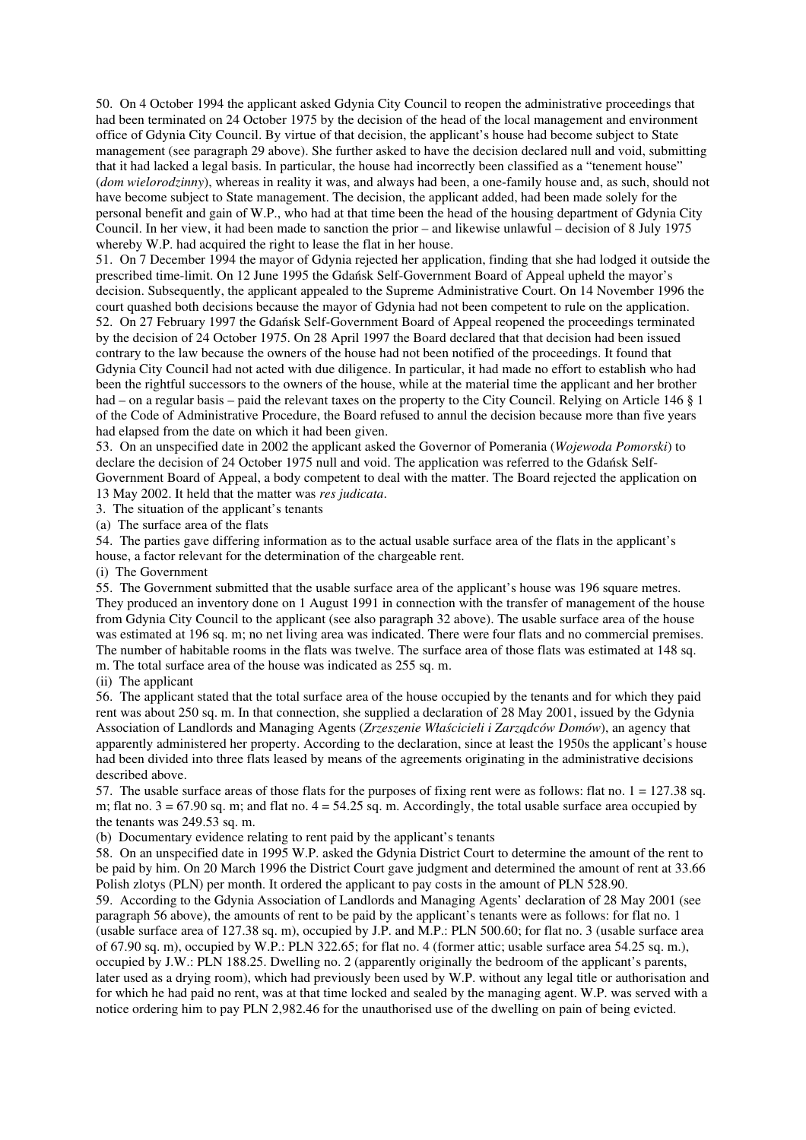50. On 4 October 1994 the applicant asked Gdynia City Council to reopen the administrative proceedings that had been terminated on 24 October 1975 by the decision of the head of the local management and environment office of Gdynia City Council. By virtue of that decision, the applicant's house had become subject to State management (see paragraph 29 above). She further asked to have the decision declared null and void, submitting that it had lacked a legal basis. In particular, the house had incorrectly been classified as a "tenement house" (*dom wielorodzinny*), whereas in reality it was, and always had been, a one-family house and, as such, should not have become subject to State management. The decision, the applicant added, had been made solely for the personal benefit and gain of W.P., who had at that time been the head of the housing department of Gdynia City Council. In her view, it had been made to sanction the prior – and likewise unlawful – decision of 8 July 1975 whereby W.P. had acquired the right to lease the flat in her house.

51. On 7 December 1994 the mayor of Gdynia rejected her application, finding that she had lodged it outside the prescribed time-limit. On 12 June 1995 the Gdańsk Self-Government Board of Appeal upheld the mayor's decision. Subsequently, the applicant appealed to the Supreme Administrative Court. On 14 November 1996 the court quashed both decisions because the mayor of Gdynia had not been competent to rule on the application. 52. On 27 February 1997 the Gdańsk Self-Government Board of Appeal reopened the proceedings terminated by the decision of 24 October 1975. On 28 April 1997 the Board declared that that decision had been issued contrary to the law because the owners of the house had not been notified of the proceedings. It found that Gdynia City Council had not acted with due diligence. In particular, it had made no effort to establish who had been the rightful successors to the owners of the house, while at the material time the applicant and her brother had – on a regular basis – paid the relevant taxes on the property to the City Council. Relying on Article 146 § 1 of the Code of Administrative Procedure, the Board refused to annul the decision because more than five years had elapsed from the date on which it had been given.

53. On an unspecified date in 2002 the applicant asked the Governor of Pomerania (*Wojewoda Pomorski*) to declare the decision of 24 October 1975 null and void. The application was referred to the Gdańsk Self-Government Board of Appeal, a body competent to deal with the matter. The Board rejected the application on 13 May 2002. It held that the matter was *res judicata*.

3. The situation of the applicant's tenants

(a) The surface area of the flats

54. The parties gave differing information as to the actual usable surface area of the flats in the applicant's house, a factor relevant for the determination of the chargeable rent.

(i) The Government

55. The Government submitted that the usable surface area of the applicant's house was 196 square metres. They produced an inventory done on 1 August 1991 in connection with the transfer of management of the house from Gdynia City Council to the applicant (see also paragraph 32 above). The usable surface area of the house was estimated at 196 sq. m; no net living area was indicated. There were four flats and no commercial premises. The number of habitable rooms in the flats was twelve. The surface area of those flats was estimated at 148 sq. m. The total surface area of the house was indicated as 255 sq. m.

(ii) The applicant

56. The applicant stated that the total surface area of the house occupied by the tenants and for which they paid rent was about 250 sq. m. In that connection, she supplied a declaration of 28 May 2001, issued by the Gdynia Association of Landlords and Managing Agents (*Zrzeszenie Wła*ś*cicieli i Zarz*ą*dców Domów*), an agency that apparently administered her property. According to the declaration, since at least the 1950s the applicant's house had been divided into three flats leased by means of the agreements originating in the administrative decisions described above.

57. The usable surface areas of those flats for the purposes of fixing rent were as follows: flat no.  $1 = 127.38$  sq. m; flat no.  $3 = 67.90$  sq. m; and flat no.  $4 = 54.25$  sq. m. Accordingly, the total usable surface area occupied by the tenants was 249.53 sq. m.

(b) Documentary evidence relating to rent paid by the applicant's tenants

58. On an unspecified date in 1995 W.P. asked the Gdynia District Court to determine the amount of the rent to be paid by him. On 20 March 1996 the District Court gave judgment and determined the amount of rent at 33.66 Polish zlotys (PLN) per month. It ordered the applicant to pay costs in the amount of PLN 528.90.

59. According to the Gdynia Association of Landlords and Managing Agents' declaration of 28 May 2001 (see paragraph 56 above), the amounts of rent to be paid by the applicant's tenants were as follows: for flat no. 1 (usable surface area of 127.38 sq. m), occupied by J.P. and M.P.: PLN 500.60; for flat no. 3 (usable surface area of 67.90 sq. m), occupied by W.P.: PLN 322.65; for flat no. 4 (former attic; usable surface area 54.25 sq. m.), occupied by J.W.: PLN 188.25. Dwelling no. 2 (apparently originally the bedroom of the applicant's parents, later used as a drying room), which had previously been used by W.P. without any legal title or authorisation and for which he had paid no rent, was at that time locked and sealed by the managing agent. W.P. was served with a notice ordering him to pay PLN 2,982.46 for the unauthorised use of the dwelling on pain of being evicted.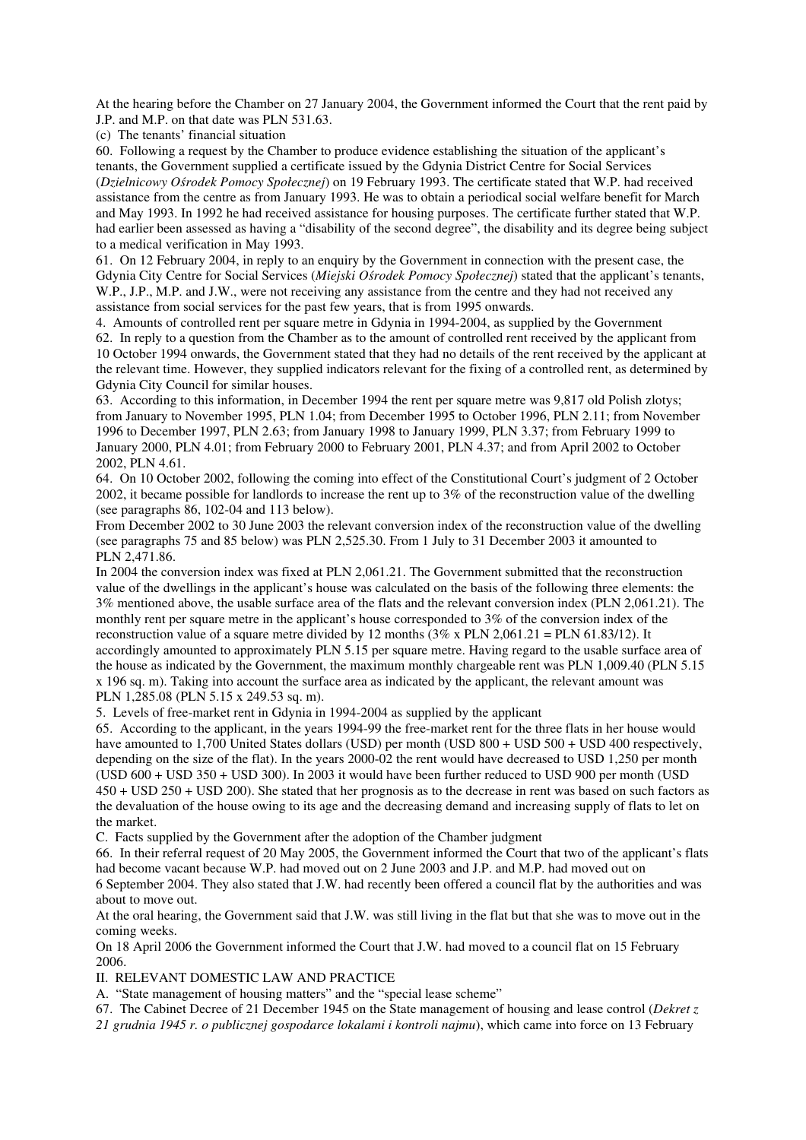At the hearing before the Chamber on 27 January 2004, the Government informed the Court that the rent paid by J.P. and M.P. on that date was PLN 531.63.

(c) The tenants' financial situation

60. Following a request by the Chamber to produce evidence establishing the situation of the applicant's tenants, the Government supplied a certificate issued by the Gdynia District Centre for Social Services (*Dzielnicowy O*ś*rodek Pomocy Społecznej*) on 19 February 1993. The certificate stated that W.P. had received assistance from the centre as from January 1993. He was to obtain a periodical social welfare benefit for March and May 1993. In 1992 he had received assistance for housing purposes. The certificate further stated that W.P. had earlier been assessed as having a "disability of the second degree", the disability and its degree being subject to a medical verification in May 1993.

61. On 12 February 2004, in reply to an enquiry by the Government in connection with the present case, the Gdynia City Centre for Social Services (*Miejski O*ś*rodek Pomocy Społecznej*) stated that the applicant's tenants, W.P., J.P., M.P. and J.W., were not receiving any assistance from the centre and they had not received any assistance from social services for the past few years, that is from 1995 onwards.

4. Amounts of controlled rent per square metre in Gdynia in 1994-2004, as supplied by the Government 62. In reply to a question from the Chamber as to the amount of controlled rent received by the applicant from 10 October 1994 onwards, the Government stated that they had no details of the rent received by the applicant at the relevant time. However, they supplied indicators relevant for the fixing of a controlled rent, as determined by Gdynia City Council for similar houses.

63. According to this information, in December 1994 the rent per square metre was 9,817 old Polish zlotys; from January to November 1995, PLN 1.04; from December 1995 to October 1996, PLN 2.11; from November 1996 to December 1997, PLN 2.63; from January 1998 to January 1999, PLN 3.37; from February 1999 to January 2000, PLN 4.01; from February 2000 to February 2001, PLN 4.37; and from April 2002 to October 2002, PLN 4.61.

64. On 10 October 2002, following the coming into effect of the Constitutional Court's judgment of 2 October 2002, it became possible for landlords to increase the rent up to 3% of the reconstruction value of the dwelling (see paragraphs 86, 102-04 and 113 below).

From December 2002 to 30 June 2003 the relevant conversion index of the reconstruction value of the dwelling (see paragraphs 75 and 85 below) was PLN 2,525.30. From 1 July to 31 December 2003 it amounted to PLN 2,471.86.

In 2004 the conversion index was fixed at PLN 2,061.21. The Government submitted that the reconstruction value of the dwellings in the applicant's house was calculated on the basis of the following three elements: the 3% mentioned above, the usable surface area of the flats and the relevant conversion index (PLN 2,061.21). The monthly rent per square metre in the applicant's house corresponded to 3% of the conversion index of the reconstruction value of a square metre divided by 12 months  $(3\% \times PLN 2.061.21 = PLN 61.83/12)$ . It accordingly amounted to approximately PLN 5.15 per square metre. Having regard to the usable surface area of the house as indicated by the Government, the maximum monthly chargeable rent was PLN 1,009.40 (PLN 5.15 x 196 sq. m). Taking into account the surface area as indicated by the applicant, the relevant amount was PLN 1,285.08 (PLN 5.15 x 249.53 sq. m).

5. Levels of free-market rent in Gdynia in 1994-2004 as supplied by the applicant

65. According to the applicant, in the years 1994-99 the free-market rent for the three flats in her house would have amounted to 1,700 United States dollars (USD) per month (USD 800 + USD 500 + USD 400 respectively, depending on the size of the flat). In the years 2000-02 the rent would have decreased to USD 1,250 per month (USD 600 + USD 350 + USD 300). In 2003 it would have been further reduced to USD 900 per month (USD 450 + USD 250 + USD 200). She stated that her prognosis as to the decrease in rent was based on such factors as the devaluation of the house owing to its age and the decreasing demand and increasing supply of flats to let on the market.

C. Facts supplied by the Government after the adoption of the Chamber judgment

66. In their referral request of 20 May 2005, the Government informed the Court that two of the applicant's flats had become vacant because W.P. had moved out on 2 June 2003 and J.P. and M.P. had moved out on 6 September 2004. They also stated that J.W. had recently been offered a council flat by the authorities and was about to move out.

At the oral hearing, the Government said that J.W. was still living in the flat but that she was to move out in the coming weeks.

On 18 April 2006 the Government informed the Court that J.W. had moved to a council flat on 15 February 2006.

II. RELEVANT DOMESTIC LAW AND PRACTICE

A. "State management of housing matters" and the "special lease scheme"

67. The Cabinet Decree of 21 December 1945 on the State management of housing and lease control (*Dekret z* 

*21 grudnia 1945 r. o publicznej gospodarce lokalami i kontroli najmu*), which came into force on 13 February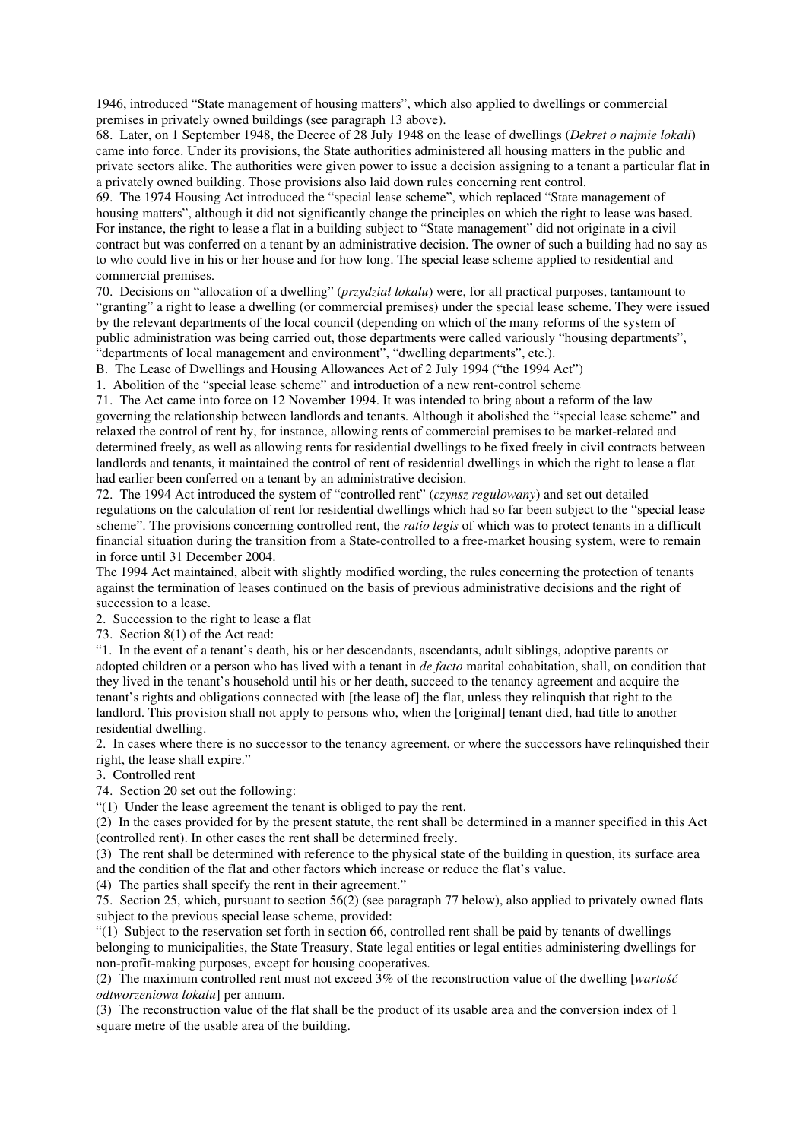1946, introduced "State management of housing matters", which also applied to dwellings or commercial premises in privately owned buildings (see paragraph 13 above).

68. Later, on 1 September 1948, the Decree of 28 July 1948 on the lease of dwellings (*Dekret o najmie lokali*) came into force. Under its provisions, the State authorities administered all housing matters in the public and private sectors alike. The authorities were given power to issue a decision assigning to a tenant a particular flat in a privately owned building. Those provisions also laid down rules concerning rent control.

69. The 1974 Housing Act introduced the "special lease scheme", which replaced "State management of housing matters", although it did not significantly change the principles on which the right to lease was based. For instance, the right to lease a flat in a building subject to "State management" did not originate in a civil contract but was conferred on a tenant by an administrative decision. The owner of such a building had no say as to who could live in his or her house and for how long. The special lease scheme applied to residential and commercial premises.

70. Decisions on "allocation of a dwelling" (*przydział lokalu*) were, for all practical purposes, tantamount to "granting" a right to lease a dwelling (or commercial premises) under the special lease scheme. They were issued by the relevant departments of the local council (depending on which of the many reforms of the system of public administration was being carried out, those departments were called variously "housing departments", "departments of local management and environment", "dwelling departments", etc.).

B. The Lease of Dwellings and Housing Allowances Act of 2 July 1994 ("the 1994 Act")

1. Abolition of the "special lease scheme" and introduction of a new rent-control scheme

71. The Act came into force on 12 November 1994. It was intended to bring about a reform of the law governing the relationship between landlords and tenants. Although it abolished the "special lease scheme" and relaxed the control of rent by, for instance, allowing rents of commercial premises to be market-related and determined freely, as well as allowing rents for residential dwellings to be fixed freely in civil contracts between landlords and tenants, it maintained the control of rent of residential dwellings in which the right to lease a flat had earlier been conferred on a tenant by an administrative decision.

72. The 1994 Act introduced the system of "controlled rent" (*czynsz regulowany*) and set out detailed regulations on the calculation of rent for residential dwellings which had so far been subject to the "special lease scheme". The provisions concerning controlled rent, the *ratio legis* of which was to protect tenants in a difficult financial situation during the transition from a State-controlled to a free-market housing system, were to remain in force until 31 December 2004.

The 1994 Act maintained, albeit with slightly modified wording, the rules concerning the protection of tenants against the termination of leases continued on the basis of previous administrative decisions and the right of succession to a lease.

2. Succession to the right to lease a flat

73. Section 8(1) of the Act read:

"1. In the event of a tenant's death, his or her descendants, ascendants, adult siblings, adoptive parents or adopted children or a person who has lived with a tenant in *de facto* marital cohabitation, shall, on condition that they lived in the tenant's household until his or her death, succeed to the tenancy agreement and acquire the tenant's rights and obligations connected with [the lease of] the flat, unless they relinquish that right to the landlord. This provision shall not apply to persons who, when the [original] tenant died, had title to another residential dwelling.

2. In cases where there is no successor to the tenancy agreement, or where the successors have relinquished their right, the lease shall expire."

3. Controlled rent

74. Section 20 set out the following:

"(1) Under the lease agreement the tenant is obliged to pay the rent.

(2) In the cases provided for by the present statute, the rent shall be determined in a manner specified in this Act (controlled rent). In other cases the rent shall be determined freely.

(3) The rent shall be determined with reference to the physical state of the building in question, its surface area and the condition of the flat and other factors which increase or reduce the flat's value.

(4) The parties shall specify the rent in their agreement."

75. Section 25, which, pursuant to section 56(2) (see paragraph 77 below), also applied to privately owned flats subject to the previous special lease scheme, provided:

"(1) Subject to the reservation set forth in section 66, controlled rent shall be paid by tenants of dwellings belonging to municipalities, the State Treasury, State legal entities or legal entities administering dwellings for non-profit-making purposes, except for housing cooperatives.

(2) The maximum controlled rent must not exceed 3% of the reconstruction value of the dwelling [*warto*ść *odtworzeniowa lokalu*] per annum.

(3) The reconstruction value of the flat shall be the product of its usable area and the conversion index of 1 square metre of the usable area of the building.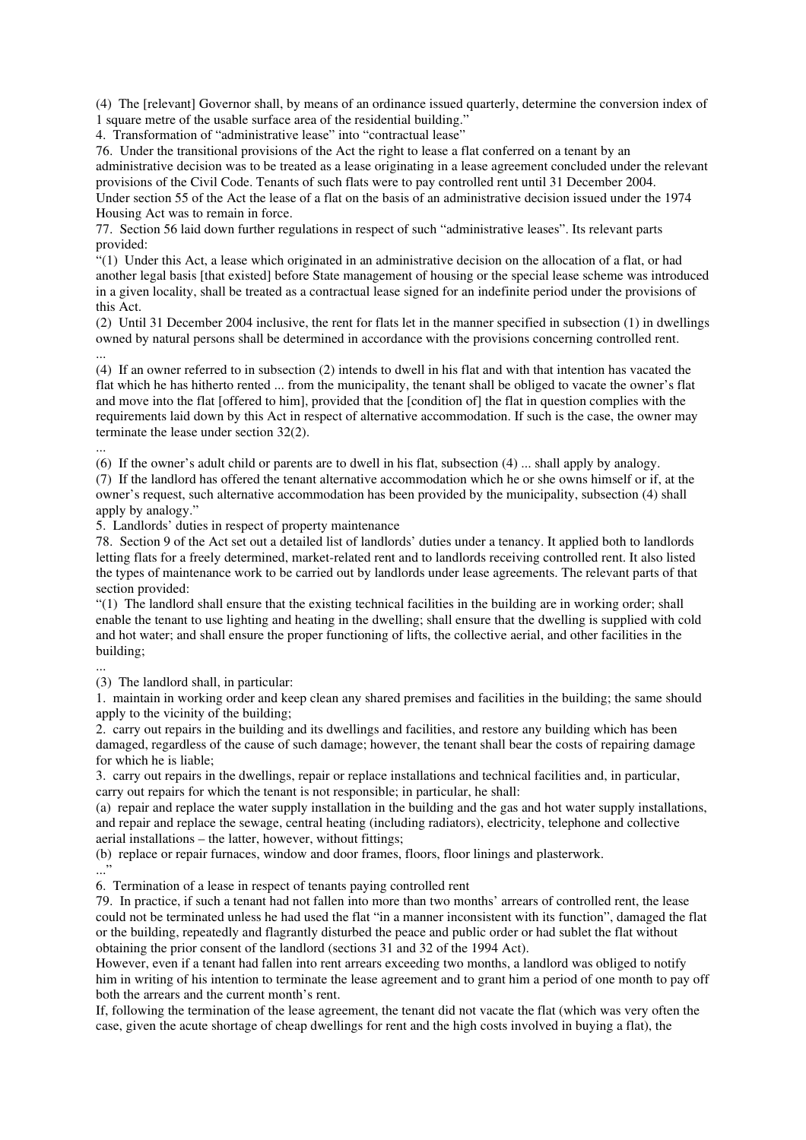(4) The [relevant] Governor shall, by means of an ordinance issued quarterly, determine the conversion index of 1 square metre of the usable surface area of the residential building."

4. Transformation of "administrative lease" into "contractual lease"

76. Under the transitional provisions of the Act the right to lease a flat conferred on a tenant by an administrative decision was to be treated as a lease originating in a lease agreement concluded under the relevant provisions of the Civil Code. Tenants of such flats were to pay controlled rent until 31 December 2004. Under section 55 of the Act the lease of a flat on the basis of an administrative decision issued under the 1974 Housing Act was to remain in force.

77. Section 56 laid down further regulations in respect of such "administrative leases". Its relevant parts provided:

 $\cdot$  (1) Under this Act, a lease which originated in an administrative decision on the allocation of a flat, or had another legal basis [that existed] before State management of housing or the special lease scheme was introduced in a given locality, shall be treated as a contractual lease signed for an indefinite period under the provisions of this Act.

(2) Until 31 December 2004 inclusive, the rent for flats let in the manner specified in subsection (1) in dwellings owned by natural persons shall be determined in accordance with the provisions concerning controlled rent. ...

(4) If an owner referred to in subsection (2) intends to dwell in his flat and with that intention has vacated the flat which he has hitherto rented ... from the municipality, the tenant shall be obliged to vacate the owner's flat and move into the flat [offered to him], provided that the [condition of] the flat in question complies with the requirements laid down by this Act in respect of alternative accommodation. If such is the case, the owner may terminate the lease under section 32(2).

... (6) If the owner's adult child or parents are to dwell in his flat, subsection (4) ... shall apply by analogy. (7) If the landlord has offered the tenant alternative accommodation which he or she owns himself or if, at the owner's request, such alternative accommodation has been provided by the municipality, subsection (4) shall apply by analogy."

5. Landlords' duties in respect of property maintenance

78. Section 9 of the Act set out a detailed list of landlords' duties under a tenancy. It applied both to landlords letting flats for a freely determined, market-related rent and to landlords receiving controlled rent. It also listed the types of maintenance work to be carried out by landlords under lease agreements. The relevant parts of that section provided:

"(1) The landlord shall ensure that the existing technical facilities in the building are in working order; shall enable the tenant to use lighting and heating in the dwelling; shall ensure that the dwelling is supplied with cold and hot water; and shall ensure the proper functioning of lifts, the collective aerial, and other facilities in the building;

...

(3) The landlord shall, in particular:

1. maintain in working order and keep clean any shared premises and facilities in the building; the same should apply to the vicinity of the building;

2. carry out repairs in the building and its dwellings and facilities, and restore any building which has been damaged, regardless of the cause of such damage; however, the tenant shall bear the costs of repairing damage for which he is liable;

3. carry out repairs in the dwellings, repair or replace installations and technical facilities and, in particular, carry out repairs for which the tenant is not responsible; in particular, he shall:

(a) repair and replace the water supply installation in the building and the gas and hot water supply installations, and repair and replace the sewage, central heating (including radiators), electricity, telephone and collective aerial installations – the latter, however, without fittings;

(b) replace or repair furnaces, window and door frames, floors, floor linings and plasterwork.  $\cdot$  .

6. Termination of a lease in respect of tenants paying controlled rent

79. In practice, if such a tenant had not fallen into more than two months' arrears of controlled rent, the lease could not be terminated unless he had used the flat "in a manner inconsistent with its function", damaged the flat or the building, repeatedly and flagrantly disturbed the peace and public order or had sublet the flat without obtaining the prior consent of the landlord (sections 31 and 32 of the 1994 Act).

However, even if a tenant had fallen into rent arrears exceeding two months, a landlord was obliged to notify him in writing of his intention to terminate the lease agreement and to grant him a period of one month to pay off both the arrears and the current month's rent.

If, following the termination of the lease agreement, the tenant did not vacate the flat (which was very often the case, given the acute shortage of cheap dwellings for rent and the high costs involved in buying a flat), the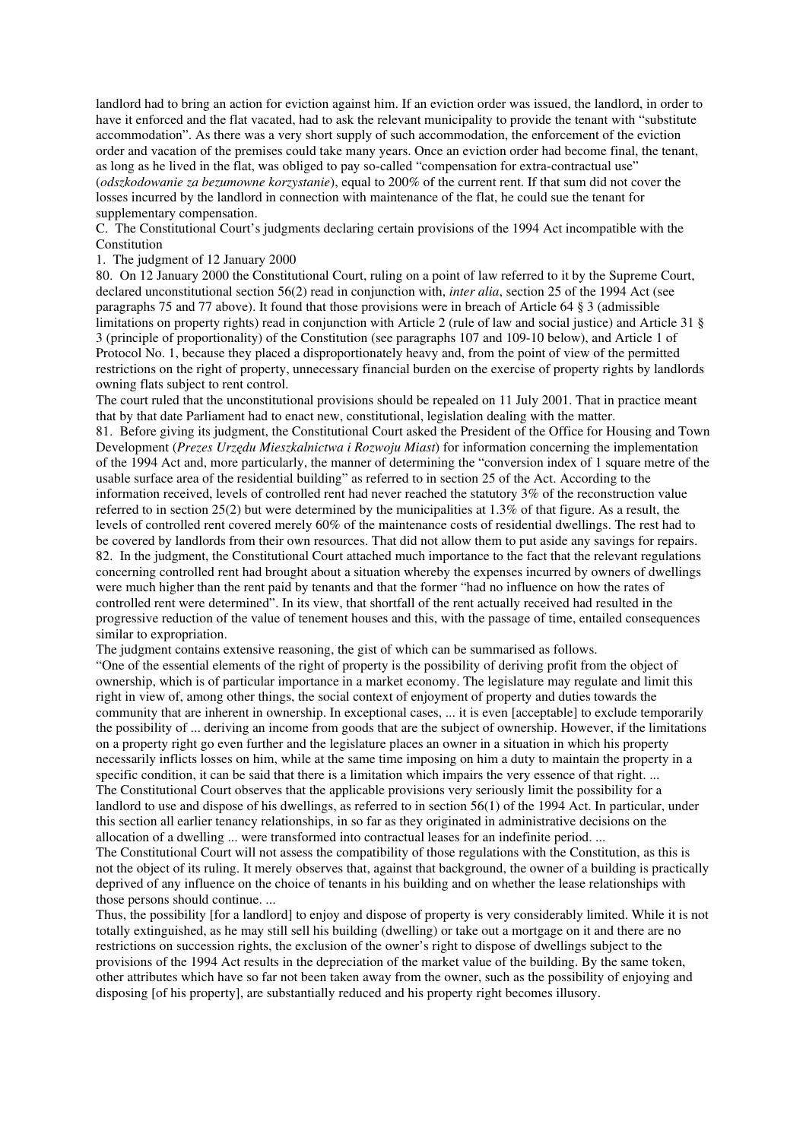landlord had to bring an action for eviction against him. If an eviction order was issued, the landlord, in order to have it enforced and the flat vacated, had to ask the relevant municipality to provide the tenant with "substitute accommodation". As there was a very short supply of such accommodation, the enforcement of the eviction order and vacation of the premises could take many years. Once an eviction order had become final, the tenant, as long as he lived in the flat, was obliged to pay so-called "compensation for extra-contractual use" (*odszkodowanie za bezumowne korzystanie*), equal to 200% of the current rent. If that sum did not cover the losses incurred by the landlord in connection with maintenance of the flat, he could sue the tenant for supplementary compensation.

C. The Constitutional Court's judgments declaring certain provisions of the 1994 Act incompatible with the Constitution

1. The judgment of 12 January 2000

80. On 12 January 2000 the Constitutional Court, ruling on a point of law referred to it by the Supreme Court, declared unconstitutional section 56(2) read in conjunction with, *inter alia*, section 25 of the 1994 Act (see paragraphs 75 and 77 above). It found that those provisions were in breach of Article 64 § 3 (admissible limitations on property rights) read in conjunction with Article 2 (rule of law and social justice) and Article 31 § 3 (principle of proportionality) of the Constitution (see paragraphs 107 and 109-10 below), and Article 1 of Protocol No. 1, because they placed a disproportionately heavy and, from the point of view of the permitted restrictions on the right of property, unnecessary financial burden on the exercise of property rights by landlords owning flats subject to rent control.

The court ruled that the unconstitutional provisions should be repealed on 11 July 2001. That in practice meant that by that date Parliament had to enact new, constitutional, legislation dealing with the matter.

81. Before giving its judgment, the Constitutional Court asked the President of the Office for Housing and Town Development (*Prezes Urz*ę*du Mieszkalnictwa i Rozwoju Miast*) for information concerning the implementation of the 1994 Act and, more particularly, the manner of determining the "conversion index of 1 square metre of the usable surface area of the residential building" as referred to in section 25 of the Act. According to the information received, levels of controlled rent had never reached the statutory 3% of the reconstruction value referred to in section 25(2) but were determined by the municipalities at  $1.3\%$  of that figure. As a result, the levels of controlled rent covered merely 60% of the maintenance costs of residential dwellings. The rest had to be covered by landlords from their own resources. That did not allow them to put aside any savings for repairs. 82. In the judgment, the Constitutional Court attached much importance to the fact that the relevant regulations concerning controlled rent had brought about a situation whereby the expenses incurred by owners of dwellings were much higher than the rent paid by tenants and that the former "had no influence on how the rates of controlled rent were determined". In its view, that shortfall of the rent actually received had resulted in the progressive reduction of the value of tenement houses and this, with the passage of time, entailed consequences similar to expropriation.

The judgment contains extensive reasoning, the gist of which can be summarised as follows.

"One of the essential elements of the right of property is the possibility of deriving profit from the object of ownership, which is of particular importance in a market economy. The legislature may regulate and limit this right in view of, among other things, the social context of enjoyment of property and duties towards the community that are inherent in ownership. In exceptional cases, ... it is even [acceptable] to exclude temporarily the possibility of ... deriving an income from goods that are the subject of ownership. However, if the limitations on a property right go even further and the legislature places an owner in a situation in which his property necessarily inflicts losses on him, while at the same time imposing on him a duty to maintain the property in a specific condition, it can be said that there is a limitation which impairs the very essence of that right. ... The Constitutional Court observes that the applicable provisions very seriously limit the possibility for a landlord to use and dispose of his dwellings, as referred to in section 56(1) of the 1994 Act. In particular, under this section all earlier tenancy relationships, in so far as they originated in administrative decisions on the allocation of a dwelling ... were transformed into contractual leases for an indefinite period. ...

The Constitutional Court will not assess the compatibility of those regulations with the Constitution, as this is not the object of its ruling. It merely observes that, against that background, the owner of a building is practically deprived of any influence on the choice of tenants in his building and on whether the lease relationships with those persons should continue. ...

Thus, the possibility [for a landlord] to enjoy and dispose of property is very considerably limited. While it is not totally extinguished, as he may still sell his building (dwelling) or take out a mortgage on it and there are no restrictions on succession rights, the exclusion of the owner's right to dispose of dwellings subject to the provisions of the 1994 Act results in the depreciation of the market value of the building. By the same token, other attributes which have so far not been taken away from the owner, such as the possibility of enjoying and disposing [of his property], are substantially reduced and his property right becomes illusory.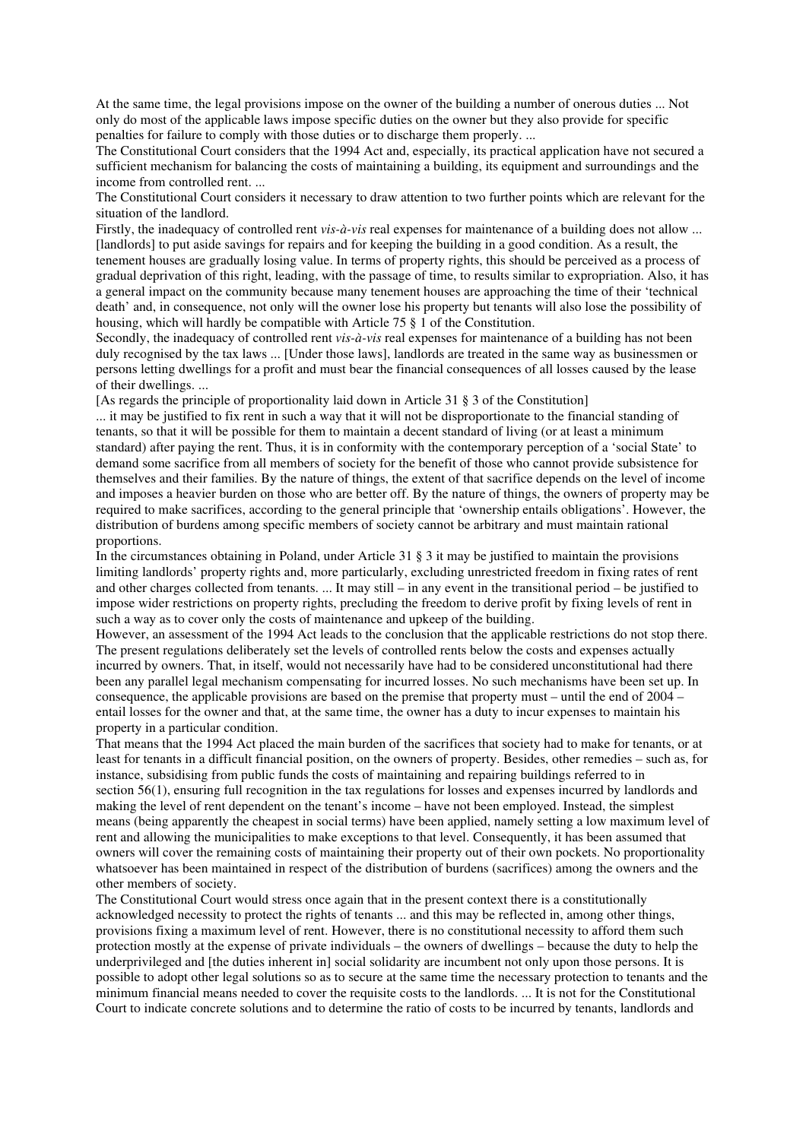At the same time, the legal provisions impose on the owner of the building a number of onerous duties ... Not only do most of the applicable laws impose specific duties on the owner but they also provide for specific penalties for failure to comply with those duties or to discharge them properly. ...

The Constitutional Court considers that the 1994 Act and, especially, its practical application have not secured a sufficient mechanism for balancing the costs of maintaining a building, its equipment and surroundings and the income from controlled rent. ...

The Constitutional Court considers it necessary to draw attention to two further points which are relevant for the situation of the landlord.

Firstly, the inadequacy of controlled rent *vis-à-vis* real expenses for maintenance of a building does not allow ... [landlords] to put aside savings for repairs and for keeping the building in a good condition. As a result, the tenement houses are gradually losing value. In terms of property rights, this should be perceived as a process of gradual deprivation of this right, leading, with the passage of time, to results similar to expropriation. Also, it has a general impact on the community because many tenement houses are approaching the time of their 'technical death' and, in consequence, not only will the owner lose his property but tenants will also lose the possibility of housing, which will hardly be compatible with Article 75 § 1 of the Constitution.

Secondly, the inadequacy of controlled rent *vis-à-vis* real expenses for maintenance of a building has not been duly recognised by the tax laws ... [Under those laws], landlords are treated in the same way as businessmen or persons letting dwellings for a profit and must bear the financial consequences of all losses caused by the lease of their dwellings. ...

[As regards the principle of proportionality laid down in Article 31 § 3 of the Constitution]

... it may be justified to fix rent in such a way that it will not be disproportionate to the financial standing of tenants, so that it will be possible for them to maintain a decent standard of living (or at least a minimum standard) after paying the rent. Thus, it is in conformity with the contemporary perception of a 'social State' to demand some sacrifice from all members of society for the benefit of those who cannot provide subsistence for themselves and their families. By the nature of things, the extent of that sacrifice depends on the level of income and imposes a heavier burden on those who are better off. By the nature of things, the owners of property may be required to make sacrifices, according to the general principle that 'ownership entails obligations'. However, the distribution of burdens among specific members of society cannot be arbitrary and must maintain rational proportions.

In the circumstances obtaining in Poland, under Article 31 § 3 it may be justified to maintain the provisions limiting landlords' property rights and, more particularly, excluding unrestricted freedom in fixing rates of rent and other charges collected from tenants. ... It may still – in any event in the transitional period – be justified to impose wider restrictions on property rights, precluding the freedom to derive profit by fixing levels of rent in such a way as to cover only the costs of maintenance and upkeep of the building.

However, an assessment of the 1994 Act leads to the conclusion that the applicable restrictions do not stop there. The present regulations deliberately set the levels of controlled rents below the costs and expenses actually incurred by owners. That, in itself, would not necessarily have had to be considered unconstitutional had there been any parallel legal mechanism compensating for incurred losses. No such mechanisms have been set up. In consequence, the applicable provisions are based on the premise that property must – until the end of 2004 – entail losses for the owner and that, at the same time, the owner has a duty to incur expenses to maintain his property in a particular condition.

That means that the 1994 Act placed the main burden of the sacrifices that society had to make for tenants, or at least for tenants in a difficult financial position, on the owners of property. Besides, other remedies – such as, for instance, subsidising from public funds the costs of maintaining and repairing buildings referred to in section 56(1), ensuring full recognition in the tax regulations for losses and expenses incurred by landlords and making the level of rent dependent on the tenant's income – have not been employed. Instead, the simplest means (being apparently the cheapest in social terms) have been applied, namely setting a low maximum level of rent and allowing the municipalities to make exceptions to that level. Consequently, it has been assumed that owners will cover the remaining costs of maintaining their property out of their own pockets. No proportionality whatsoever has been maintained in respect of the distribution of burdens (sacrifices) among the owners and the other members of society.

The Constitutional Court would stress once again that in the present context there is a constitutionally acknowledged necessity to protect the rights of tenants ... and this may be reflected in, among other things, provisions fixing a maximum level of rent. However, there is no constitutional necessity to afford them such protection mostly at the expense of private individuals – the owners of dwellings – because the duty to help the underprivileged and [the duties inherent in] social solidarity are incumbent not only upon those persons. It is possible to adopt other legal solutions so as to secure at the same time the necessary protection to tenants and the minimum financial means needed to cover the requisite costs to the landlords. ... It is not for the Constitutional Court to indicate concrete solutions and to determine the ratio of costs to be incurred by tenants, landlords and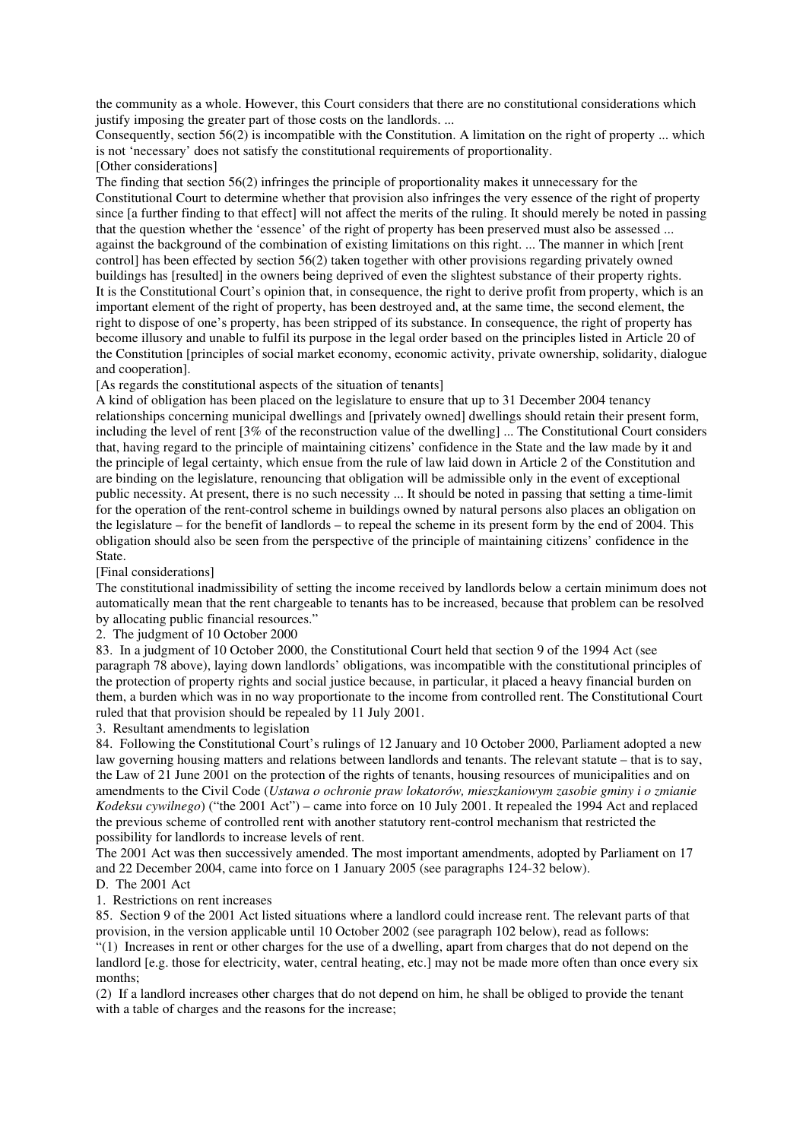the community as a whole. However, this Court considers that there are no constitutional considerations which justify imposing the greater part of those costs on the landlords. ...

Consequently, section 56(2) is incompatible with the Constitution. A limitation on the right of property ... which is not 'necessary' does not satisfy the constitutional requirements of proportionality. [Other considerations]

The finding that section 56(2) infringes the principle of proportionality makes it unnecessary for the Constitutional Court to determine whether that provision also infringes the very essence of the right of property since [a further finding to that effect] will not affect the merits of the ruling. It should merely be noted in passing that the question whether the 'essence' of the right of property has been preserved must also be assessed ... against the background of the combination of existing limitations on this right. ... The manner in which [rent control] has been effected by section 56(2) taken together with other provisions regarding privately owned buildings has [resulted] in the owners being deprived of even the slightest substance of their property rights. It is the Constitutional Court's opinion that, in consequence, the right to derive profit from property, which is an important element of the right of property, has been destroyed and, at the same time, the second element, the right to dispose of one's property, has been stripped of its substance. In consequence, the right of property has become illusory and unable to fulfil its purpose in the legal order based on the principles listed in Article 20 of the Constitution [principles of social market economy, economic activity, private ownership, solidarity, dialogue and cooperation].

[As regards the constitutional aspects of the situation of tenants]

A kind of obligation has been placed on the legislature to ensure that up to 31 December 2004 tenancy relationships concerning municipal dwellings and [privately owned] dwellings should retain their present form, including the level of rent [3% of the reconstruction value of the dwelling] ... The Constitutional Court considers that, having regard to the principle of maintaining citizens' confidence in the State and the law made by it and the principle of legal certainty, which ensue from the rule of law laid down in Article 2 of the Constitution and are binding on the legislature, renouncing that obligation will be admissible only in the event of exceptional public necessity. At present, there is no such necessity ... It should be noted in passing that setting a time-limit for the operation of the rent-control scheme in buildings owned by natural persons also places an obligation on the legislature – for the benefit of landlords – to repeal the scheme in its present form by the end of 2004. This obligation should also be seen from the perspective of the principle of maintaining citizens' confidence in the State.

#### [Final considerations]

The constitutional inadmissibility of setting the income received by landlords below a certain minimum does not automatically mean that the rent chargeable to tenants has to be increased, because that problem can be resolved by allocating public financial resources."

#### 2. The judgment of 10 October 2000

83. In a judgment of 10 October 2000, the Constitutional Court held that section 9 of the 1994 Act (see paragraph 78 above), laying down landlords' obligations, was incompatible with the constitutional principles of the protection of property rights and social justice because, in particular, it placed a heavy financial burden on them, a burden which was in no way proportionate to the income from controlled rent. The Constitutional Court ruled that that provision should be repealed by 11 July 2001.

3. Resultant amendments to legislation

84. Following the Constitutional Court's rulings of 12 January and 10 October 2000, Parliament adopted a new law governing housing matters and relations between landlords and tenants. The relevant statute – that is to say, the Law of 21 June 2001 on the protection of the rights of tenants, housing resources of municipalities and on amendments to the Civil Code (*Ustawa o ochronie praw lokatorów, mieszkaniowym zasobie gminy i o zmianie Kodeksu cywilnego*) ("the 2001 Act") – came into force on 10 July 2001. It repealed the 1994 Act and replaced the previous scheme of controlled rent with another statutory rent-control mechanism that restricted the possibility for landlords to increase levels of rent.

The 2001 Act was then successively amended. The most important amendments, adopted by Parliament on 17 and 22 December 2004, came into force on 1 January 2005 (see paragraphs 124-32 below).

### D. The 2001 Act

1. Restrictions on rent increases

85. Section 9 of the 2001 Act listed situations where a landlord could increase rent. The relevant parts of that provision, in the version applicable until 10 October 2002 (see paragraph 102 below), read as follows: "(1) Increases in rent or other charges for the use of a dwelling, apart from charges that do not depend on the landlord [e.g. those for electricity, water, central heating, etc.] may not be made more often than once every six months;

(2) If a landlord increases other charges that do not depend on him, he shall be obliged to provide the tenant with a table of charges and the reasons for the increase;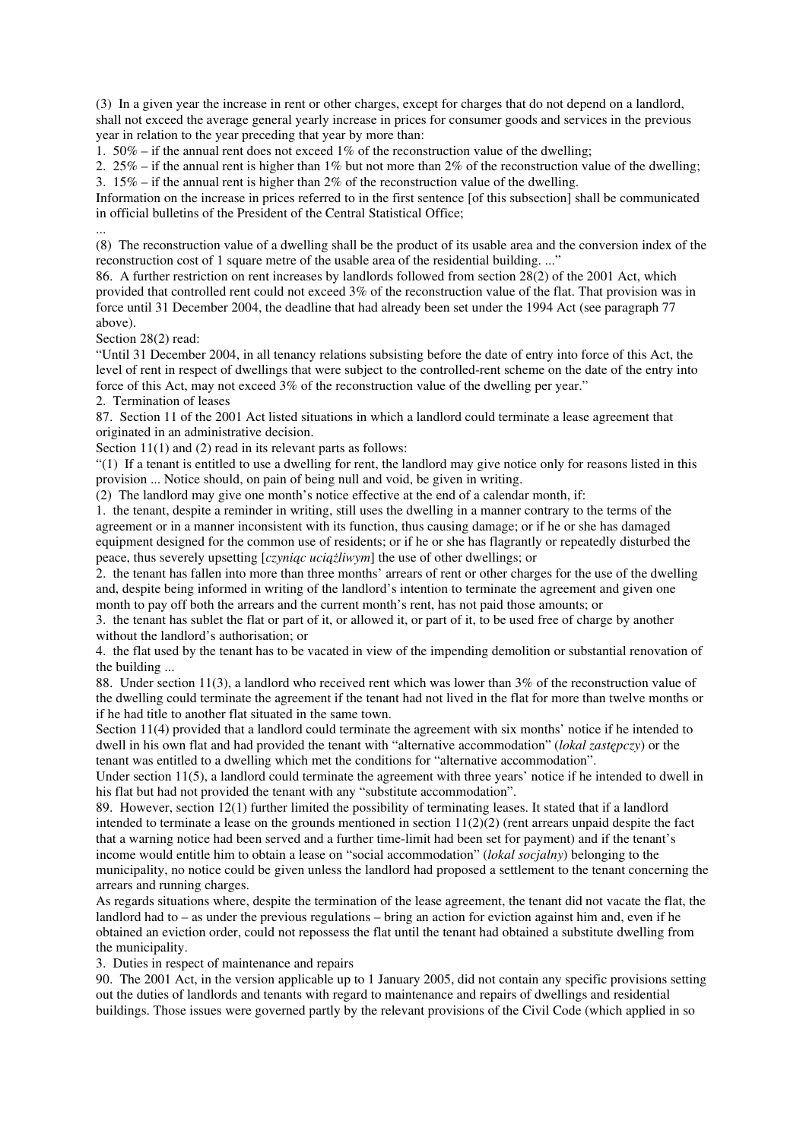(3) In a given year the increase in rent or other charges, except for charges that do not depend on a landlord, shall not exceed the average general yearly increase in prices for consumer goods and services in the previous year in relation to the year preceding that year by more than:

1. 50% – if the annual rent does not exceed 1% of the reconstruction value of the dwelling;

2.  $25\%$  – if the annual rent is higher than 1% but not more than 2% of the reconstruction value of the dwelling;

3. 15% – if the annual rent is higher than 2% of the reconstruction value of the dwelling.

Information on the increase in prices referred to in the first sentence [of this subsection] shall be communicated in official bulletins of the President of the Central Statistical Office;

...

(8) The reconstruction value of a dwelling shall be the product of its usable area and the conversion index of the reconstruction cost of 1 square metre of the usable area of the residential building. ..."

86. A further restriction on rent increases by landlords followed from section 28(2) of the 2001 Act, which provided that controlled rent could not exceed 3% of the reconstruction value of the flat. That provision was in force until 31 December 2004, the deadline that had already been set under the 1994 Act (see paragraph 77 above).

Section 28(2) read:

"Until 31 December 2004, in all tenancy relations subsisting before the date of entry into force of this Act, the level of rent in respect of dwellings that were subject to the controlled-rent scheme on the date of the entry into force of this Act, may not exceed 3% of the reconstruction value of the dwelling per year."

2. Termination of leases

87. Section 11 of the 2001 Act listed situations in which a landlord could terminate a lease agreement that originated in an administrative decision.

Section 11(1) and (2) read in its relevant parts as follows:

"(1) If a tenant is entitled to use a dwelling for rent, the landlord may give notice only for reasons listed in this provision ... Notice should, on pain of being null and void, be given in writing.

(2) The landlord may give one month's notice effective at the end of a calendar month, if:

1. the tenant, despite a reminder in writing, still uses the dwelling in a manner contrary to the terms of the agreement or in a manner inconsistent with its function, thus causing damage; or if he or she has damaged equipment designed for the common use of residents; or if he or she has flagrantly or repeatedly disturbed the peace, thus severely upsetting [*czyni*ą*c uci*ąż*liwym*] the use of other dwellings; or

2. the tenant has fallen into more than three months' arrears of rent or other charges for the use of the dwelling and, despite being informed in writing of the landlord's intention to terminate the agreement and given one month to pay off both the arrears and the current month's rent, has not paid those amounts; or

3. the tenant has sublet the flat or part of it, or allowed it, or part of it, to be used free of charge by another without the landlord's authorisation; or

4. the flat used by the tenant has to be vacated in view of the impending demolition or substantial renovation of the building ...

88. Under section 11(3), a landlord who received rent which was lower than 3% of the reconstruction value of the dwelling could terminate the agreement if the tenant had not lived in the flat for more than twelve months or if he had title to another flat situated in the same town.

Section 11(4) provided that a landlord could terminate the agreement with six months' notice if he intended to dwell in his own flat and had provided the tenant with "alternative accommodation" (*lokal zast*ę*pczy*) or the tenant was entitled to a dwelling which met the conditions for "alternative accommodation".

Under section 11(5), a landlord could terminate the agreement with three years' notice if he intended to dwell in his flat but had not provided the tenant with any "substitute accommodation".

89. However, section 12(1) further limited the possibility of terminating leases. It stated that if a landlord intended to terminate a lease on the grounds mentioned in section  $11(2)(2)$  (rent arrears unpaid despite the fact that a warning notice had been served and a further time-limit had been set for payment) and if the tenant's income would entitle him to obtain a lease on "social accommodation" (*lokal socjalny*) belonging to the municipality, no notice could be given unless the landlord had proposed a settlement to the tenant concerning the arrears and running charges.

As regards situations where, despite the termination of the lease agreement, the tenant did not vacate the flat, the landlord had to – as under the previous regulations – bring an action for eviction against him and, even if he obtained an eviction order, could not repossess the flat until the tenant had obtained a substitute dwelling from the municipality.

3. Duties in respect of maintenance and repairs

90. The 2001 Act, in the version applicable up to 1 January 2005, did not contain any specific provisions setting out the duties of landlords and tenants with regard to maintenance and repairs of dwellings and residential buildings. Those issues were governed partly by the relevant provisions of the Civil Code (which applied in so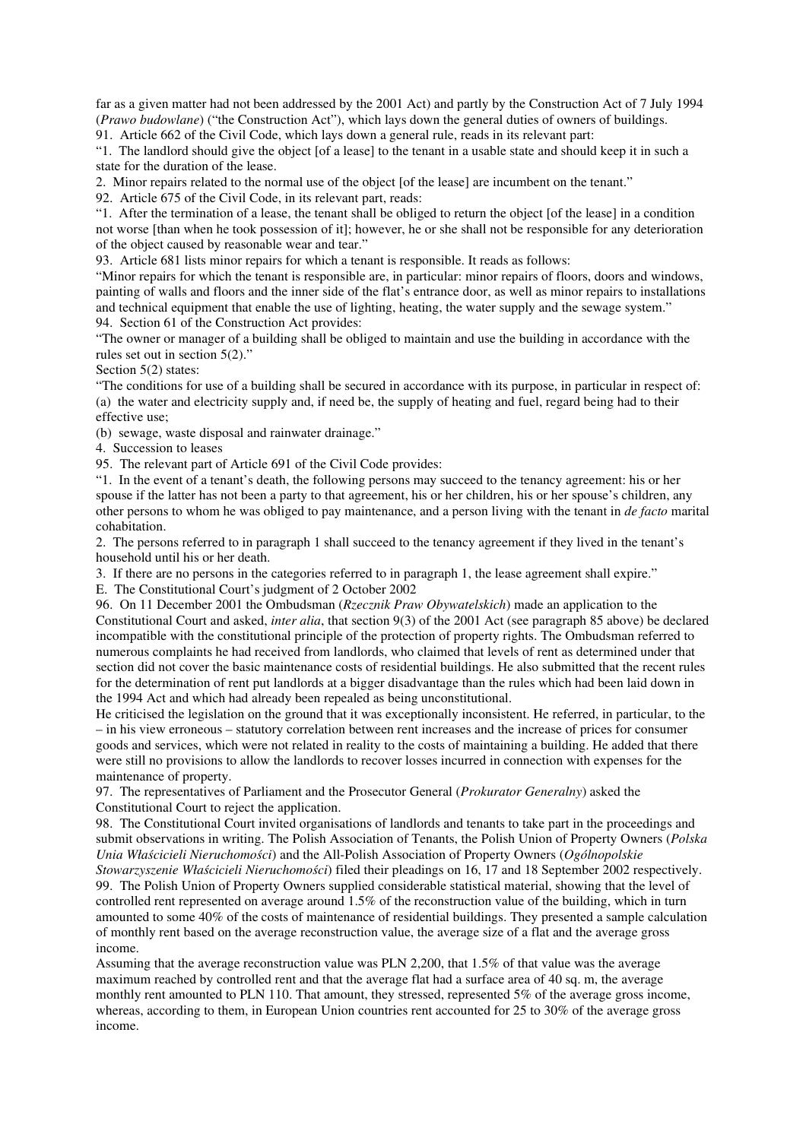far as a given matter had not been addressed by the 2001 Act) and partly by the Construction Act of 7 July 1994 (*Prawo budowlane*) ("the Construction Act"), which lays down the general duties of owners of buildings. 91. Article 662 of the Civil Code, which lays down a general rule, reads in its relevant part:

"1. The landlord should give the object [of a lease] to the tenant in a usable state and should keep it in such a state for the duration of the lease.

2. Minor repairs related to the normal use of the object [of the lease] are incumbent on the tenant."

92. Article 675 of the Civil Code, in its relevant part, reads:

"1. After the termination of a lease, the tenant shall be obliged to return the object [of the lease] in a condition not worse [than when he took possession of it]; however, he or she shall not be responsible for any deterioration of the object caused by reasonable wear and tear."

93. Article 681 lists minor repairs for which a tenant is responsible. It reads as follows:

"Minor repairs for which the tenant is responsible are, in particular: minor repairs of floors, doors and windows, painting of walls and floors and the inner side of the flat's entrance door, as well as minor repairs to installations and technical equipment that enable the use of lighting, heating, the water supply and the sewage system." 94. Section 61 of the Construction Act provides:

"The owner or manager of a building shall be obliged to maintain and use the building in accordance with the rules set out in section 5(2)."

Section 5(2) states:

"The conditions for use of a building shall be secured in accordance with its purpose, in particular in respect of: (a) the water and electricity supply and, if need be, the supply of heating and fuel, regard being had to their effective use;

(b) sewage, waste disposal and rainwater drainage."

4. Succession to leases

95. The relevant part of Article 691 of the Civil Code provides:

"1. In the event of a tenant's death, the following persons may succeed to the tenancy agreement: his or her spouse if the latter has not been a party to that agreement, his or her children, his or her spouse's children, any other persons to whom he was obliged to pay maintenance, and a person living with the tenant in *de facto* marital cohabitation.

2. The persons referred to in paragraph 1 shall succeed to the tenancy agreement if they lived in the tenant's household until his or her death.

3. If there are no persons in the categories referred to in paragraph 1, the lease agreement shall expire."

E. The Constitutional Court's judgment of 2 October 2002

96. On 11 December 2001 the Ombudsman (*Rzecznik Praw Obywatelskich*) made an application to the Constitutional Court and asked, *inter alia*, that section 9(3) of the 2001 Act (see paragraph 85 above) be declared incompatible with the constitutional principle of the protection of property rights. The Ombudsman referred to numerous complaints he had received from landlords, who claimed that levels of rent as determined under that section did not cover the basic maintenance costs of residential buildings. He also submitted that the recent rules for the determination of rent put landlords at a bigger disadvantage than the rules which had been laid down in the 1994 Act and which had already been repealed as being unconstitutional.

He criticised the legislation on the ground that it was exceptionally inconsistent. He referred, in particular, to the – in his view erroneous – statutory correlation between rent increases and the increase of prices for consumer goods and services, which were not related in reality to the costs of maintaining a building. He added that there were still no provisions to allow the landlords to recover losses incurred in connection with expenses for the maintenance of property.

97. The representatives of Parliament and the Prosecutor General (*Prokurator Generalny*) asked the Constitutional Court to reject the application.

98. The Constitutional Court invited organisations of landlords and tenants to take part in the proceedings and submit observations in writing. The Polish Association of Tenants, the Polish Union of Property Owners (*Polska Unia Wła*ś*cicieli Nieruchomo*ś*ci*) and the All-Polish Association of Property Owners (*Ogólnopolskie* 

*Stowarzyszenie Wła*ś*cicieli Nieruchomo*ś*ci*) filed their pleadings on 16, 17 and 18 September 2002 respectively. 99. The Polish Union of Property Owners supplied considerable statistical material, showing that the level of controlled rent represented on average around 1.5% of the reconstruction value of the building, which in turn amounted to some 40% of the costs of maintenance of residential buildings. They presented a sample calculation of monthly rent based on the average reconstruction value, the average size of a flat and the average gross income.

Assuming that the average reconstruction value was PLN 2,200, that 1.5% of that value was the average maximum reached by controlled rent and that the average flat had a surface area of 40 sq. m, the average monthly rent amounted to PLN 110. That amount, they stressed, represented 5% of the average gross income, whereas, according to them, in European Union countries rent accounted for 25 to 30% of the average gross income.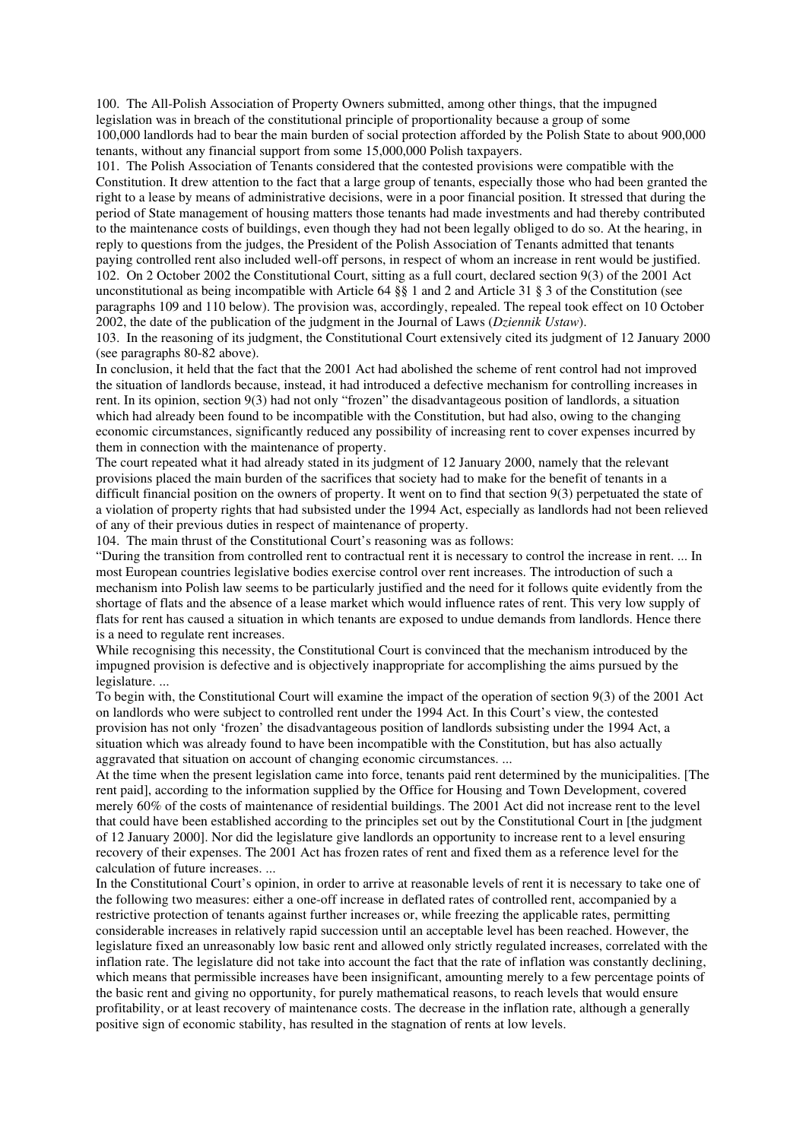100. The All-Polish Association of Property Owners submitted, among other things, that the impugned legislation was in breach of the constitutional principle of proportionality because a group of some 100,000 landlords had to bear the main burden of social protection afforded by the Polish State to about 900,000 tenants, without any financial support from some 15,000,000 Polish taxpayers.

101. The Polish Association of Tenants considered that the contested provisions were compatible with the Constitution. It drew attention to the fact that a large group of tenants, especially those who had been granted the right to a lease by means of administrative decisions, were in a poor financial position. It stressed that during the period of State management of housing matters those tenants had made investments and had thereby contributed to the maintenance costs of buildings, even though they had not been legally obliged to do so. At the hearing, in reply to questions from the judges, the President of the Polish Association of Tenants admitted that tenants paying controlled rent also included well-off persons, in respect of whom an increase in rent would be justified. 102. On 2 October 2002 the Constitutional Court, sitting as a full court, declared section 9(3) of the 2001 Act unconstitutional as being incompatible with Article 64 §§ 1 and 2 and Article 31 § 3 of the Constitution (see paragraphs 109 and 110 below). The provision was, accordingly, repealed. The repeal took effect on 10 October 2002, the date of the publication of the judgment in the Journal of Laws (*Dziennik Ustaw*).

103. In the reasoning of its judgment, the Constitutional Court extensively cited its judgment of 12 January 2000 (see paragraphs 80-82 above).

In conclusion, it held that the fact that the 2001 Act had abolished the scheme of rent control had not improved the situation of landlords because, instead, it had introduced a defective mechanism for controlling increases in rent. In its opinion, section 9(3) had not only "frozen" the disadvantageous position of landlords, a situation which had already been found to be incompatible with the Constitution, but had also, owing to the changing economic circumstances, significantly reduced any possibility of increasing rent to cover expenses incurred by them in connection with the maintenance of property.

The court repeated what it had already stated in its judgment of 12 January 2000, namely that the relevant provisions placed the main burden of the sacrifices that society had to make for the benefit of tenants in a difficult financial position on the owners of property. It went on to find that section 9(3) perpetuated the state of a violation of property rights that had subsisted under the 1994 Act, especially as landlords had not been relieved of any of their previous duties in respect of maintenance of property.

104. The main thrust of the Constitutional Court's reasoning was as follows:

"During the transition from controlled rent to contractual rent it is necessary to control the increase in rent. ... In most European countries legislative bodies exercise control over rent increases. The introduction of such a mechanism into Polish law seems to be particularly justified and the need for it follows quite evidently from the shortage of flats and the absence of a lease market which would influence rates of rent. This very low supply of flats for rent has caused a situation in which tenants are exposed to undue demands from landlords. Hence there is a need to regulate rent increases.

While recognising this necessity, the Constitutional Court is convinced that the mechanism introduced by the impugned provision is defective and is objectively inappropriate for accomplishing the aims pursued by the legislature. ...

To begin with, the Constitutional Court will examine the impact of the operation of section 9(3) of the 2001 Act on landlords who were subject to controlled rent under the 1994 Act. In this Court's view, the contested provision has not only 'frozen' the disadvantageous position of landlords subsisting under the 1994 Act, a situation which was already found to have been incompatible with the Constitution, but has also actually aggravated that situation on account of changing economic circumstances. ...

At the time when the present legislation came into force, tenants paid rent determined by the municipalities. [The rent paid], according to the information supplied by the Office for Housing and Town Development, covered merely 60% of the costs of maintenance of residential buildings. The 2001 Act did not increase rent to the level that could have been established according to the principles set out by the Constitutional Court in [the judgment of 12 January 2000]. Nor did the legislature give landlords an opportunity to increase rent to a level ensuring recovery of their expenses. The 2001 Act has frozen rates of rent and fixed them as a reference level for the calculation of future increases. ...

In the Constitutional Court's opinion, in order to arrive at reasonable levels of rent it is necessary to take one of the following two measures: either a one-off increase in deflated rates of controlled rent, accompanied by a restrictive protection of tenants against further increases or, while freezing the applicable rates, permitting considerable increases in relatively rapid succession until an acceptable level has been reached. However, the legislature fixed an unreasonably low basic rent and allowed only strictly regulated increases, correlated with the inflation rate. The legislature did not take into account the fact that the rate of inflation was constantly declining, which means that permissible increases have been insignificant, amounting merely to a few percentage points of the basic rent and giving no opportunity, for purely mathematical reasons, to reach levels that would ensure profitability, or at least recovery of maintenance costs. The decrease in the inflation rate, although a generally positive sign of economic stability, has resulted in the stagnation of rents at low levels.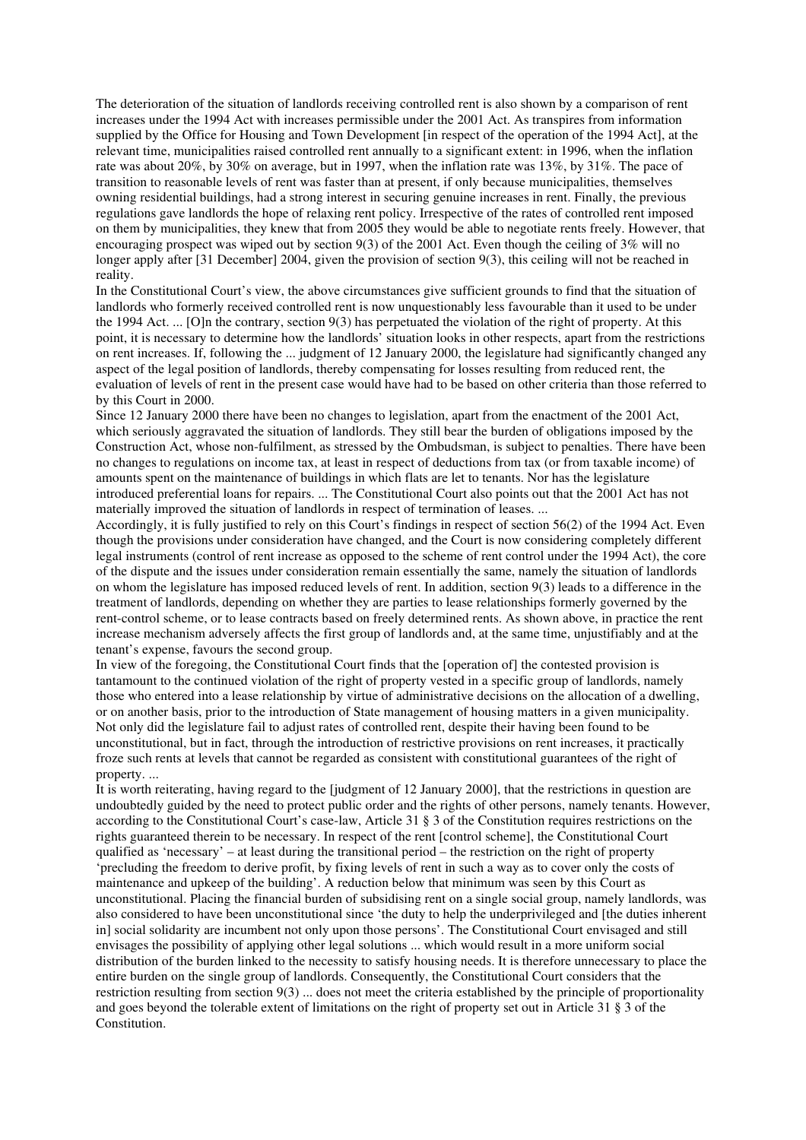The deterioration of the situation of landlords receiving controlled rent is also shown by a comparison of rent increases under the 1994 Act with increases permissible under the 2001 Act. As transpires from information supplied by the Office for Housing and Town Development [in respect of the operation of the 1994 Act], at the relevant time, municipalities raised controlled rent annually to a significant extent: in 1996, when the inflation rate was about 20%, by 30% on average, but in 1997, when the inflation rate was 13%, by 31%. The pace of transition to reasonable levels of rent was faster than at present, if only because municipalities, themselves owning residential buildings, had a strong interest in securing genuine increases in rent. Finally, the previous regulations gave landlords the hope of relaxing rent policy. Irrespective of the rates of controlled rent imposed on them by municipalities, they knew that from 2005 they would be able to negotiate rents freely. However, that encouraging prospect was wiped out by section 9(3) of the 2001 Act. Even though the ceiling of 3% will no longer apply after [31 December] 2004, given the provision of section 9(3), this ceiling will not be reached in reality.

In the Constitutional Court's view, the above circumstances give sufficient grounds to find that the situation of landlords who formerly received controlled rent is now unquestionably less favourable than it used to be under the 1994 Act. ... [O]n the contrary, section 9(3) has perpetuated the violation of the right of property. At this point, it is necessary to determine how the landlords' situation looks in other respects, apart from the restrictions on rent increases. If, following the ... judgment of 12 January 2000, the legislature had significantly changed any aspect of the legal position of landlords, thereby compensating for losses resulting from reduced rent, the evaluation of levels of rent in the present case would have had to be based on other criteria than those referred to by this Court in 2000.

Since 12 January 2000 there have been no changes to legislation, apart from the enactment of the 2001 Act, which seriously aggravated the situation of landlords. They still bear the burden of obligations imposed by the Construction Act, whose non-fulfilment, as stressed by the Ombudsman, is subject to penalties. There have been no changes to regulations on income tax, at least in respect of deductions from tax (or from taxable income) of amounts spent on the maintenance of buildings in which flats are let to tenants. Nor has the legislature introduced preferential loans for repairs. ... The Constitutional Court also points out that the 2001 Act has not materially improved the situation of landlords in respect of termination of leases. ...

Accordingly, it is fully justified to rely on this Court's findings in respect of section 56(2) of the 1994 Act. Even though the provisions under consideration have changed, and the Court is now considering completely different legal instruments (control of rent increase as opposed to the scheme of rent control under the 1994 Act), the core of the dispute and the issues under consideration remain essentially the same, namely the situation of landlords on whom the legislature has imposed reduced levels of rent. In addition, section 9(3) leads to a difference in the treatment of landlords, depending on whether they are parties to lease relationships formerly governed by the rent-control scheme, or to lease contracts based on freely determined rents. As shown above, in practice the rent increase mechanism adversely affects the first group of landlords and, at the same time, unjustifiably and at the tenant's expense, favours the second group.

In view of the foregoing, the Constitutional Court finds that the [operation of] the contested provision is tantamount to the continued violation of the right of property vested in a specific group of landlords, namely those who entered into a lease relationship by virtue of administrative decisions on the allocation of a dwelling, or on another basis, prior to the introduction of State management of housing matters in a given municipality. Not only did the legislature fail to adjust rates of controlled rent, despite their having been found to be unconstitutional, but in fact, through the introduction of restrictive provisions on rent increases, it practically froze such rents at levels that cannot be regarded as consistent with constitutional guarantees of the right of property. ...

It is worth reiterating, having regard to the [judgment of 12 January 2000], that the restrictions in question are undoubtedly guided by the need to protect public order and the rights of other persons, namely tenants. However, according to the Constitutional Court's case-law, Article 31 § 3 of the Constitution requires restrictions on the rights guaranteed therein to be necessary. In respect of the rent [control scheme], the Constitutional Court qualified as 'necessary' – at least during the transitional period – the restriction on the right of property 'precluding the freedom to derive profit, by fixing levels of rent in such a way as to cover only the costs of maintenance and upkeep of the building'. A reduction below that minimum was seen by this Court as unconstitutional. Placing the financial burden of subsidising rent on a single social group, namely landlords, was also considered to have been unconstitutional since 'the duty to help the underprivileged and [the duties inherent in] social solidarity are incumbent not only upon those persons'. The Constitutional Court envisaged and still envisages the possibility of applying other legal solutions ... which would result in a more uniform social distribution of the burden linked to the necessity to satisfy housing needs. It is therefore unnecessary to place the entire burden on the single group of landlords. Consequently, the Constitutional Court considers that the restriction resulting from section 9(3) ... does not meet the criteria established by the principle of proportionality and goes beyond the tolerable extent of limitations on the right of property set out in Article 31 § 3 of the Constitution.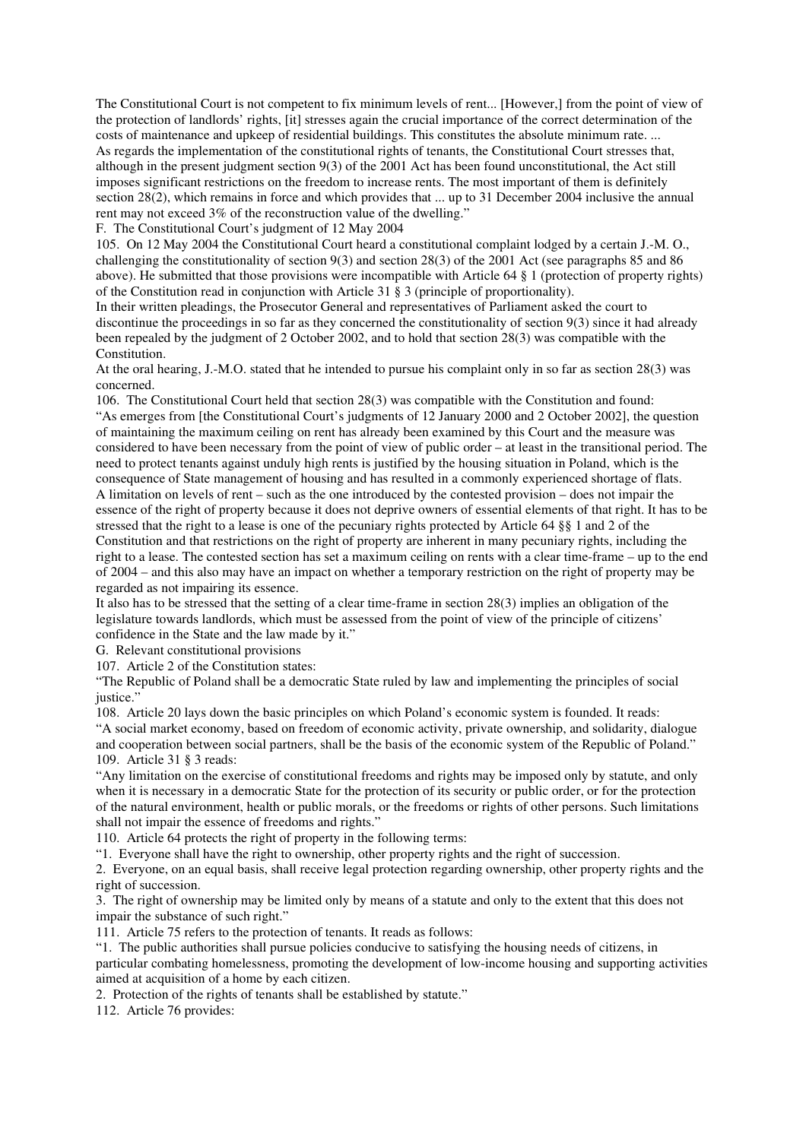The Constitutional Court is not competent to fix minimum levels of rent... [However,] from the point of view of the protection of landlords' rights, [it] stresses again the crucial importance of the correct determination of the costs of maintenance and upkeep of residential buildings. This constitutes the absolute minimum rate. ... As regards the implementation of the constitutional rights of tenants, the Constitutional Court stresses that, although in the present judgment section 9(3) of the 2001 Act has been found unconstitutional, the Act still imposes significant restrictions on the freedom to increase rents. The most important of them is definitely section 28(2), which remains in force and which provides that ... up to 31 December 2004 inclusive the annual rent may not exceed 3% of the reconstruction value of the dwelling."

F. The Constitutional Court's judgment of 12 May 2004

105. On 12 May 2004 the Constitutional Court heard a constitutional complaint lodged by a certain J.-M. O., challenging the constitutionality of section 9(3) and section 28(3) of the 2001 Act (see paragraphs 85 and 86 above). He submitted that those provisions were incompatible with Article 64 § 1 (protection of property rights) of the Constitution read in conjunction with Article 31 § 3 (principle of proportionality).

In their written pleadings, the Prosecutor General and representatives of Parliament asked the court to discontinue the proceedings in so far as they concerned the constitutionality of section 9(3) since it had already been repealed by the judgment of 2 October 2002, and to hold that section 28(3) was compatible with the Constitution.

At the oral hearing, J.-M.O. stated that he intended to pursue his complaint only in so far as section 28(3) was concerned.

106. The Constitutional Court held that section 28(3) was compatible with the Constitution and found: "As emerges from [the Constitutional Court's judgments of 12 January 2000 and 2 October 2002], the question of maintaining the maximum ceiling on rent has already been examined by this Court and the measure was considered to have been necessary from the point of view of public order – at least in the transitional period. The need to protect tenants against unduly high rents is justified by the housing situation in Poland, which is the consequence of State management of housing and has resulted in a commonly experienced shortage of flats. A limitation on levels of rent – such as the one introduced by the contested provision – does not impair the essence of the right of property because it does not deprive owners of essential elements of that right. It has to be stressed that the right to a lease is one of the pecuniary rights protected by Article 64 §§ 1 and 2 of the Constitution and that restrictions on the right of property are inherent in many pecuniary rights, including the right to a lease. The contested section has set a maximum ceiling on rents with a clear time-frame – up to the end of 2004 – and this also may have an impact on whether a temporary restriction on the right of property may be regarded as not impairing its essence.

It also has to be stressed that the setting of a clear time-frame in section 28(3) implies an obligation of the legislature towards landlords, which must be assessed from the point of view of the principle of citizens' confidence in the State and the law made by it."

G. Relevant constitutional provisions

107. Article 2 of the Constitution states:

"The Republic of Poland shall be a democratic State ruled by law and implementing the principles of social justice."

108. Article 20 lays down the basic principles on which Poland's economic system is founded. It reads: "A social market economy, based on freedom of economic activity, private ownership, and solidarity, dialogue and cooperation between social partners, shall be the basis of the economic system of the Republic of Poland." 109. Article 31 § 3 reads:

"Any limitation on the exercise of constitutional freedoms and rights may be imposed only by statute, and only when it is necessary in a democratic State for the protection of its security or public order, or for the protection of the natural environment, health or public morals, or the freedoms or rights of other persons. Such limitations shall not impair the essence of freedoms and rights."

110. Article 64 protects the right of property in the following terms:

"1. Everyone shall have the right to ownership, other property rights and the right of succession.

2. Everyone, on an equal basis, shall receive legal protection regarding ownership, other property rights and the right of succession.

3. The right of ownership may be limited only by means of a statute and only to the extent that this does not impair the substance of such right."

111. Article 75 refers to the protection of tenants. It reads as follows:

"1. The public authorities shall pursue policies conducive to satisfying the housing needs of citizens, in particular combating homelessness, promoting the development of low-income housing and supporting activities aimed at acquisition of a home by each citizen.

2. Protection of the rights of tenants shall be established by statute."

112. Article 76 provides: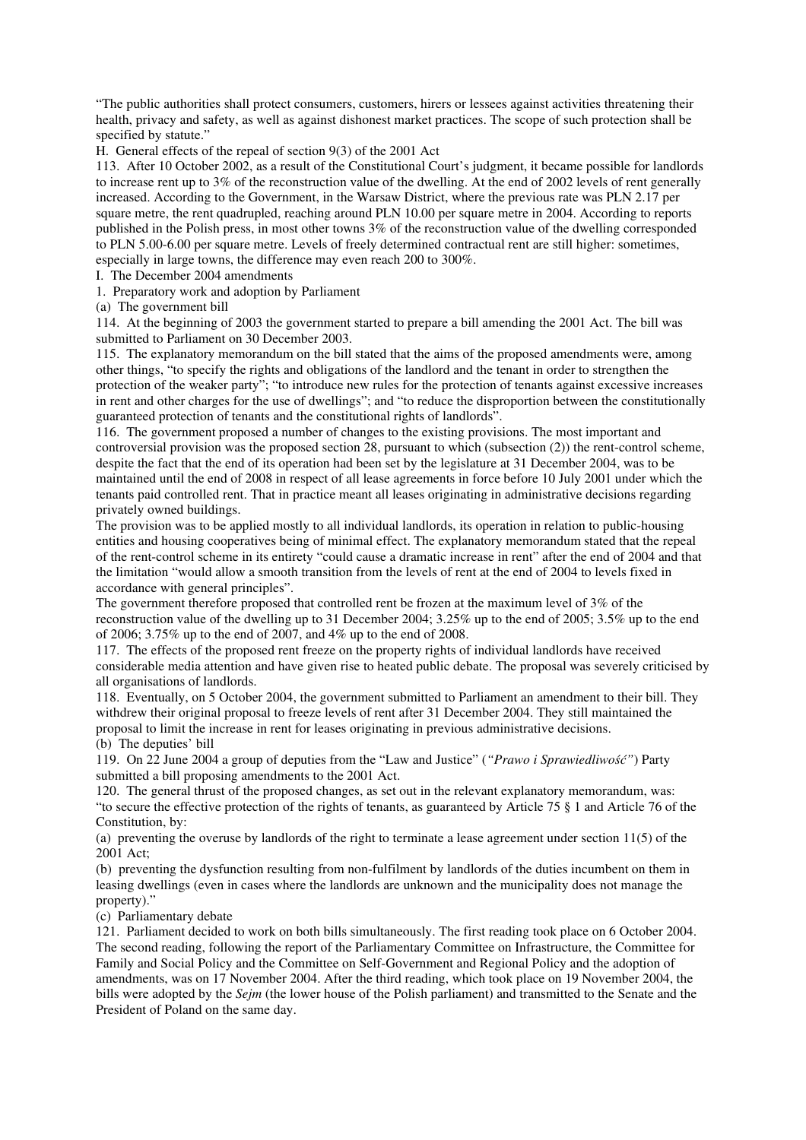"The public authorities shall protect consumers, customers, hirers or lessees against activities threatening their health, privacy and safety, as well as against dishonest market practices. The scope of such protection shall be specified by statute."

H. General effects of the repeal of section 9(3) of the 2001 Act

113. After 10 October 2002, as a result of the Constitutional Court's judgment, it became possible for landlords to increase rent up to 3% of the reconstruction value of the dwelling. At the end of 2002 levels of rent generally increased. According to the Government, in the Warsaw District, where the previous rate was PLN 2.17 per square metre, the rent quadrupled, reaching around PLN 10.00 per square metre in 2004. According to reports published in the Polish press, in most other towns 3% of the reconstruction value of the dwelling corresponded to PLN 5.00-6.00 per square metre. Levels of freely determined contractual rent are still higher: sometimes, especially in large towns, the difference may even reach 200 to 300%.

I. The December 2004 amendments

1. Preparatory work and adoption by Parliament

(a) The government bill

114. At the beginning of 2003 the government started to prepare a bill amending the 2001 Act. The bill was submitted to Parliament on 30 December 2003.

115. The explanatory memorandum on the bill stated that the aims of the proposed amendments were, among other things, "to specify the rights and obligations of the landlord and the tenant in order to strengthen the protection of the weaker party"; "to introduce new rules for the protection of tenants against excessive increases in rent and other charges for the use of dwellings"; and "to reduce the disproportion between the constitutionally guaranteed protection of tenants and the constitutional rights of landlords".

116. The government proposed a number of changes to the existing provisions. The most important and controversial provision was the proposed section 28, pursuant to which (subsection (2)) the rent-control scheme, despite the fact that the end of its operation had been set by the legislature at 31 December 2004, was to be maintained until the end of 2008 in respect of all lease agreements in force before 10 July 2001 under which the tenants paid controlled rent. That in practice meant all leases originating in administrative decisions regarding privately owned buildings.

The provision was to be applied mostly to all individual landlords, its operation in relation to public-housing entities and housing cooperatives being of minimal effect. The explanatory memorandum stated that the repeal of the rent-control scheme in its entirety "could cause a dramatic increase in rent" after the end of 2004 and that the limitation "would allow a smooth transition from the levels of rent at the end of 2004 to levels fixed in accordance with general principles".

The government therefore proposed that controlled rent be frozen at the maximum level of 3% of the reconstruction value of the dwelling up to 31 December 2004; 3.25% up to the end of 2005; 3.5% up to the end of 2006; 3.75% up to the end of 2007, and 4% up to the end of 2008.

117. The effects of the proposed rent freeze on the property rights of individual landlords have received considerable media attention and have given rise to heated public debate. The proposal was severely criticised by all organisations of landlords.

118. Eventually, on 5 October 2004, the government submitted to Parliament an amendment to their bill. They withdrew their original proposal to freeze levels of rent after 31 December 2004. They still maintained the proposal to limit the increase in rent for leases originating in previous administrative decisions. (b) The deputies' bill

119. On 22 June 2004 a group of deputies from the "Law and Justice" (*"Prawo i Sprawiedliwo*ść*"*) Party submitted a bill proposing amendments to the 2001 Act.

120. The general thrust of the proposed changes, as set out in the relevant explanatory memorandum, was: "to secure the effective protection of the rights of tenants, as guaranteed by Article 75 § 1 and Article 76 of the Constitution, by:

(a) preventing the overuse by landlords of the right to terminate a lease agreement under section 11(5) of the 2001 Act;

(b) preventing the dysfunction resulting from non-fulfilment by landlords of the duties incumbent on them in leasing dwellings (even in cases where the landlords are unknown and the municipality does not manage the property)."

(c) Parliamentary debate

121. Parliament decided to work on both bills simultaneously. The first reading took place on 6 October 2004. The second reading, following the report of the Parliamentary Committee on Infrastructure, the Committee for Family and Social Policy and the Committee on Self-Government and Regional Policy and the adoption of amendments, was on 17 November 2004. After the third reading, which took place on 19 November 2004, the bills were adopted by the *Sejm* (the lower house of the Polish parliament) and transmitted to the Senate and the President of Poland on the same day.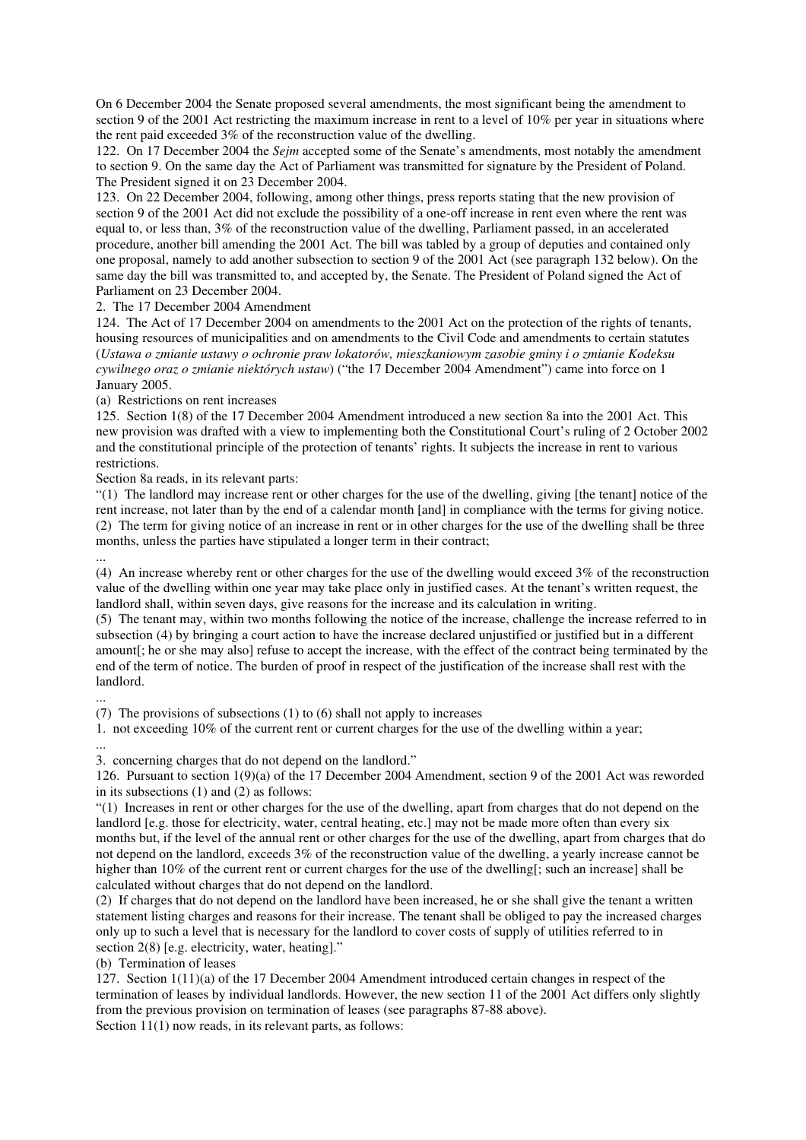On 6 December 2004 the Senate proposed several amendments, the most significant being the amendment to section 9 of the 2001 Act restricting the maximum increase in rent to a level of 10% per year in situations where the rent paid exceeded 3% of the reconstruction value of the dwelling.

122. On 17 December 2004 the *Sejm* accepted some of the Senate's amendments, most notably the amendment to section 9. On the same day the Act of Parliament was transmitted for signature by the President of Poland. The President signed it on 23 December 2004.

123. On 22 December 2004, following, among other things, press reports stating that the new provision of section 9 of the 2001 Act did not exclude the possibility of a one-off increase in rent even where the rent was equal to, or less than, 3% of the reconstruction value of the dwelling, Parliament passed, in an accelerated procedure, another bill amending the 2001 Act. The bill was tabled by a group of deputies and contained only one proposal, namely to add another subsection to section 9 of the 2001 Act (see paragraph 132 below). On the same day the bill was transmitted to, and accepted by, the Senate. The President of Poland signed the Act of Parliament on 23 December 2004.

2. The 17 December 2004 Amendment

124. The Act of 17 December 2004 on amendments to the 2001 Act on the protection of the rights of tenants, housing resources of municipalities and on amendments to the Civil Code and amendments to certain statutes (*Ustawa o zmianie ustawy o ochronie praw lokatorów, mieszkaniowym zasobie gminy i o zmianie Kodeksu cywilnego oraz o zmianie niektórych ustaw*) ("the 17 December 2004 Amendment") came into force on 1 January 2005.

(a) Restrictions on rent increases

125. Section 1(8) of the 17 December 2004 Amendment introduced a new section 8a into the 2001 Act. This new provision was drafted with a view to implementing both the Constitutional Court's ruling of 2 October 2002 and the constitutional principle of the protection of tenants' rights. It subjects the increase in rent to various restrictions.

Section 8a reads, in its relevant parts:

"(1) The landlord may increase rent or other charges for the use of the dwelling, giving [the tenant] notice of the rent increase, not later than by the end of a calendar month [and] in compliance with the terms for giving notice. (2) The term for giving notice of an increase in rent or in other charges for the use of the dwelling shall be three months, unless the parties have stipulated a longer term in their contract;

... (4) An increase whereby rent or other charges for the use of the dwelling would exceed 3% of the reconstruction value of the dwelling within one year may take place only in justified cases. At the tenant's written request, the landlord shall, within seven days, give reasons for the increase and its calculation in writing.

(5) The tenant may, within two months following the notice of the increase, challenge the increase referred to in subsection (4) by bringing a court action to have the increase declared unjustified or justified but in a different amount[; he or she may also] refuse to accept the increase, with the effect of the contract being terminated by the end of the term of notice. The burden of proof in respect of the justification of the increase shall rest with the landlord.

...

(7) The provisions of subsections (1) to (6) shall not apply to increases

1. not exceeding 10% of the current rent or current charges for the use of the dwelling within a year;

...

3. concerning charges that do not depend on the landlord."

126. Pursuant to section 1(9)(a) of the 17 December 2004 Amendment, section 9 of the 2001 Act was reworded in its subsections (1) and (2) as follows:

"(1) Increases in rent or other charges for the use of the dwelling, apart from charges that do not depend on the landlord [e.g. those for electricity, water, central heating, etc.] may not be made more often than every six months but, if the level of the annual rent or other charges for the use of the dwelling, apart from charges that do not depend on the landlord, exceeds 3% of the reconstruction value of the dwelling, a yearly increase cannot be higher than 10% of the current rent or current charges for the use of the dwelling[; such an increase] shall be calculated without charges that do not depend on the landlord.

(2) If charges that do not depend on the landlord have been increased, he or she shall give the tenant a written statement listing charges and reasons for their increase. The tenant shall be obliged to pay the increased charges only up to such a level that is necessary for the landlord to cover costs of supply of utilities referred to in section 2(8) [e.g. electricity, water, heating]."

(b) Termination of leases

127. Section 1(11)(a) of the 17 December 2004 Amendment introduced certain changes in respect of the termination of leases by individual landlords. However, the new section 11 of the 2001 Act differs only slightly from the previous provision on termination of leases (see paragraphs 87-88 above).

Section 11(1) now reads, in its relevant parts, as follows: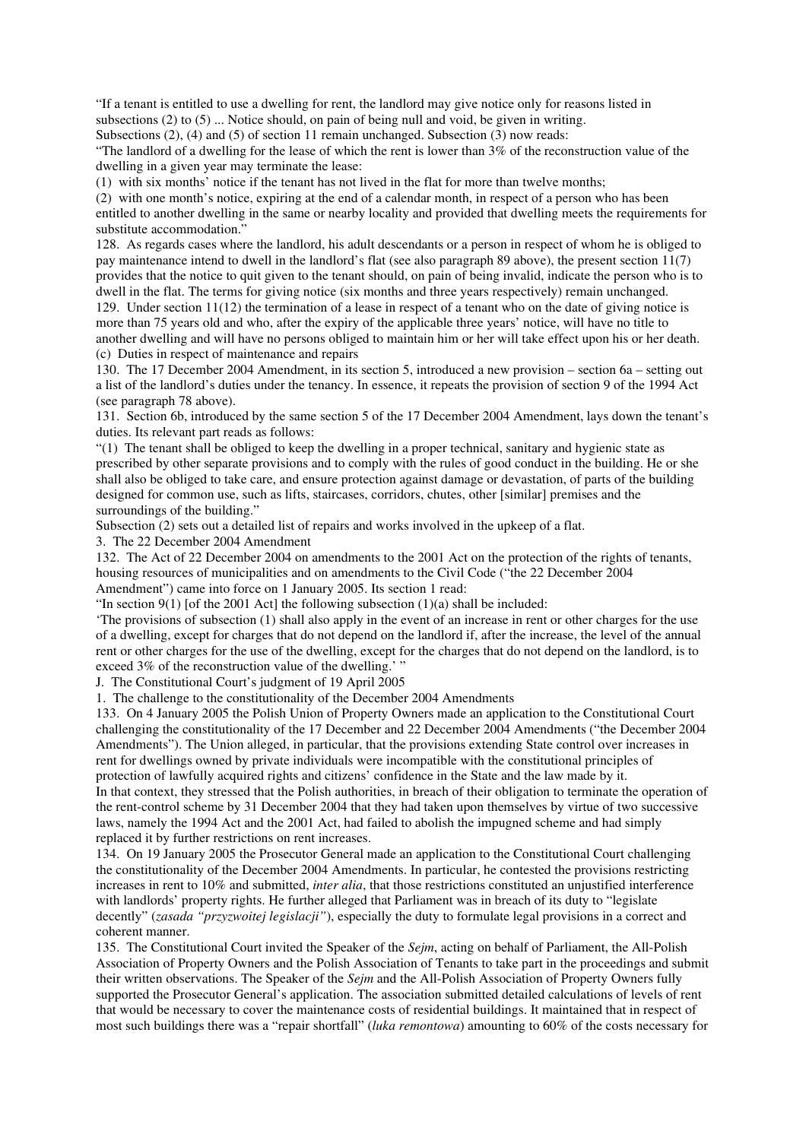"If a tenant is entitled to use a dwelling for rent, the landlord may give notice only for reasons listed in subsections (2) to (5) ... Notice should, on pain of being null and void, be given in writing.

Subsections (2), (4) and (5) of section 11 remain unchanged. Subsection (3) now reads:

"The landlord of a dwelling for the lease of which the rent is lower than 3% of the reconstruction value of the dwelling in a given year may terminate the lease:

(1) with six months' notice if the tenant has not lived in the flat for more than twelve months;

(2) with one month's notice, expiring at the end of a calendar month, in respect of a person who has been entitled to another dwelling in the same or nearby locality and provided that dwelling meets the requirements for substitute accommodation."

128. As regards cases where the landlord, his adult descendants or a person in respect of whom he is obliged to pay maintenance intend to dwell in the landlord's flat (see also paragraph 89 above), the present section 11(7) provides that the notice to quit given to the tenant should, on pain of being invalid, indicate the person who is to dwell in the flat. The terms for giving notice (six months and three years respectively) remain unchanged.

129. Under section 11(12) the termination of a lease in respect of a tenant who on the date of giving notice is more than 75 years old and who, after the expiry of the applicable three years' notice, will have no title to another dwelling and will have no persons obliged to maintain him or her will take effect upon his or her death. (c) Duties in respect of maintenance and repairs

130. The 17 December 2004 Amendment, in its section 5, introduced a new provision – section 6a – setting out a list of the landlord's duties under the tenancy. In essence, it repeats the provision of section 9 of the 1994 Act (see paragraph 78 above).

131. Section 6b, introduced by the same section 5 of the 17 December 2004 Amendment, lays down the tenant's duties. Its relevant part reads as follows:

"(1) The tenant shall be obliged to keep the dwelling in a proper technical, sanitary and hygienic state as prescribed by other separate provisions and to comply with the rules of good conduct in the building. He or she shall also be obliged to take care, and ensure protection against damage or devastation, of parts of the building designed for common use, such as lifts, staircases, corridors, chutes, other [similar] premises and the surroundings of the building."

Subsection (2) sets out a detailed list of repairs and works involved in the upkeep of a flat.

3. The 22 December 2004 Amendment

132. The Act of 22 December 2004 on amendments to the 2001 Act on the protection of the rights of tenants, housing resources of municipalities and on amendments to the Civil Code ("the 22 December 2004 Amendment") came into force on 1 January 2005. Its section 1 read:

"In section  $9(1)$  [of the 2001 Act] the following subsection  $(1)(a)$  shall be included:

'The provisions of subsection (1) shall also apply in the event of an increase in rent or other charges for the use of a dwelling, except for charges that do not depend on the landlord if, after the increase, the level of the annual rent or other charges for the use of the dwelling, except for the charges that do not depend on the landlord, is to exceed 3% of the reconstruction value of the dwelling.' "

J. The Constitutional Court's judgment of 19 April 2005

1. The challenge to the constitutionality of the December 2004 Amendments

133. On 4 January 2005 the Polish Union of Property Owners made an application to the Constitutional Court challenging the constitutionality of the 17 December and 22 December 2004 Amendments ("the December 2004 Amendments"). The Union alleged, in particular, that the provisions extending State control over increases in rent for dwellings owned by private individuals were incompatible with the constitutional principles of protection of lawfully acquired rights and citizens' confidence in the State and the law made by it. In that context, they stressed that the Polish authorities, in breach of their obligation to terminate the operation of the rent-control scheme by 31 December 2004 that they had taken upon themselves by virtue of two successive laws, namely the 1994 Act and the 2001 Act, had failed to abolish the impugned scheme and had simply replaced it by further restrictions on rent increases.

134. On 19 January 2005 the Prosecutor General made an application to the Constitutional Court challenging the constitutionality of the December 2004 Amendments. In particular, he contested the provisions restricting increases in rent to 10% and submitted, *inter alia*, that those restrictions constituted an unjustified interference with landlords' property rights. He further alleged that Parliament was in breach of its duty to "legislate decently" (*zasada "przyzwoitej legislacji"*), especially the duty to formulate legal provisions in a correct and coherent manner.

135. The Constitutional Court invited the Speaker of the *Sejm*, acting on behalf of Parliament, the All-Polish Association of Property Owners and the Polish Association of Tenants to take part in the proceedings and submit their written observations. The Speaker of the *Sejm* and the All-Polish Association of Property Owners fully supported the Prosecutor General's application. The association submitted detailed calculations of levels of rent that would be necessary to cover the maintenance costs of residential buildings. It maintained that in respect of most such buildings there was a "repair shortfall" (*luka remontowa*) amounting to 60% of the costs necessary for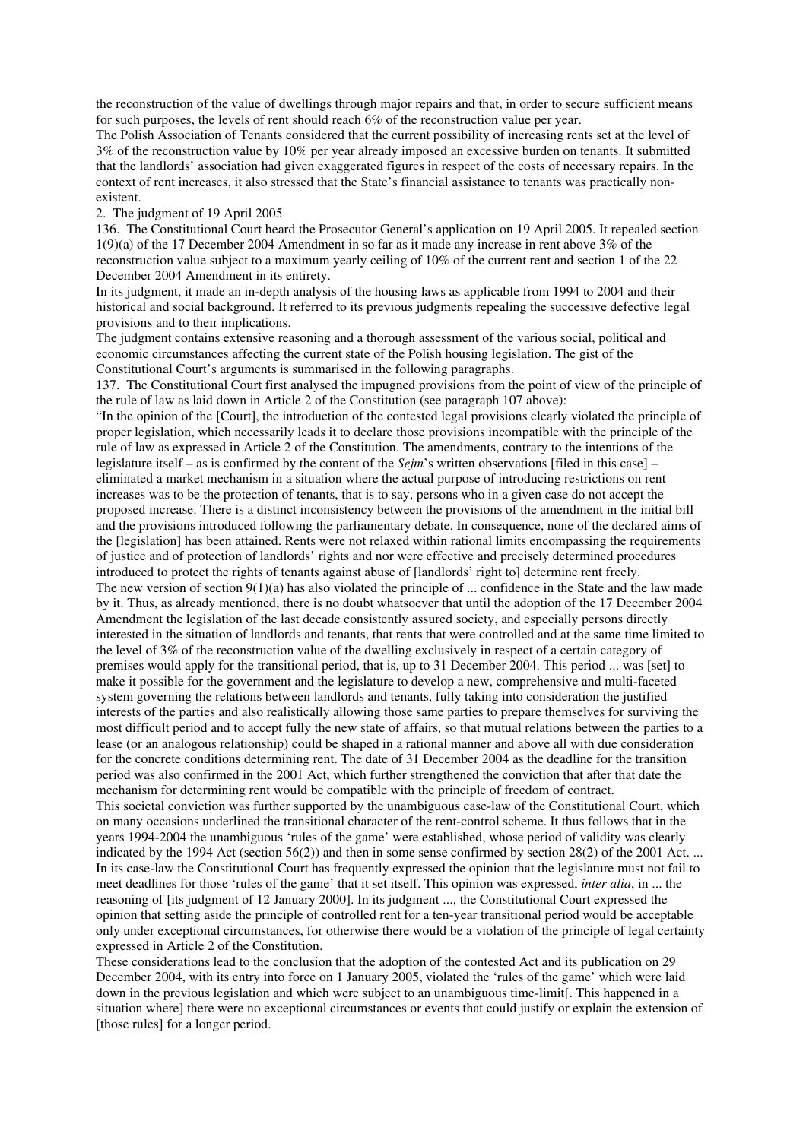the reconstruction of the value of dwellings through major repairs and that, in order to secure sufficient means for such purposes, the levels of rent should reach 6% of the reconstruction value per year.

The Polish Association of Tenants considered that the current possibility of increasing rents set at the level of 3% of the reconstruction value by 10% per year already imposed an excessive burden on tenants. It submitted that the landlords' association had given exaggerated figures in respect of the costs of necessary repairs. In the context of rent increases, it also stressed that the State's financial assistance to tenants was practically nonexistent.

#### 2. The judgment of 19 April 2005

136. The Constitutional Court heard the Prosecutor General's application on 19 April 2005. It repealed section 1(9)(a) of the 17 December 2004 Amendment in so far as it made any increase in rent above 3% of the reconstruction value subject to a maximum yearly ceiling of 10% of the current rent and section 1 of the 22 December 2004 Amendment in its entirety.

In its judgment, it made an in-depth analysis of the housing laws as applicable from 1994 to 2004 and their historical and social background. It referred to its previous judgments repealing the successive defective legal provisions and to their implications.

The judgment contains extensive reasoning and a thorough assessment of the various social, political and economic circumstances affecting the current state of the Polish housing legislation. The gist of the Constitutional Court's arguments is summarised in the following paragraphs.

137. The Constitutional Court first analysed the impugned provisions from the point of view of the principle of the rule of law as laid down in Article 2 of the Constitution (see paragraph 107 above):

"In the opinion of the [Court], the introduction of the contested legal provisions clearly violated the principle of proper legislation, which necessarily leads it to declare those provisions incompatible with the principle of the rule of law as expressed in Article 2 of the Constitution. The amendments, contrary to the intentions of the legislature itself – as is confirmed by the content of the *Sejm*'s written observations [filed in this case] – eliminated a market mechanism in a situation where the actual purpose of introducing restrictions on rent increases was to be the protection of tenants, that is to say, persons who in a given case do not accept the proposed increase. There is a distinct inconsistency between the provisions of the amendment in the initial bill and the provisions introduced following the parliamentary debate. In consequence, none of the declared aims of the [legislation] has been attained. Rents were not relaxed within rational limits encompassing the requirements of justice and of protection of landlords' rights and nor were effective and precisely determined procedures introduced to protect the rights of tenants against abuse of [landlords' right to] determine rent freely. The new version of section 9(1)(a) has also violated the principle of ... confidence in the State and the law made by it. Thus, as already mentioned, there is no doubt whatsoever that until the adoption of the 17 December 2004 Amendment the legislation of the last decade consistently assured society, and especially persons directly interested in the situation of landlords and tenants, that rents that were controlled and at the same time limited to the level of 3% of the reconstruction value of the dwelling exclusively in respect of a certain category of premises would apply for the transitional period, that is, up to 31 December 2004. This period ... was [set] to make it possible for the government and the legislature to develop a new, comprehensive and multi-faceted system governing the relations between landlords and tenants, fully taking into consideration the justified interests of the parties and also realistically allowing those same parties to prepare themselves for surviving the most difficult period and to accept fully the new state of affairs, so that mutual relations between the parties to a lease (or an analogous relationship) could be shaped in a rational manner and above all with due consideration for the concrete conditions determining rent. The date of 31 December 2004 as the deadline for the transition period was also confirmed in the 2001 Act, which further strengthened the conviction that after that date the mechanism for determining rent would be compatible with the principle of freedom of contract.

This societal conviction was further supported by the unambiguous case-law of the Constitutional Court, which on many occasions underlined the transitional character of the rent-control scheme. It thus follows that in the years 1994-2004 the unambiguous 'rules of the game' were established, whose period of validity was clearly indicated by the 1994 Act (section 56(2)) and then in some sense confirmed by section 28(2) of the 2001 Act. ... In its case-law the Constitutional Court has frequently expressed the opinion that the legislature must not fail to meet deadlines for those 'rules of the game' that it set itself. This opinion was expressed, *inter alia*, in ... the reasoning of [its judgment of 12 January 2000]. In its judgment ..., the Constitutional Court expressed the opinion that setting aside the principle of controlled rent for a ten-year transitional period would be acceptable only under exceptional circumstances, for otherwise there would be a violation of the principle of legal certainty expressed in Article 2 of the Constitution.

These considerations lead to the conclusion that the adoption of the contested Act and its publication on 29 December 2004, with its entry into force on 1 January 2005, violated the 'rules of the game' which were laid down in the previous legislation and which were subject to an unambiguous time-limit[. This happened in a situation where] there were no exceptional circumstances or events that could justify or explain the extension of [those rules] for a longer period.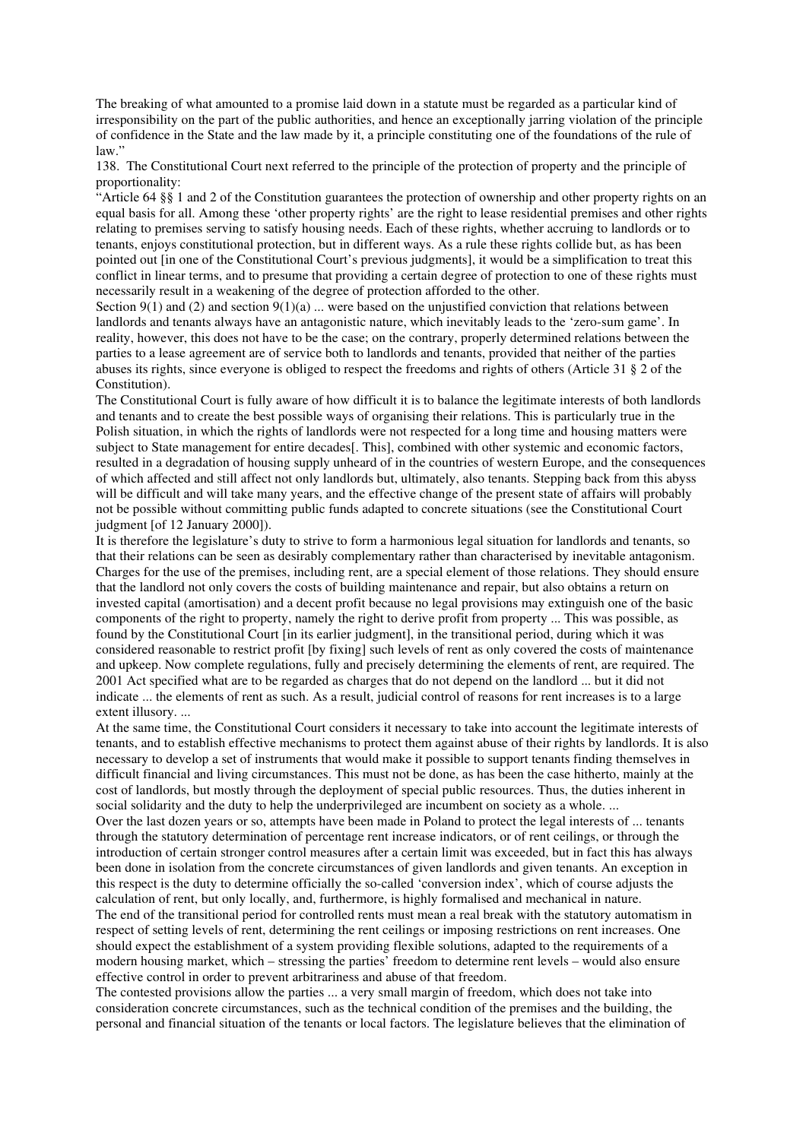The breaking of what amounted to a promise laid down in a statute must be regarded as a particular kind of irresponsibility on the part of the public authorities, and hence an exceptionally jarring violation of the principle of confidence in the State and the law made by it, a principle constituting one of the foundations of the rule of law."

138. The Constitutional Court next referred to the principle of the protection of property and the principle of proportionality:

"Article 64 §§ 1 and 2 of the Constitution guarantees the protection of ownership and other property rights on an equal basis for all. Among these 'other property rights' are the right to lease residential premises and other rights relating to premises serving to satisfy housing needs. Each of these rights, whether accruing to landlords or to tenants, enjoys constitutional protection, but in different ways. As a rule these rights collide but, as has been pointed out [in one of the Constitutional Court's previous judgments], it would be a simplification to treat this conflict in linear terms, and to presume that providing a certain degree of protection to one of these rights must necessarily result in a weakening of the degree of protection afforded to the other.

Section 9(1) and (2) and section 9(1)(a) ... were based on the unjustified conviction that relations between landlords and tenants always have an antagonistic nature, which inevitably leads to the 'zero-sum game'. In reality, however, this does not have to be the case; on the contrary, properly determined relations between the parties to a lease agreement are of service both to landlords and tenants, provided that neither of the parties abuses its rights, since everyone is obliged to respect the freedoms and rights of others (Article 31 § 2 of the Constitution).

The Constitutional Court is fully aware of how difficult it is to balance the legitimate interests of both landlords and tenants and to create the best possible ways of organising their relations. This is particularly true in the Polish situation, in which the rights of landlords were not respected for a long time and housing matters were subject to State management for entire decades[. This], combined with other systemic and economic factors, resulted in a degradation of housing supply unheard of in the countries of western Europe, and the consequences of which affected and still affect not only landlords but, ultimately, also tenants. Stepping back from this abyss will be difficult and will take many years, and the effective change of the present state of affairs will probably not be possible without committing public funds adapted to concrete situations (see the Constitutional Court judgment [of 12 January 2000]).

It is therefore the legislature's duty to strive to form a harmonious legal situation for landlords and tenants, so that their relations can be seen as desirably complementary rather than characterised by inevitable antagonism. Charges for the use of the premises, including rent, are a special element of those relations. They should ensure that the landlord not only covers the costs of building maintenance and repair, but also obtains a return on invested capital (amortisation) and a decent profit because no legal provisions may extinguish one of the basic components of the right to property, namely the right to derive profit from property ... This was possible, as found by the Constitutional Court [in its earlier judgment], in the transitional period, during which it was considered reasonable to restrict profit [by fixing] such levels of rent as only covered the costs of maintenance and upkeep. Now complete regulations, fully and precisely determining the elements of rent, are required. The 2001 Act specified what are to be regarded as charges that do not depend on the landlord ... but it did not indicate ... the elements of rent as such. As a result, judicial control of reasons for rent increases is to a large extent illusory. ...

At the same time, the Constitutional Court considers it necessary to take into account the legitimate interests of tenants, and to establish effective mechanisms to protect them against abuse of their rights by landlords. It is also necessary to develop a set of instruments that would make it possible to support tenants finding themselves in difficult financial and living circumstances. This must not be done, as has been the case hitherto, mainly at the cost of landlords, but mostly through the deployment of special public resources. Thus, the duties inherent in social solidarity and the duty to help the underprivileged are incumbent on society as a whole. ...

Over the last dozen years or so, attempts have been made in Poland to protect the legal interests of ... tenants through the statutory determination of percentage rent increase indicators, or of rent ceilings, or through the introduction of certain stronger control measures after a certain limit was exceeded, but in fact this has always been done in isolation from the concrete circumstances of given landlords and given tenants. An exception in this respect is the duty to determine officially the so-called 'conversion index', which of course adjusts the calculation of rent, but only locally, and, furthermore, is highly formalised and mechanical in nature. The end of the transitional period for controlled rents must mean a real break with the statutory automatism in respect of setting levels of rent, determining the rent ceilings or imposing restrictions on rent increases. One should expect the establishment of a system providing flexible solutions, adapted to the requirements of a modern housing market, which – stressing the parties' freedom to determine rent levels – would also ensure effective control in order to prevent arbitrariness and abuse of that freedom.

The contested provisions allow the parties ... a very small margin of freedom, which does not take into consideration concrete circumstances, such as the technical condition of the premises and the building, the personal and financial situation of the tenants or local factors. The legislature believes that the elimination of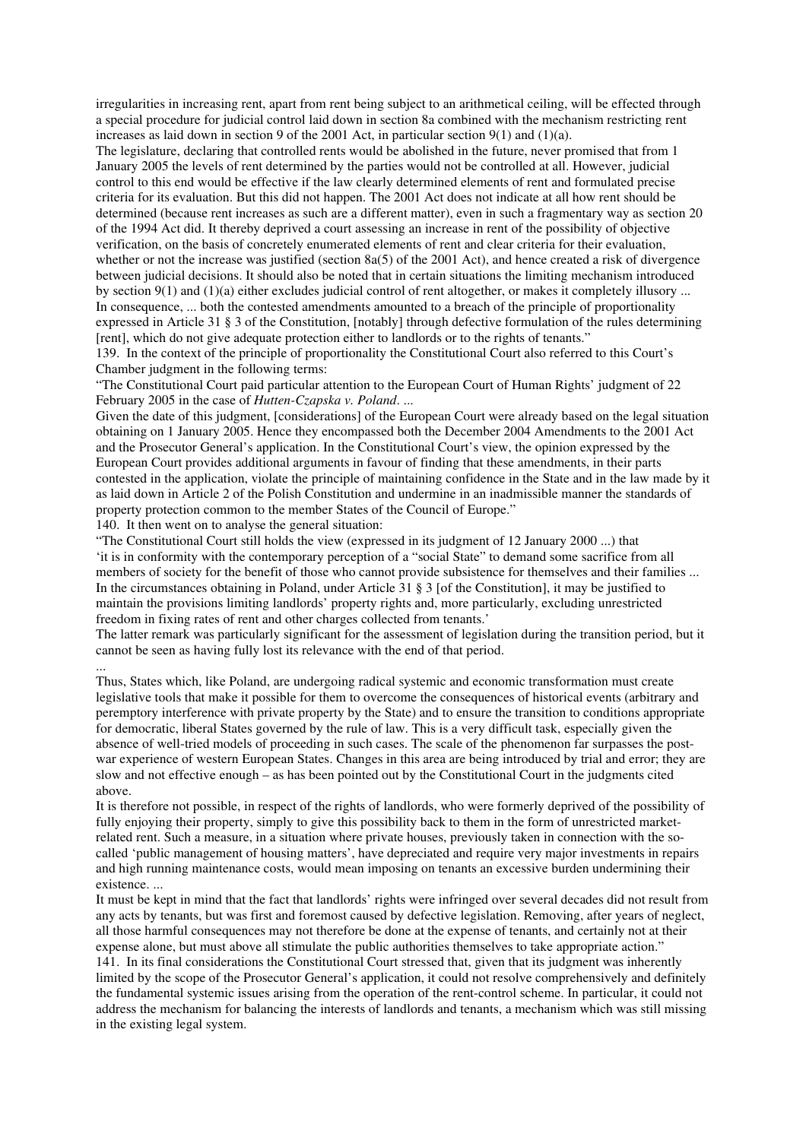irregularities in increasing rent, apart from rent being subject to an arithmetical ceiling, will be effected through a special procedure for judicial control laid down in section 8a combined with the mechanism restricting rent increases as laid down in section 9 of the 2001 Act, in particular section 9(1) and (1)(a).

The legislature, declaring that controlled rents would be abolished in the future, never promised that from 1 January 2005 the levels of rent determined by the parties would not be controlled at all. However, judicial control to this end would be effective if the law clearly determined elements of rent and formulated precise criteria for its evaluation. But this did not happen. The 2001 Act does not indicate at all how rent should be determined (because rent increases as such are a different matter), even in such a fragmentary way as section 20 of the 1994 Act did. It thereby deprived a court assessing an increase in rent of the possibility of objective verification, on the basis of concretely enumerated elements of rent and clear criteria for their evaluation, whether or not the increase was justified (section 8a(5) of the 2001 Act), and hence created a risk of divergence between judicial decisions. It should also be noted that in certain situations the limiting mechanism introduced by section 9(1) and (1)(a) either excludes judicial control of rent altogether, or makes it completely illusory ... In consequence, ... both the contested amendments amounted to a breach of the principle of proportionality expressed in Article 31 § 3 of the Constitution, [notably] through defective formulation of the rules determining [rent], which do not give adequate protection either to landlords or to the rights of tenants."

139. In the context of the principle of proportionality the Constitutional Court also referred to this Court's Chamber judgment in the following terms:

"The Constitutional Court paid particular attention to the European Court of Human Rights' judgment of 22 February 2005 in the case of *Hutten-Czapska v. Poland*. ...

Given the date of this judgment, [considerations] of the European Court were already based on the legal situation obtaining on 1 January 2005. Hence they encompassed both the December 2004 Amendments to the 2001 Act and the Prosecutor General's application. In the Constitutional Court's view, the opinion expressed by the European Court provides additional arguments in favour of finding that these amendments, in their parts contested in the application, violate the principle of maintaining confidence in the State and in the law made by it as laid down in Article 2 of the Polish Constitution and undermine in an inadmissible manner the standards of property protection common to the member States of the Council of Europe."

140. It then went on to analyse the general situation:

"The Constitutional Court still holds the view (expressed in its judgment of 12 January 2000 ...) that 'it is in conformity with the contemporary perception of a "social State" to demand some sacrifice from all members of society for the benefit of those who cannot provide subsistence for themselves and their families ... In the circumstances obtaining in Poland, under Article 31 § 3 [of the Constitution], it may be justified to maintain the provisions limiting landlords' property rights and, more particularly, excluding unrestricted freedom in fixing rates of rent and other charges collected from tenants.'

The latter remark was particularly significant for the assessment of legislation during the transition period, but it cannot be seen as having fully lost its relevance with the end of that period.

# ...

Thus, States which, like Poland, are undergoing radical systemic and economic transformation must create legislative tools that make it possible for them to overcome the consequences of historical events (arbitrary and peremptory interference with private property by the State) and to ensure the transition to conditions appropriate for democratic, liberal States governed by the rule of law. This is a very difficult task, especially given the absence of well-tried models of proceeding in such cases. The scale of the phenomenon far surpasses the postwar experience of western European States. Changes in this area are being introduced by trial and error; they are slow and not effective enough – as has been pointed out by the Constitutional Court in the judgments cited above.

It is therefore not possible, in respect of the rights of landlords, who were formerly deprived of the possibility of fully enjoying their property, simply to give this possibility back to them in the form of unrestricted marketrelated rent. Such a measure, in a situation where private houses, previously taken in connection with the socalled 'public management of housing matters', have depreciated and require very major investments in repairs and high running maintenance costs, would mean imposing on tenants an excessive burden undermining their existence. ...

It must be kept in mind that the fact that landlords' rights were infringed over several decades did not result from any acts by tenants, but was first and foremost caused by defective legislation. Removing, after years of neglect, all those harmful consequences may not therefore be done at the expense of tenants, and certainly not at their expense alone, but must above all stimulate the public authorities themselves to take appropriate action." 141. In its final considerations the Constitutional Court stressed that, given that its judgment was inherently limited by the scope of the Prosecutor General's application, it could not resolve comprehensively and definitely the fundamental systemic issues arising from the operation of the rent-control scheme. In particular, it could not address the mechanism for balancing the interests of landlords and tenants, a mechanism which was still missing in the existing legal system.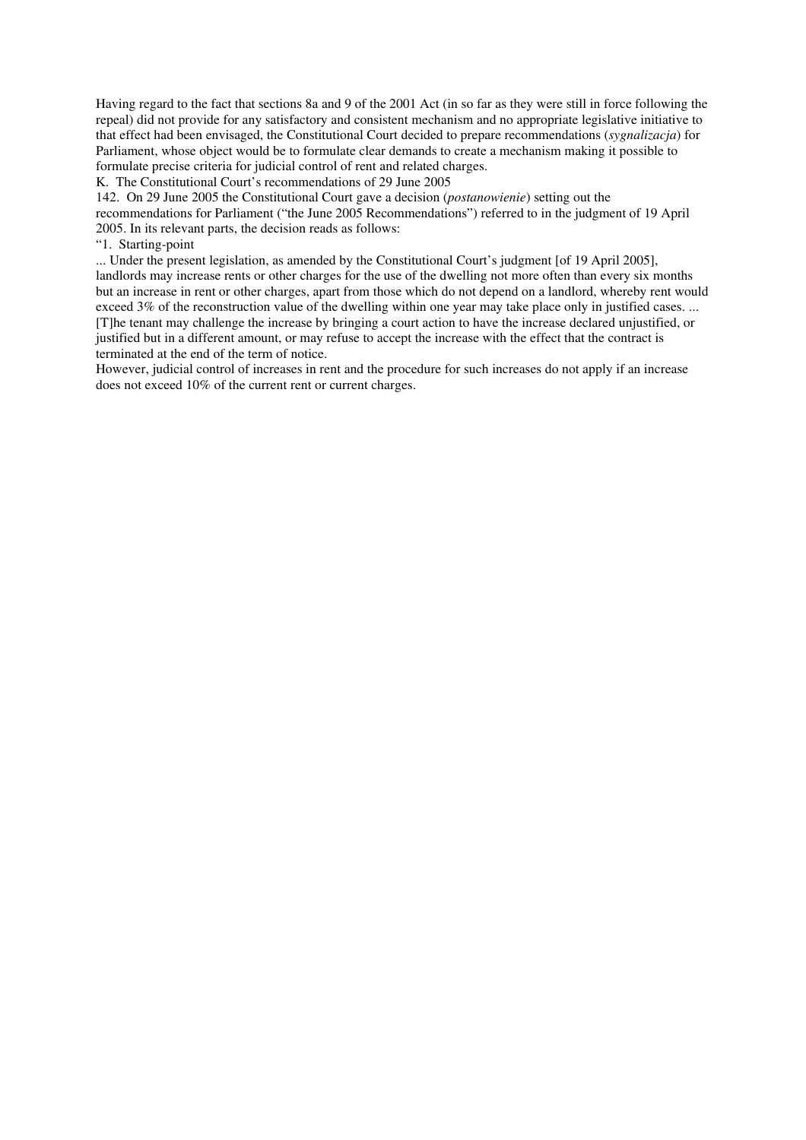Having regard to the fact that sections 8a and 9 of the 2001 Act (in so far as they were still in force following the repeal) did not provide for any satisfactory and consistent mechanism and no appropriate legislative initiative to that effect had been envisaged, the Constitutional Court decided to prepare recommendations (*sygnalizacja*) for Parliament, whose object would be to formulate clear demands to create a mechanism making it possible to formulate precise criteria for judicial control of rent and related charges.

K. The Constitutional Court's recommendations of 29 June 2005

142. On 29 June 2005 the Constitutional Court gave a decision (*postanowienie*) setting out the recommendations for Parliament ("the June 2005 Recommendations") referred to in the judgment of 19 April 2005. In its relevant parts, the decision reads as follows:

"1. Starting-point

... Under the present legislation, as amended by the Constitutional Court's judgment [of 19 April 2005], landlords may increase rents or other charges for the use of the dwelling not more often than every six months but an increase in rent or other charges, apart from those which do not depend on a landlord, whereby rent would exceed 3% of the reconstruction value of the dwelling within one year may take place only in justified cases. ... [T]he tenant may challenge the increase by bringing a court action to have the increase declared unjustified, or justified but in a different amount, or may refuse to accept the increase with the effect that the contract is terminated at the end of the term of notice.

However, judicial control of increases in rent and the procedure for such increases do not apply if an increase does not exceed 10% of the current rent or current charges.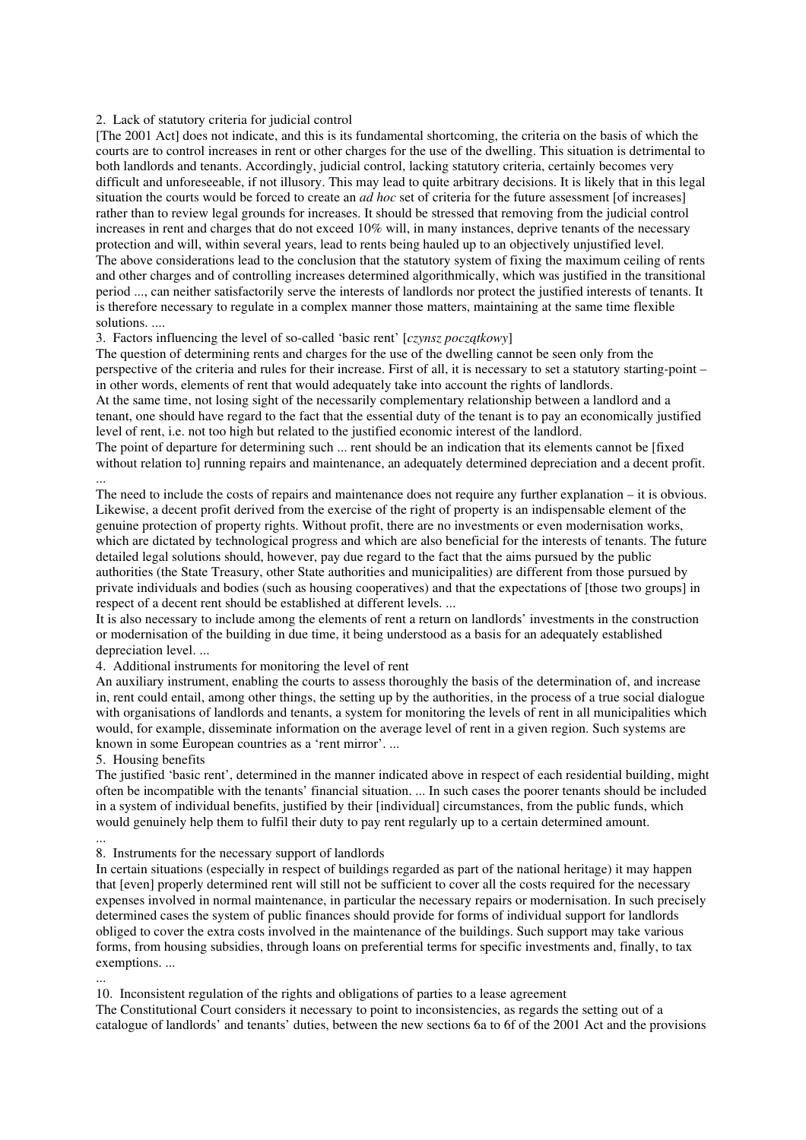### 2. Lack of statutory criteria for judicial control

[The 2001 Act] does not indicate, and this is its fundamental shortcoming, the criteria on the basis of which the courts are to control increases in rent or other charges for the use of the dwelling. This situation is detrimental to both landlords and tenants. Accordingly, judicial control, lacking statutory criteria, certainly becomes very difficult and unforeseeable, if not illusory. This may lead to quite arbitrary decisions. It is likely that in this legal situation the courts would be forced to create an *ad hoc* set of criteria for the future assessment [of increases] rather than to review legal grounds for increases. It should be stressed that removing from the judicial control increases in rent and charges that do not exceed 10% will, in many instances, deprive tenants of the necessary protection and will, within several years, lead to rents being hauled up to an objectively unjustified level. The above considerations lead to the conclusion that the statutory system of fixing the maximum ceiling of rents and other charges and of controlling increases determined algorithmically, which was justified in the transitional period ..., can neither satisfactorily serve the interests of landlords nor protect the justified interests of tenants. It is therefore necessary to regulate in a complex manner those matters, maintaining at the same time flexible solutions. ....

3. Factors influencing the level of so-called 'basic rent' [*czynsz pocz*ą*tkowy*]

The question of determining rents and charges for the use of the dwelling cannot be seen only from the perspective of the criteria and rules for their increase. First of all, it is necessary to set a statutory starting-point – in other words, elements of rent that would adequately take into account the rights of landlords. At the same time, not losing sight of the necessarily complementary relationship between a landlord and a

tenant, one should have regard to the fact that the essential duty of the tenant is to pay an economically justified level of rent, i.e. not too high but related to the justified economic interest of the landlord.

The point of departure for determining such ... rent should be an indication that its elements cannot be [fixed without relation to] running repairs and maintenance, an adequately determined depreciation and a decent profit. ...

The need to include the costs of repairs and maintenance does not require any further explanation – it is obvious. Likewise, a decent profit derived from the exercise of the right of property is an indispensable element of the genuine protection of property rights. Without profit, there are no investments or even modernisation works, which are dictated by technological progress and which are also beneficial for the interests of tenants. The future detailed legal solutions should, however, pay due regard to the fact that the aims pursued by the public authorities (the State Treasury, other State authorities and municipalities) are different from those pursued by private individuals and bodies (such as housing cooperatives) and that the expectations of [those two groups] in respect of a decent rent should be established at different levels. ...

It is also necessary to include among the elements of rent a return on landlords' investments in the construction or modernisation of the building in due time, it being understood as a basis for an adequately established depreciation level. ...

4. Additional instruments for monitoring the level of rent

An auxiliary instrument, enabling the courts to assess thoroughly the basis of the determination of, and increase in, rent could entail, among other things, the setting up by the authorities, in the process of a true social dialogue with organisations of landlords and tenants, a system for monitoring the levels of rent in all municipalities which would, for example, disseminate information on the average level of rent in a given region. Such systems are known in some European countries as a 'rent mirror'. ...

5. Housing benefits

...

The justified 'basic rent', determined in the manner indicated above in respect of each residential building, might often be incompatible with the tenants' financial situation. ... In such cases the poorer tenants should be included in a system of individual benefits, justified by their [individual] circumstances, from the public funds, which would genuinely help them to fulfil their duty to pay rent regularly up to a certain determined amount.

8. Instruments for the necessary support of landlords

In certain situations (especially in respect of buildings regarded as part of the national heritage) it may happen that [even] properly determined rent will still not be sufficient to cover all the costs required for the necessary expenses involved in normal maintenance, in particular the necessary repairs or modernisation. In such precisely determined cases the system of public finances should provide for forms of individual support for landlords obliged to cover the extra costs involved in the maintenance of the buildings. Such support may take various forms, from housing subsidies, through loans on preferential terms for specific investments and, finally, to tax exemptions. ...

... 10. Inconsistent regulation of the rights and obligations of parties to a lease agreement

The Constitutional Court considers it necessary to point to inconsistencies, as regards the setting out of a catalogue of landlords' and tenants' duties, between the new sections 6a to 6f of the 2001 Act and the provisions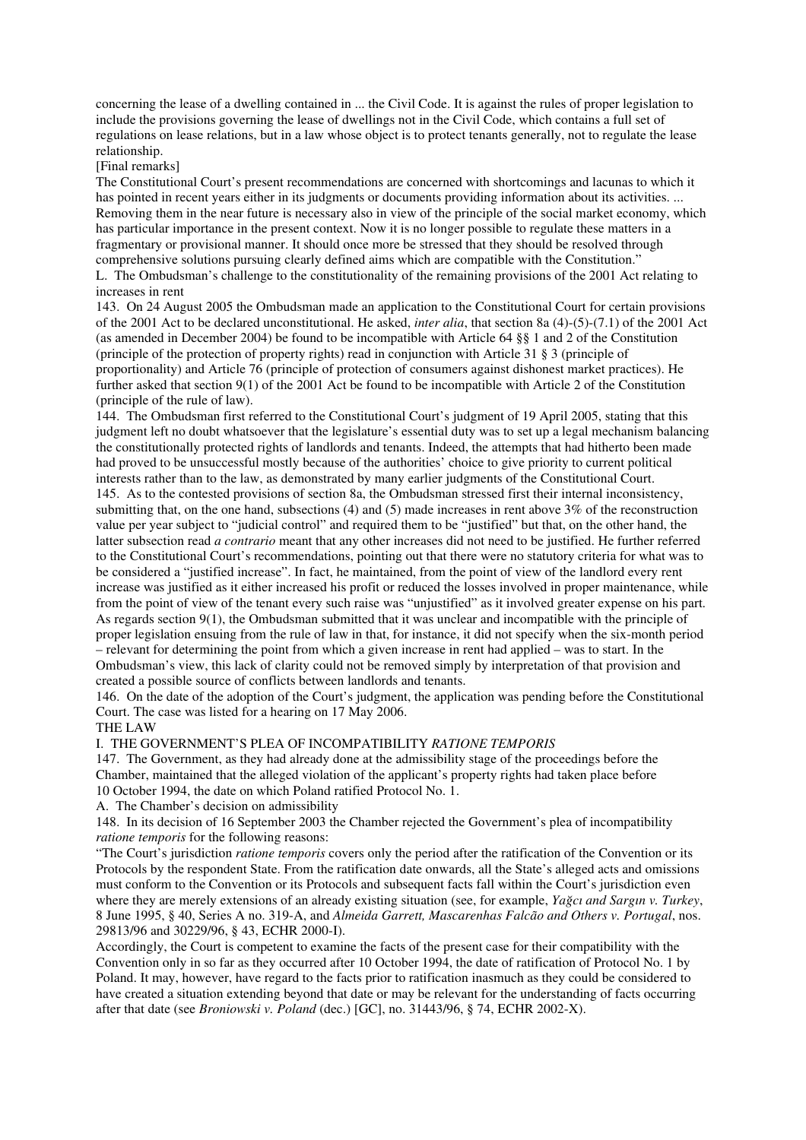concerning the lease of a dwelling contained in ... the Civil Code. It is against the rules of proper legislation to include the provisions governing the lease of dwellings not in the Civil Code, which contains a full set of regulations on lease relations, but in a law whose object is to protect tenants generally, not to regulate the lease relationship.

[Final remarks]

The Constitutional Court's present recommendations are concerned with shortcomings and lacunas to which it has pointed in recent years either in its judgments or documents providing information about its activities. ... Removing them in the near future is necessary also in view of the principle of the social market economy, which has particular importance in the present context. Now it is no longer possible to regulate these matters in a fragmentary or provisional manner. It should once more be stressed that they should be resolved through comprehensive solutions pursuing clearly defined aims which are compatible with the Constitution."

L. The Ombudsman's challenge to the constitutionality of the remaining provisions of the 2001 Act relating to increases in rent

143. On 24 August 2005 the Ombudsman made an application to the Constitutional Court for certain provisions of the 2001 Act to be declared unconstitutional. He asked, *inter alia*, that section 8a (4)-(5)-(7.1) of the 2001 Act (as amended in December 2004) be found to be incompatible with Article 64 §§ 1 and 2 of the Constitution (principle of the protection of property rights) read in conjunction with Article 31 § 3 (principle of proportionality) and Article 76 (principle of protection of consumers against dishonest market practices). He further asked that section 9(1) of the 2001 Act be found to be incompatible with Article 2 of the Constitution (principle of the rule of law).

144. The Ombudsman first referred to the Constitutional Court's judgment of 19 April 2005, stating that this judgment left no doubt whatsoever that the legislature's essential duty was to set up a legal mechanism balancing the constitutionally protected rights of landlords and tenants. Indeed, the attempts that had hitherto been made had proved to be unsuccessful mostly because of the authorities' choice to give priority to current political interests rather than to the law, as demonstrated by many earlier judgments of the Constitutional Court. 145. As to the contested provisions of section 8a, the Ombudsman stressed first their internal inconsistency, submitting that, on the one hand, subsections (4) and (5) made increases in rent above 3% of the reconstruction value per year subject to "judicial control" and required them to be "justified" but that, on the other hand, the latter subsection read *a contrario* meant that any other increases did not need to be justified. He further referred to the Constitutional Court's recommendations, pointing out that there were no statutory criteria for what was to be considered a "justified increase". In fact, he maintained, from the point of view of the landlord every rent increase was justified as it either increased his profit or reduced the losses involved in proper maintenance, while from the point of view of the tenant every such raise was "unjustified" as it involved greater expense on his part. As regards section 9(1), the Ombudsman submitted that it was unclear and incompatible with the principle of proper legislation ensuing from the rule of law in that, for instance, it did not specify when the six-month period – relevant for determining the point from which a given increase in rent had applied – was to start. In the Ombudsman's view, this lack of clarity could not be removed simply by interpretation of that provision and created a possible source of conflicts between landlords and tenants.

146. On the date of the adoption of the Court's judgment, the application was pending before the Constitutional Court. The case was listed for a hearing on 17 May 2006.

#### THE LAW

I. THE GOVERNMENT'S PLEA OF INCOMPATIBILITY *RATIONE TEMPORIS*

147. The Government, as they had already done at the admissibility stage of the proceedings before the Chamber, maintained that the alleged violation of the applicant's property rights had taken place before 10 October 1994, the date on which Poland ratified Protocol No. 1.

A. The Chamber's decision on admissibility

148. In its decision of 16 September 2003 the Chamber rejected the Government's plea of incompatibility *ratione temporis* for the following reasons:

"The Court's jurisdiction *ratione temporis* covers only the period after the ratification of the Convention or its Protocols by the respondent State. From the ratification date onwards, all the State's alleged acts and omissions must conform to the Convention or its Protocols and subsequent facts fall within the Court's jurisdiction even where they are merely extensions of an already existing situation (see, for example, *Ya*ğ*cı and Sargın v. Turkey*, 8 June 1995, § 40, Series A no. 319-A, and *Almeida Garrett, Mascarenhas Falcão and Others v. Portugal*, nos. 29813/96 and 30229/96, § 43, ECHR 2000-I).

Accordingly, the Court is competent to examine the facts of the present case for their compatibility with the Convention only in so far as they occurred after 10 October 1994, the date of ratification of Protocol No. 1 by Poland. It may, however, have regard to the facts prior to ratification inasmuch as they could be considered to have created a situation extending beyond that date or may be relevant for the understanding of facts occurring after that date (see *Broniowski v. Poland* (dec.) [GC], no. 31443/96, § 74, ECHR 2002-X).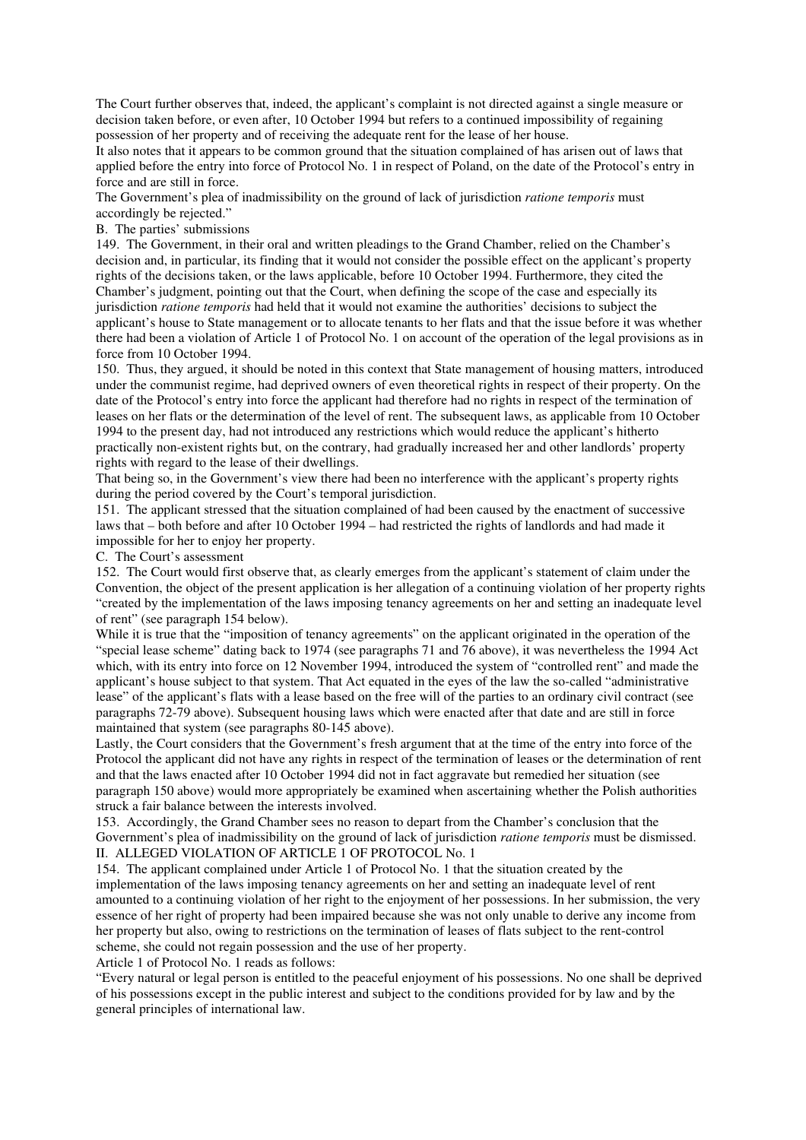The Court further observes that, indeed, the applicant's complaint is not directed against a single measure or decision taken before, or even after, 10 October 1994 but refers to a continued impossibility of regaining possession of her property and of receiving the adequate rent for the lease of her house.

It also notes that it appears to be common ground that the situation complained of has arisen out of laws that applied before the entry into force of Protocol No. 1 in respect of Poland, on the date of the Protocol's entry in force and are still in force.

The Government's plea of inadmissibility on the ground of lack of jurisdiction *ratione temporis* must accordingly be rejected."

B. The parties' submissions

149. The Government, in their oral and written pleadings to the Grand Chamber, relied on the Chamber's decision and, in particular, its finding that it would not consider the possible effect on the applicant's property rights of the decisions taken, or the laws applicable, before 10 October 1994. Furthermore, they cited the Chamber's judgment, pointing out that the Court, when defining the scope of the case and especially its jurisdiction *ratione temporis* had held that it would not examine the authorities' decisions to subject the applicant's house to State management or to allocate tenants to her flats and that the issue before it was whether there had been a violation of Article 1 of Protocol No. 1 on account of the operation of the legal provisions as in force from 10 October 1994.

150. Thus, they argued, it should be noted in this context that State management of housing matters, introduced under the communist regime, had deprived owners of even theoretical rights in respect of their property. On the date of the Protocol's entry into force the applicant had therefore had no rights in respect of the termination of leases on her flats or the determination of the level of rent. The subsequent laws, as applicable from 10 October 1994 to the present day, had not introduced any restrictions which would reduce the applicant's hitherto practically non-existent rights but, on the contrary, had gradually increased her and other landlords' property rights with regard to the lease of their dwellings.

That being so, in the Government's view there had been no interference with the applicant's property rights during the period covered by the Court's temporal jurisdiction.

151. The applicant stressed that the situation complained of had been caused by the enactment of successive laws that – both before and after 10 October 1994 – had restricted the rights of landlords and had made it impossible for her to enjoy her property.

C. The Court's assessment

152. The Court would first observe that, as clearly emerges from the applicant's statement of claim under the Convention, the object of the present application is her allegation of a continuing violation of her property rights "created by the implementation of the laws imposing tenancy agreements on her and setting an inadequate level of rent" (see paragraph 154 below).

While it is true that the "imposition of tenancy agreements" on the applicant originated in the operation of the "special lease scheme" dating back to 1974 (see paragraphs 71 and 76 above), it was nevertheless the 1994 Act which, with its entry into force on 12 November 1994, introduced the system of "controlled rent" and made the applicant's house subject to that system. That Act equated in the eyes of the law the so-called "administrative lease" of the applicant's flats with a lease based on the free will of the parties to an ordinary civil contract (see paragraphs 72-79 above). Subsequent housing laws which were enacted after that date and are still in force maintained that system (see paragraphs 80-145 above).

Lastly, the Court considers that the Government's fresh argument that at the time of the entry into force of the Protocol the applicant did not have any rights in respect of the termination of leases or the determination of rent and that the laws enacted after 10 October 1994 did not in fact aggravate but remedied her situation (see paragraph 150 above) would more appropriately be examined when ascertaining whether the Polish authorities struck a fair balance between the interests involved.

153. Accordingly, the Grand Chamber sees no reason to depart from the Chamber's conclusion that the Government's plea of inadmissibility on the ground of lack of jurisdiction *ratione temporis* must be dismissed. II. ALLEGED VIOLATION OF ARTICLE 1 OF PROTOCOL No. 1

154. The applicant complained under Article 1 of Protocol No. 1 that the situation created by the implementation of the laws imposing tenancy agreements on her and setting an inadequate level of rent amounted to a continuing violation of her right to the enjoyment of her possessions. In her submission, the very essence of her right of property had been impaired because she was not only unable to derive any income from her property but also, owing to restrictions on the termination of leases of flats subject to the rent-control scheme, she could not regain possession and the use of her property.

Article 1 of Protocol No. 1 reads as follows:

"Every natural or legal person is entitled to the peaceful enjoyment of his possessions. No one shall be deprived of his possessions except in the public interest and subject to the conditions provided for by law and by the general principles of international law.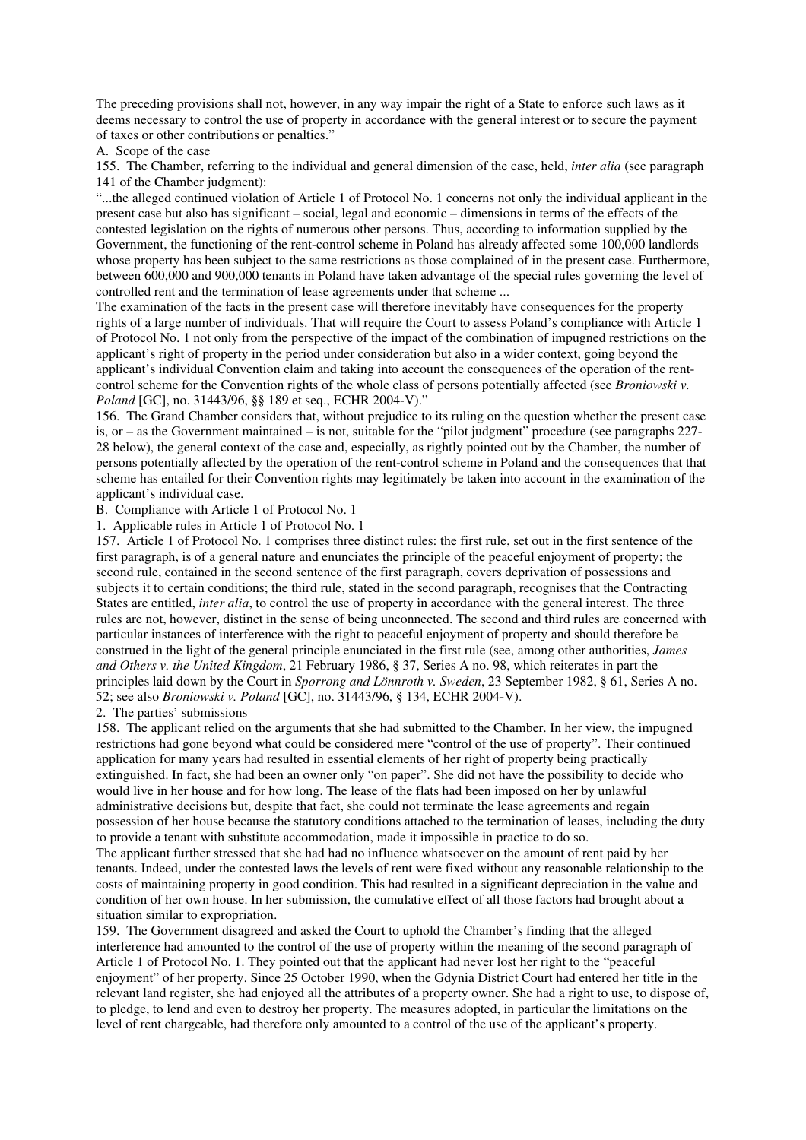The preceding provisions shall not, however, in any way impair the right of a State to enforce such laws as it deems necessary to control the use of property in accordance with the general interest or to secure the payment of taxes or other contributions or penalties."

A. Scope of the case

155. The Chamber, referring to the individual and general dimension of the case, held, *inter alia* (see paragraph 141 of the Chamber judgment):

"...the alleged continued violation of Article 1 of Protocol No. 1 concerns not only the individual applicant in the present case but also has significant – social, legal and economic – dimensions in terms of the effects of the contested legislation on the rights of numerous other persons. Thus, according to information supplied by the Government, the functioning of the rent-control scheme in Poland has already affected some 100,000 landlords whose property has been subject to the same restrictions as those complained of in the present case. Furthermore, between 600,000 and 900,000 tenants in Poland have taken advantage of the special rules governing the level of controlled rent and the termination of lease agreements under that scheme ...

The examination of the facts in the present case will therefore inevitably have consequences for the property rights of a large number of individuals. That will require the Court to assess Poland's compliance with Article 1 of Protocol No. 1 not only from the perspective of the impact of the combination of impugned restrictions on the applicant's right of property in the period under consideration but also in a wider context, going beyond the applicant's individual Convention claim and taking into account the consequences of the operation of the rentcontrol scheme for the Convention rights of the whole class of persons potentially affected (see *Broniowski v. Poland* [GC], no. 31443/96, §§ 189 et seq., ECHR 2004-V)."

156. The Grand Chamber considers that, without prejudice to its ruling on the question whether the present case is, or – as the Government maintained – is not, suitable for the "pilot judgment" procedure (see paragraphs 227- 28 below), the general context of the case and, especially, as rightly pointed out by the Chamber, the number of persons potentially affected by the operation of the rent-control scheme in Poland and the consequences that that scheme has entailed for their Convention rights may legitimately be taken into account in the examination of the applicant's individual case.

B. Compliance with Article 1 of Protocol No. 1

1. Applicable rules in Article 1 of Protocol No. 1

157. Article 1 of Protocol No. 1 comprises three distinct rules: the first rule, set out in the first sentence of the first paragraph, is of a general nature and enunciates the principle of the peaceful enjoyment of property; the second rule, contained in the second sentence of the first paragraph, covers deprivation of possessions and subjects it to certain conditions; the third rule, stated in the second paragraph, recognises that the Contracting States are entitled, *inter alia*, to control the use of property in accordance with the general interest. The three rules are not, however, distinct in the sense of being unconnected. The second and third rules are concerned with particular instances of interference with the right to peaceful enjoyment of property and should therefore be construed in the light of the general principle enunciated in the first rule (see, among other authorities, *James and Others v. the United Kingdom*, 21 February 1986, § 37, Series A no. 98, which reiterates in part the principles laid down by the Court in *Sporrong and Lönnroth v. Sweden*, 23 September 1982, § 61, Series A no. 52; see also *Broniowski v. Poland* [GC], no. 31443/96, § 134, ECHR 2004-V).

### 2. The parties' submissions

158. The applicant relied on the arguments that she had submitted to the Chamber. In her view, the impugned restrictions had gone beyond what could be considered mere "control of the use of property". Their continued application for many years had resulted in essential elements of her right of property being practically extinguished. In fact, she had been an owner only "on paper". She did not have the possibility to decide who would live in her house and for how long. The lease of the flats had been imposed on her by unlawful administrative decisions but, despite that fact, she could not terminate the lease agreements and regain possession of her house because the statutory conditions attached to the termination of leases, including the duty to provide a tenant with substitute accommodation, made it impossible in practice to do so.

The applicant further stressed that she had had no influence whatsoever on the amount of rent paid by her tenants. Indeed, under the contested laws the levels of rent were fixed without any reasonable relationship to the costs of maintaining property in good condition. This had resulted in a significant depreciation in the value and condition of her own house. In her submission, the cumulative effect of all those factors had brought about a situation similar to expropriation.

159. The Government disagreed and asked the Court to uphold the Chamber's finding that the alleged interference had amounted to the control of the use of property within the meaning of the second paragraph of Article 1 of Protocol No. 1. They pointed out that the applicant had never lost her right to the "peaceful enjoyment" of her property. Since 25 October 1990, when the Gdynia District Court had entered her title in the relevant land register, she had enjoyed all the attributes of a property owner. She had a right to use, to dispose of, to pledge, to lend and even to destroy her property. The measures adopted, in particular the limitations on the level of rent chargeable, had therefore only amounted to a control of the use of the applicant's property.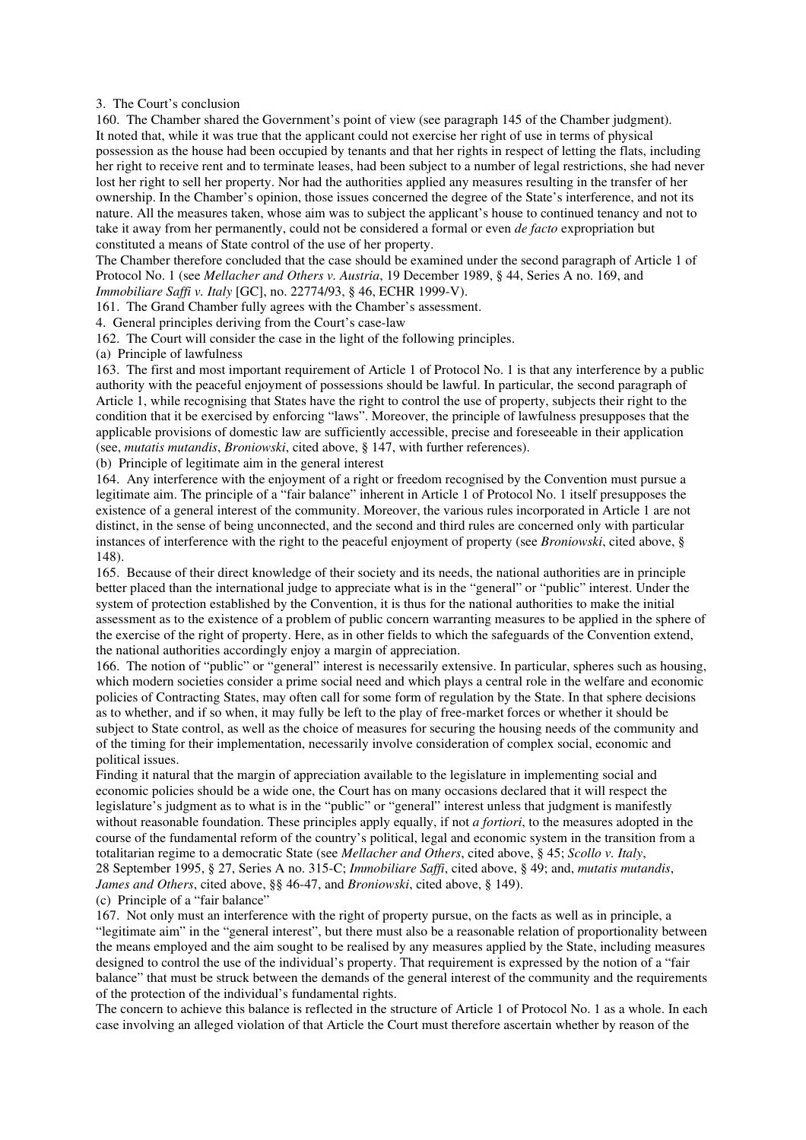### 3. The Court's conclusion

160. The Chamber shared the Government's point of view (see paragraph 145 of the Chamber judgment). It noted that, while it was true that the applicant could not exercise her right of use in terms of physical possession as the house had been occupied by tenants and that her rights in respect of letting the flats, including her right to receive rent and to terminate leases, had been subject to a number of legal restrictions, she had never lost her right to sell her property. Nor had the authorities applied any measures resulting in the transfer of her ownership. In the Chamber's opinion, those issues concerned the degree of the State's interference, and not its nature. All the measures taken, whose aim was to subject the applicant's house to continued tenancy and not to take it away from her permanently, could not be considered a formal or even *de facto* expropriation but constituted a means of State control of the use of her property.

The Chamber therefore concluded that the case should be examined under the second paragraph of Article 1 of Protocol No. 1 (see *Mellacher and Others v. Austria*, 19 December 1989, § 44, Series A no. 169, and *Immobiliare Saffi v. Italy* [GC], no. 22774/93, § 46, ECHR 1999-V).

161. The Grand Chamber fully agrees with the Chamber's assessment.

4. General principles deriving from the Court's case-law

162. The Court will consider the case in the light of the following principles.

(a) Principle of lawfulness

163. The first and most important requirement of Article 1 of Protocol No. 1 is that any interference by a public authority with the peaceful enjoyment of possessions should be lawful. In particular, the second paragraph of Article 1, while recognising that States have the right to control the use of property, subjects their right to the condition that it be exercised by enforcing "laws". Moreover, the principle of lawfulness presupposes that the applicable provisions of domestic law are sufficiently accessible, precise and foreseeable in their application (see, *mutatis mutandis*, *Broniowski*, cited above, § 147, with further references).

(b) Principle of legitimate aim in the general interest

164. Any interference with the enjoyment of a right or freedom recognised by the Convention must pursue a legitimate aim. The principle of a "fair balance" inherent in Article 1 of Protocol No. 1 itself presupposes the existence of a general interest of the community. Moreover, the various rules incorporated in Article 1 are not distinct, in the sense of being unconnected, and the second and third rules are concerned only with particular instances of interference with the right to the peaceful enjoyment of property (see *Broniowski*, cited above, § 148).

165. Because of their direct knowledge of their society and its needs, the national authorities are in principle better placed than the international judge to appreciate what is in the "general" or "public" interest. Under the system of protection established by the Convention, it is thus for the national authorities to make the initial assessment as to the existence of a problem of public concern warranting measures to be applied in the sphere of the exercise of the right of property. Here, as in other fields to which the safeguards of the Convention extend, the national authorities accordingly enjoy a margin of appreciation.

166. The notion of "public" or "general" interest is necessarily extensive. In particular, spheres such as housing, which modern societies consider a prime social need and which plays a central role in the welfare and economic policies of Contracting States, may often call for some form of regulation by the State. In that sphere decisions as to whether, and if so when, it may fully be left to the play of free-market forces or whether it should be subject to State control, as well as the choice of measures for securing the housing needs of the community and of the timing for their implementation, necessarily involve consideration of complex social, economic and political issues.

Finding it natural that the margin of appreciation available to the legislature in implementing social and economic policies should be a wide one, the Court has on many occasions declared that it will respect the legislature's judgment as to what is in the "public" or "general" interest unless that judgment is manifestly without reasonable foundation. These principles apply equally, if not *a fortiori*, to the measures adopted in the course of the fundamental reform of the country's political, legal and economic system in the transition from a totalitarian regime to a democratic State (see *Mellacher and Others*, cited above, § 45; *Scollo v. Italy*, 28 September 1995, § 27, Series A no. 315-C; *Immobiliare Saffi*, cited above, § 49; and, *mutatis mutandis*, *James and Others*, cited above, §§ 46-47, and *Broniowski*, cited above, § 149).

### (c) Principle of a "fair balance"

167. Not only must an interference with the right of property pursue, on the facts as well as in principle, a "legitimate aim" in the "general interest", but there must also be a reasonable relation of proportionality between the means employed and the aim sought to be realised by any measures applied by the State, including measures designed to control the use of the individual's property. That requirement is expressed by the notion of a "fair balance" that must be struck between the demands of the general interest of the community and the requirements of the protection of the individual's fundamental rights.

The concern to achieve this balance is reflected in the structure of Article 1 of Protocol No. 1 as a whole. In each case involving an alleged violation of that Article the Court must therefore ascertain whether by reason of the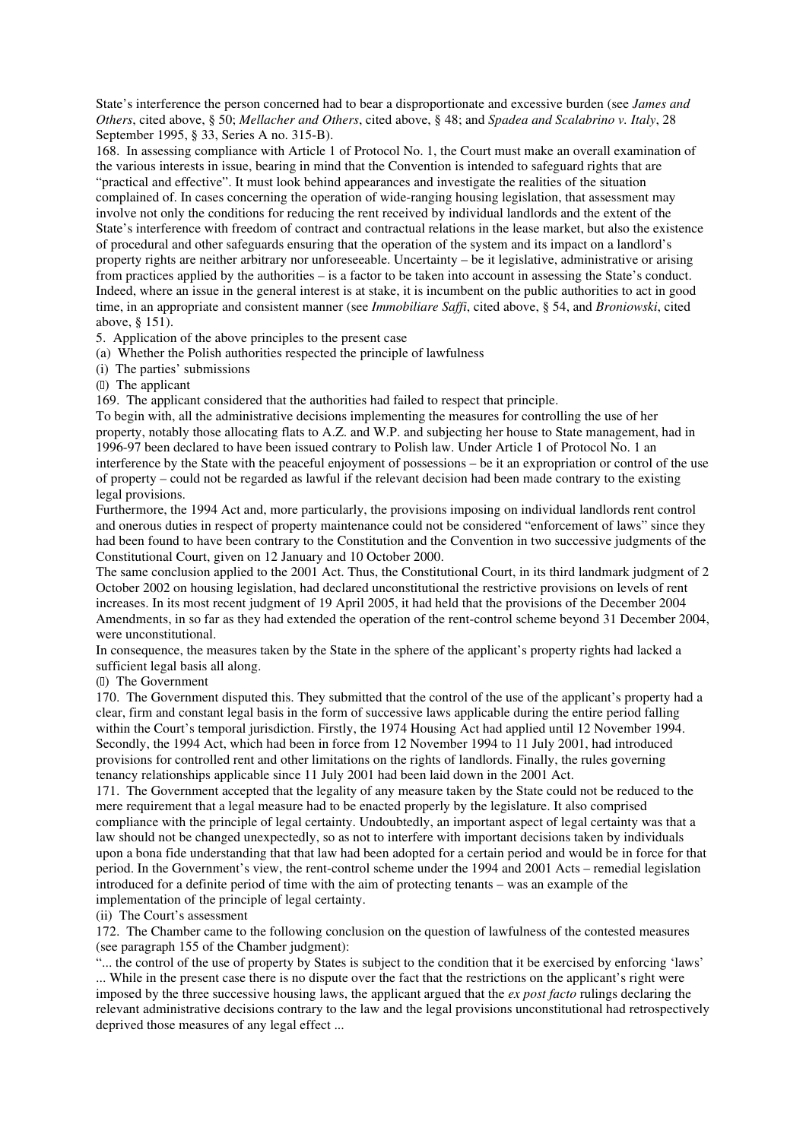State's interference the person concerned had to bear a disproportionate and excessive burden (see *James and Others*, cited above, § 50; *Mellacher and Others*, cited above, § 48; and *Spadea and Scalabrino v. Italy*, 28 September 1995, § 33, Series A no. 315-B).

168. In assessing compliance with Article 1 of Protocol No. 1, the Court must make an overall examination of the various interests in issue, bearing in mind that the Convention is intended to safeguard rights that are "practical and effective". It must look behind appearances and investigate the realities of the situation complained of. In cases concerning the operation of wide-ranging housing legislation, that assessment may involve not only the conditions for reducing the rent received by individual landlords and the extent of the State's interference with freedom of contract and contractual relations in the lease market, but also the existence of procedural and other safeguards ensuring that the operation of the system and its impact on a landlord's property rights are neither arbitrary nor unforeseeable. Uncertainty – be it legislative, administrative or arising from practices applied by the authorities – is a factor to be taken into account in assessing the State's conduct. Indeed, where an issue in the general interest is at stake, it is incumbent on the public authorities to act in good time, in an appropriate and consistent manner (see *Immobiliare Saffi*, cited above, § 54, and *Broniowski*, cited above, § 151).

5. Application of the above principles to the present case

(a) Whether the Polish authorities respected the principle of lawfulness

(i) The parties' submissions

(α) The applicant

169. The applicant considered that the authorities had failed to respect that principle.

To begin with, all the administrative decisions implementing the measures for controlling the use of her property, notably those allocating flats to A.Z. and W.P. and subjecting her house to State management, had in 1996-97 been declared to have been issued contrary to Polish law. Under Article 1 of Protocol No. 1 an interference by the State with the peaceful enjoyment of possessions – be it an expropriation or control of the use of property – could not be regarded as lawful if the relevant decision had been made contrary to the existing legal provisions.

Furthermore, the 1994 Act and, more particularly, the provisions imposing on individual landlords rent control and onerous duties in respect of property maintenance could not be considered "enforcement of laws" since they had been found to have been contrary to the Constitution and the Convention in two successive judgments of the Constitutional Court, given on 12 January and 10 October 2000.

The same conclusion applied to the 2001 Act. Thus, the Constitutional Court, in its third landmark judgment of 2 October 2002 on housing legislation, had declared unconstitutional the restrictive provisions on levels of rent increases. In its most recent judgment of 19 April 2005, it had held that the provisions of the December 2004 Amendments, in so far as they had extended the operation of the rent-control scheme beyond 31 December 2004, were unconstitutional.

In consequence, the measures taken by the State in the sphere of the applicant's property rights had lacked a sufficient legal basis all along.

(α) The Government

170. The Government disputed this. They submitted that the control of the use of the applicant's property had a clear, firm and constant legal basis in the form of successive laws applicable during the entire period falling within the Court's temporal jurisdiction. Firstly, the 1974 Housing Act had applied until 12 November 1994. Secondly, the 1994 Act, which had been in force from 12 November 1994 to 11 July 2001, had introduced provisions for controlled rent and other limitations on the rights of landlords. Finally, the rules governing tenancy relationships applicable since 11 July 2001 had been laid down in the 2001 Act.

171. The Government accepted that the legality of any measure taken by the State could not be reduced to the mere requirement that a legal measure had to be enacted properly by the legislature. It also comprised compliance with the principle of legal certainty. Undoubtedly, an important aspect of legal certainty was that a law should not be changed unexpectedly, so as not to interfere with important decisions taken by individuals upon a bona fide understanding that that law had been adopted for a certain period and would be in force for that period. In the Government's view, the rent-control scheme under the 1994 and 2001 Acts – remedial legislation introduced for a definite period of time with the aim of protecting tenants – was an example of the implementation of the principle of legal certainty.

(ii) The Court's assessment

172. The Chamber came to the following conclusion on the question of lawfulness of the contested measures (see paragraph 155 of the Chamber judgment):

"... the control of the use of property by States is subject to the condition that it be exercised by enforcing 'laws'

... While in the present case there is no dispute over the fact that the restrictions on the applicant's right were imposed by the three successive housing laws, the applicant argued that the *ex post facto* rulings declaring the relevant administrative decisions contrary to the law and the legal provisions unconstitutional had retrospectively deprived those measures of any legal effect ...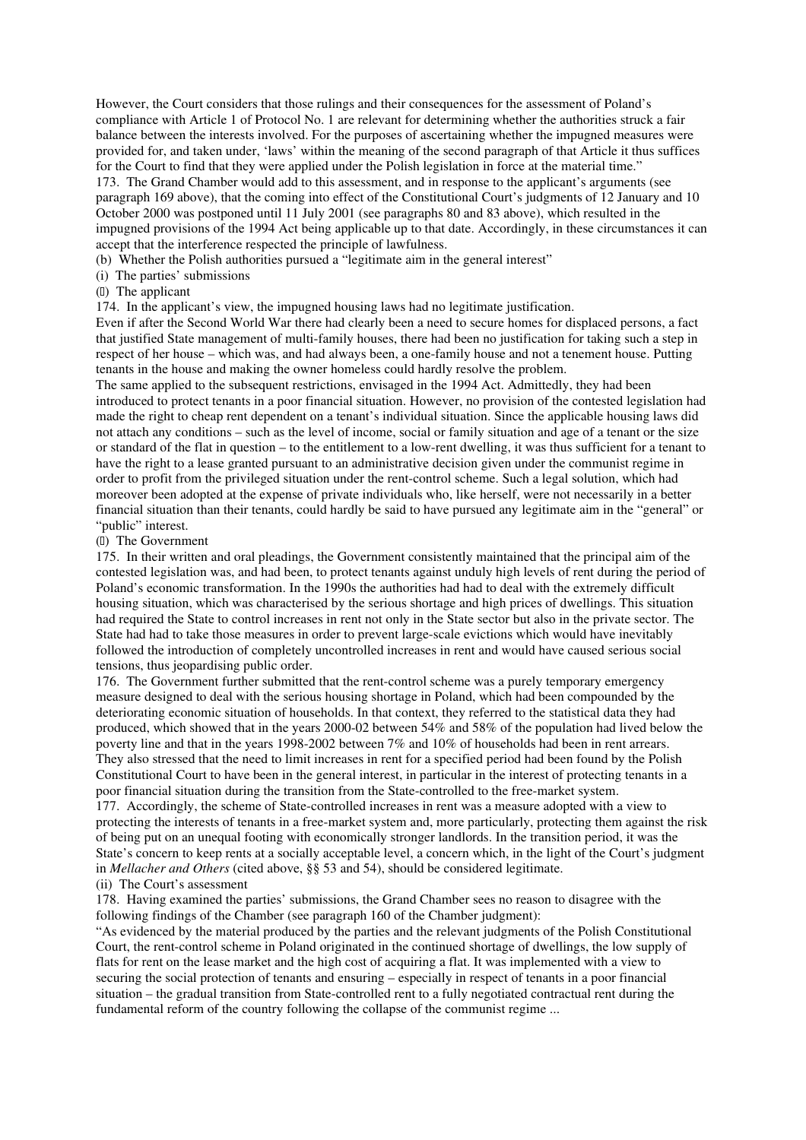However, the Court considers that those rulings and their consequences for the assessment of Poland's compliance with Article 1 of Protocol No. 1 are relevant for determining whether the authorities struck a fair balance between the interests involved. For the purposes of ascertaining whether the impugned measures were provided for, and taken under, 'laws' within the meaning of the second paragraph of that Article it thus suffices for the Court to find that they were applied under the Polish legislation in force at the material time."

173. The Grand Chamber would add to this assessment, and in response to the applicant's arguments (see paragraph 169 above), that the coming into effect of the Constitutional Court's judgments of 12 January and 10 October 2000 was postponed until 11 July 2001 (see paragraphs 80 and 83 above), which resulted in the impugned provisions of the 1994 Act being applicable up to that date. Accordingly, in these circumstances it can accept that the interference respected the principle of lawfulness.

(b) Whether the Polish authorities pursued a "legitimate aim in the general interest"

- (i) The parties' submissions
- (α) The applicant

174. In the applicant's view, the impugned housing laws had no legitimate justification.

Even if after the Second World War there had clearly been a need to secure homes for displaced persons, a fact that justified State management of multi-family houses, there had been no justification for taking such a step in respect of her house – which was, and had always been, a one-family house and not a tenement house. Putting tenants in the house and making the owner homeless could hardly resolve the problem.

The same applied to the subsequent restrictions, envisaged in the 1994 Act. Admittedly, they had been introduced to protect tenants in a poor financial situation. However, no provision of the contested legislation had made the right to cheap rent dependent on a tenant's individual situation. Since the applicable housing laws did not attach any conditions – such as the level of income, social or family situation and age of a tenant or the size or standard of the flat in question – to the entitlement to a low-rent dwelling, it was thus sufficient for a tenant to have the right to a lease granted pursuant to an administrative decision given under the communist regime in order to profit from the privileged situation under the rent-control scheme. Such a legal solution, which had moreover been adopted at the expense of private individuals who, like herself, were not necessarily in a better financial situation than their tenants, could hardly be said to have pursued any legitimate aim in the "general" or "public" interest.

#### (α) The Government

175. In their written and oral pleadings, the Government consistently maintained that the principal aim of the contested legislation was, and had been, to protect tenants against unduly high levels of rent during the period of Poland's economic transformation. In the 1990s the authorities had had to deal with the extremely difficult housing situation, which was characterised by the serious shortage and high prices of dwellings. This situation had required the State to control increases in rent not only in the State sector but also in the private sector. The State had had to take those measures in order to prevent large-scale evictions which would have inevitably followed the introduction of completely uncontrolled increases in rent and would have caused serious social tensions, thus jeopardising public order.

176. The Government further submitted that the rent-control scheme was a purely temporary emergency measure designed to deal with the serious housing shortage in Poland, which had been compounded by the deteriorating economic situation of households. In that context, they referred to the statistical data they had produced, which showed that in the years 2000-02 between 54% and 58% of the population had lived below the poverty line and that in the years 1998-2002 between 7% and 10% of households had been in rent arrears. They also stressed that the need to limit increases in rent for a specified period had been found by the Polish Constitutional Court to have been in the general interest, in particular in the interest of protecting tenants in a poor financial situation during the transition from the State-controlled to the free-market system.

177. Accordingly, the scheme of State-controlled increases in rent was a measure adopted with a view to protecting the interests of tenants in a free-market system and, more particularly, protecting them against the risk of being put on an unequal footing with economically stronger landlords. In the transition period, it was the State's concern to keep rents at a socially acceptable level, a concern which, in the light of the Court's judgment in *Mellacher and Others* (cited above, §§ 53 and 54), should be considered legitimate. (ii) The Court's assessment

178. Having examined the parties' submissions, the Grand Chamber sees no reason to disagree with the following findings of the Chamber (see paragraph 160 of the Chamber judgment):

"As evidenced by the material produced by the parties and the relevant judgments of the Polish Constitutional Court, the rent-control scheme in Poland originated in the continued shortage of dwellings, the low supply of flats for rent on the lease market and the high cost of acquiring a flat. It was implemented with a view to securing the social protection of tenants and ensuring – especially in respect of tenants in a poor financial situation – the gradual transition from State-controlled rent to a fully negotiated contractual rent during the fundamental reform of the country following the collapse of the communist regime ...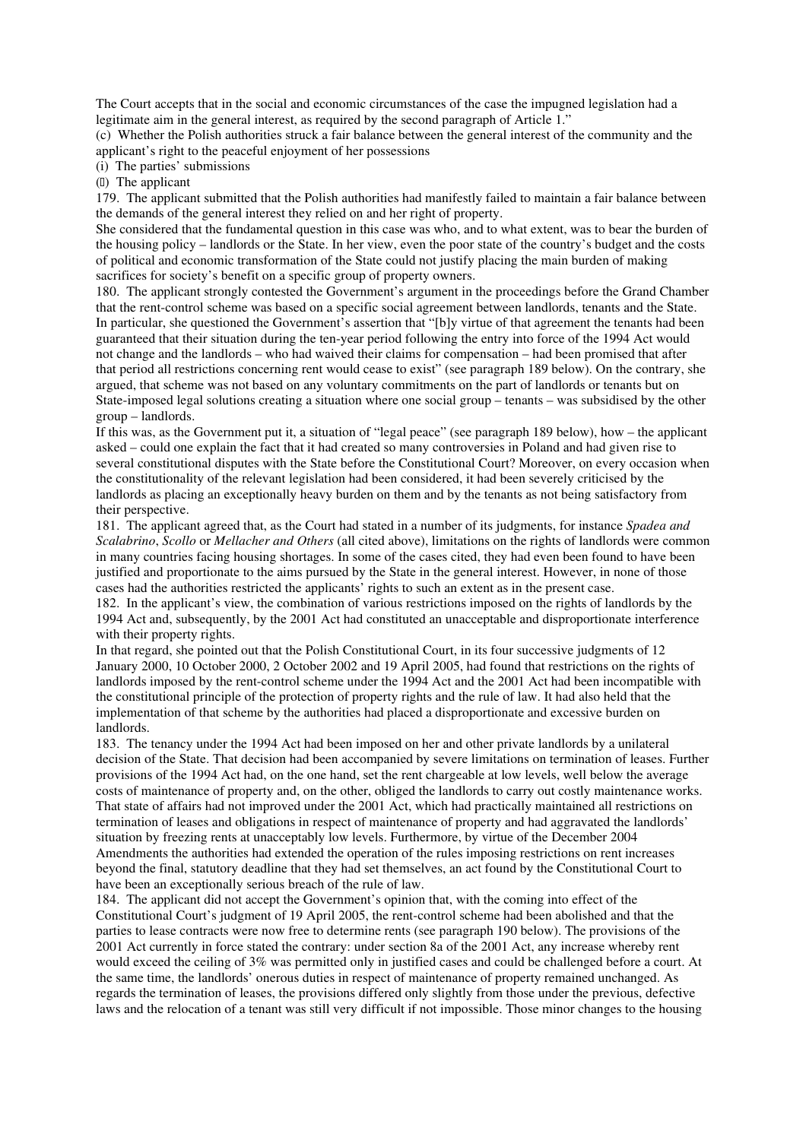The Court accepts that in the social and economic circumstances of the case the impugned legislation had a legitimate aim in the general interest, as required by the second paragraph of Article 1."

(c) Whether the Polish authorities struck a fair balance between the general interest of the community and the applicant's right to the peaceful enjoyment of her possessions

(i) The parties' submissions

 $(I)$  The applicant

179. The applicant submitted that the Polish authorities had manifestly failed to maintain a fair balance between the demands of the general interest they relied on and her right of property.

She considered that the fundamental question in this case was who, and to what extent, was to bear the burden of the housing policy – landlords or the State. In her view, even the poor state of the country's budget and the costs of political and economic transformation of the State could not justify placing the main burden of making sacrifices for society's benefit on a specific group of property owners.

180. The applicant strongly contested the Government's argument in the proceedings before the Grand Chamber that the rent-control scheme was based on a specific social agreement between landlords, tenants and the State. In particular, she questioned the Government's assertion that "[b]y virtue of that agreement the tenants had been guaranteed that their situation during the ten-year period following the entry into force of the 1994 Act would not change and the landlords – who had waived their claims for compensation – had been promised that after that period all restrictions concerning rent would cease to exist" (see paragraph 189 below). On the contrary, she argued, that scheme was not based on any voluntary commitments on the part of landlords or tenants but on State-imposed legal solutions creating a situation where one social group – tenants – was subsidised by the other group – landlords.

If this was, as the Government put it, a situation of "legal peace" (see paragraph 189 below), how – the applicant asked – could one explain the fact that it had created so many controversies in Poland and had given rise to several constitutional disputes with the State before the Constitutional Court? Moreover, on every occasion when the constitutionality of the relevant legislation had been considered, it had been severely criticised by the landlords as placing an exceptionally heavy burden on them and by the tenants as not being satisfactory from their perspective.

181. The applicant agreed that, as the Court had stated in a number of its judgments, for instance *Spadea and Scalabrino*, *Scollo* or *Mellacher and Others* (all cited above), limitations on the rights of landlords were common in many countries facing housing shortages. In some of the cases cited, they had even been found to have been justified and proportionate to the aims pursued by the State in the general interest. However, in none of those cases had the authorities restricted the applicants' rights to such an extent as in the present case.

182. In the applicant's view, the combination of various restrictions imposed on the rights of landlords by the 1994 Act and, subsequently, by the 2001 Act had constituted an unacceptable and disproportionate interference with their property rights.

In that regard, she pointed out that the Polish Constitutional Court, in its four successive judgments of 12 January 2000, 10 October 2000, 2 October 2002 and 19 April 2005, had found that restrictions on the rights of landlords imposed by the rent-control scheme under the 1994 Act and the 2001 Act had been incompatible with the constitutional principle of the protection of property rights and the rule of law. It had also held that the implementation of that scheme by the authorities had placed a disproportionate and excessive burden on landlords.

183. The tenancy under the 1994 Act had been imposed on her and other private landlords by a unilateral decision of the State. That decision had been accompanied by severe limitations on termination of leases. Further provisions of the 1994 Act had, on the one hand, set the rent chargeable at low levels, well below the average costs of maintenance of property and, on the other, obliged the landlords to carry out costly maintenance works. That state of affairs had not improved under the 2001 Act, which had practically maintained all restrictions on termination of leases and obligations in respect of maintenance of property and had aggravated the landlords' situation by freezing rents at unacceptably low levels. Furthermore, by virtue of the December 2004 Amendments the authorities had extended the operation of the rules imposing restrictions on rent increases beyond the final, statutory deadline that they had set themselves, an act found by the Constitutional Court to have been an exceptionally serious breach of the rule of law.

184. The applicant did not accept the Government's opinion that, with the coming into effect of the Constitutional Court's judgment of 19 April 2005, the rent-control scheme had been abolished and that the parties to lease contracts were now free to determine rents (see paragraph 190 below). The provisions of the 2001 Act currently in force stated the contrary: under section 8a of the 2001 Act, any increase whereby rent would exceed the ceiling of 3% was permitted only in justified cases and could be challenged before a court. At the same time, the landlords' onerous duties in respect of maintenance of property remained unchanged. As regards the termination of leases, the provisions differed only slightly from those under the previous, defective laws and the relocation of a tenant was still very difficult if not impossible. Those minor changes to the housing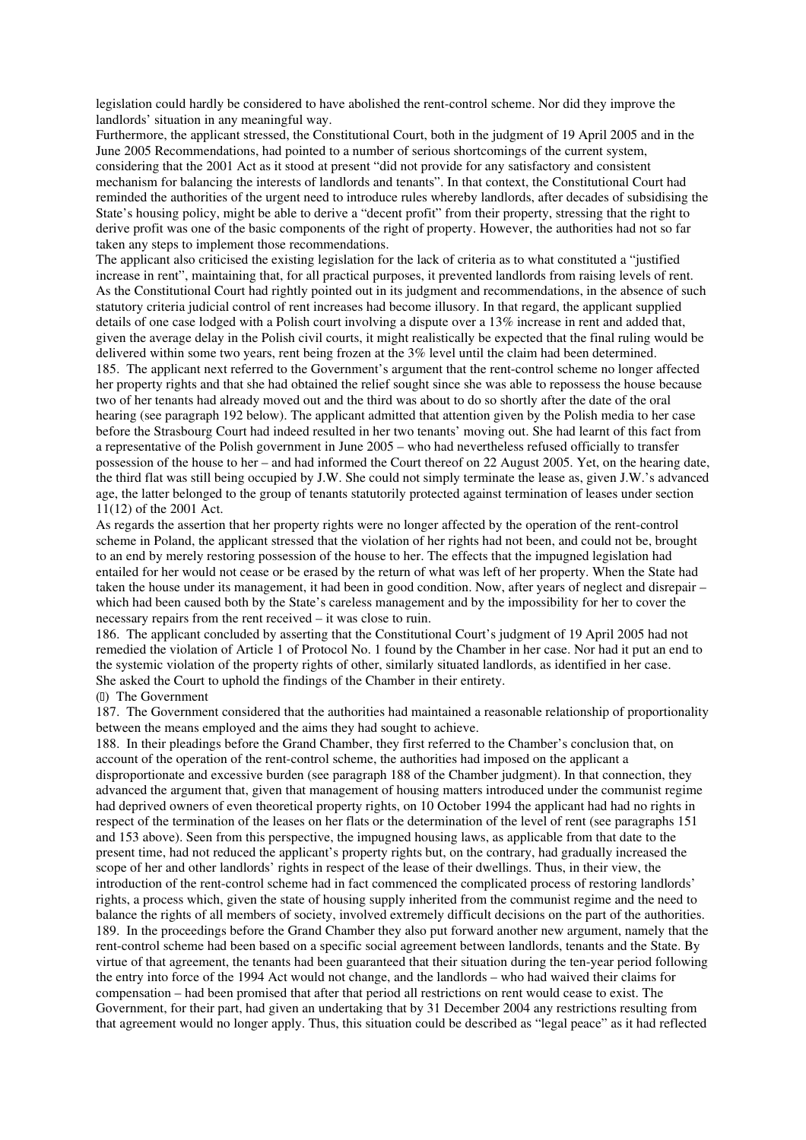legislation could hardly be considered to have abolished the rent-control scheme. Nor did they improve the landlords' situation in any meaningful way.

Furthermore, the applicant stressed, the Constitutional Court, both in the judgment of 19 April 2005 and in the June 2005 Recommendations, had pointed to a number of serious shortcomings of the current system, considering that the 2001 Act as it stood at present "did not provide for any satisfactory and consistent mechanism for balancing the interests of landlords and tenants". In that context, the Constitutional Court had reminded the authorities of the urgent need to introduce rules whereby landlords, after decades of subsidising the State's housing policy, might be able to derive a "decent profit" from their property, stressing that the right to derive profit was one of the basic components of the right of property. However, the authorities had not so far taken any steps to implement those recommendations.

The applicant also criticised the existing legislation for the lack of criteria as to what constituted a "justified increase in rent", maintaining that, for all practical purposes, it prevented landlords from raising levels of rent. As the Constitutional Court had rightly pointed out in its judgment and recommendations, in the absence of such statutory criteria judicial control of rent increases had become illusory. In that regard, the applicant supplied details of one case lodged with a Polish court involving a dispute over a 13% increase in rent and added that, given the average delay in the Polish civil courts, it might realistically be expected that the final ruling would be delivered within some two years, rent being frozen at the 3% level until the claim had been determined. 185. The applicant next referred to the Government's argument that the rent-control scheme no longer affected her property rights and that she had obtained the relief sought since she was able to repossess the house because two of her tenants had already moved out and the third was about to do so shortly after the date of the oral hearing (see paragraph 192 below). The applicant admitted that attention given by the Polish media to her case before the Strasbourg Court had indeed resulted in her two tenants' moving out. She had learnt of this fact from a representative of the Polish government in June 2005 – who had nevertheless refused officially to transfer possession of the house to her – and had informed the Court thereof on 22 August 2005. Yet, on the hearing date, the third flat was still being occupied by J.W. She could not simply terminate the lease as, given J.W.'s advanced age, the latter belonged to the group of tenants statutorily protected against termination of leases under section 11(12) of the 2001 Act.

As regards the assertion that her property rights were no longer affected by the operation of the rent-control scheme in Poland, the applicant stressed that the violation of her rights had not been, and could not be, brought to an end by merely restoring possession of the house to her. The effects that the impugned legislation had entailed for her would not cease or be erased by the return of what was left of her property. When the State had taken the house under its management, it had been in good condition. Now, after years of neglect and disrepair – which had been caused both by the State's careless management and by the impossibility for her to cover the necessary repairs from the rent received – it was close to ruin.

186. The applicant concluded by asserting that the Constitutional Court's judgment of 19 April 2005 had not remedied the violation of Article 1 of Protocol No. 1 found by the Chamber in her case. Nor had it put an end to the systemic violation of the property rights of other, similarly situated landlords, as identified in her case. She asked the Court to uphold the findings of the Chamber in their entirety.

#### (α) The Government

187. The Government considered that the authorities had maintained a reasonable relationship of proportionality between the means employed and the aims they had sought to achieve.

188. In their pleadings before the Grand Chamber, they first referred to the Chamber's conclusion that, on account of the operation of the rent-control scheme, the authorities had imposed on the applicant a disproportionate and excessive burden (see paragraph 188 of the Chamber judgment). In that connection, they advanced the argument that, given that management of housing matters introduced under the communist regime had deprived owners of even theoretical property rights, on 10 October 1994 the applicant had had no rights in respect of the termination of the leases on her flats or the determination of the level of rent (see paragraphs 151 and 153 above). Seen from this perspective, the impugned housing laws, as applicable from that date to the present time, had not reduced the applicant's property rights but, on the contrary, had gradually increased the scope of her and other landlords' rights in respect of the lease of their dwellings. Thus, in their view, the introduction of the rent-control scheme had in fact commenced the complicated process of restoring landlords' rights, a process which, given the state of housing supply inherited from the communist regime and the need to balance the rights of all members of society, involved extremely difficult decisions on the part of the authorities. 189. In the proceedings before the Grand Chamber they also put forward another new argument, namely that the rent-control scheme had been based on a specific social agreement between landlords, tenants and the State. By virtue of that agreement, the tenants had been guaranteed that their situation during the ten-year period following the entry into force of the 1994 Act would not change, and the landlords – who had waived their claims for compensation – had been promised that after that period all restrictions on rent would cease to exist. The Government, for their part, had given an undertaking that by 31 December 2004 any restrictions resulting from that agreement would no longer apply. Thus, this situation could be described as "legal peace" as it had reflected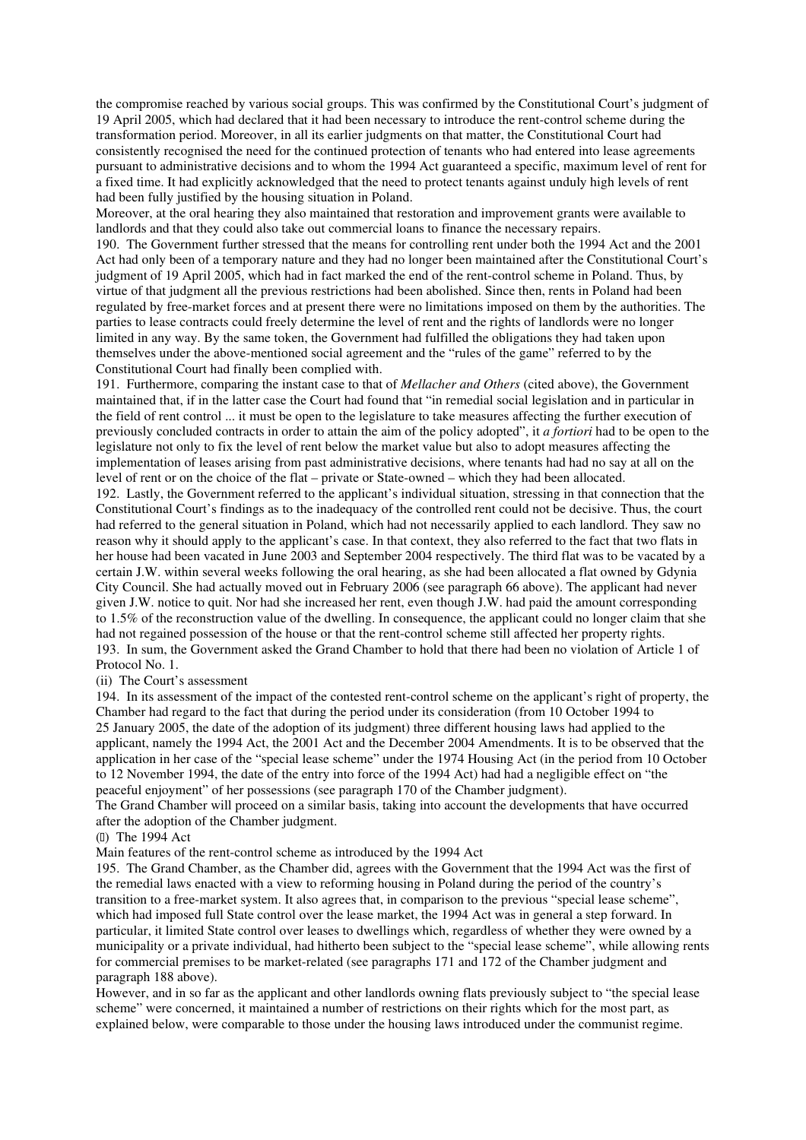the compromise reached by various social groups. This was confirmed by the Constitutional Court's judgment of 19 April 2005, which had declared that it had been necessary to introduce the rent-control scheme during the transformation period. Moreover, in all its earlier judgments on that matter, the Constitutional Court had consistently recognised the need for the continued protection of tenants who had entered into lease agreements pursuant to administrative decisions and to whom the 1994 Act guaranteed a specific, maximum level of rent for a fixed time. It had explicitly acknowledged that the need to protect tenants against unduly high levels of rent had been fully justified by the housing situation in Poland.

Moreover, at the oral hearing they also maintained that restoration and improvement grants were available to landlords and that they could also take out commercial loans to finance the necessary repairs.

190. The Government further stressed that the means for controlling rent under both the 1994 Act and the 2001 Act had only been of a temporary nature and they had no longer been maintained after the Constitutional Court's judgment of 19 April 2005, which had in fact marked the end of the rent-control scheme in Poland. Thus, by virtue of that judgment all the previous restrictions had been abolished. Since then, rents in Poland had been regulated by free-market forces and at present there were no limitations imposed on them by the authorities. The parties to lease contracts could freely determine the level of rent and the rights of landlords were no longer limited in any way. By the same token, the Government had fulfilled the obligations they had taken upon themselves under the above-mentioned social agreement and the "rules of the game" referred to by the Constitutional Court had finally been complied with.

191. Furthermore, comparing the instant case to that of *Mellacher and Others* (cited above), the Government maintained that, if in the latter case the Court had found that "in remedial social legislation and in particular in the field of rent control ... it must be open to the legislature to take measures affecting the further execution of previously concluded contracts in order to attain the aim of the policy adopted", it *a fortiori* had to be open to the legislature not only to fix the level of rent below the market value but also to adopt measures affecting the implementation of leases arising from past administrative decisions, where tenants had had no say at all on the level of rent or on the choice of the flat – private or State-owned – which they had been allocated.

192. Lastly, the Government referred to the applicant's individual situation, stressing in that connection that the Constitutional Court's findings as to the inadequacy of the controlled rent could not be decisive. Thus, the court had referred to the general situation in Poland, which had not necessarily applied to each landlord. They saw no reason why it should apply to the applicant's case. In that context, they also referred to the fact that two flats in her house had been vacated in June 2003 and September 2004 respectively. The third flat was to be vacated by a certain J.W. within several weeks following the oral hearing, as she had been allocated a flat owned by Gdynia City Council. She had actually moved out in February 2006 (see paragraph 66 above). The applicant had never given J.W. notice to quit. Nor had she increased her rent, even though J.W. had paid the amount corresponding to 1.5% of the reconstruction value of the dwelling. In consequence, the applicant could no longer claim that she had not regained possession of the house or that the rent-control scheme still affected her property rights. 193. In sum, the Government asked the Grand Chamber to hold that there had been no violation of Article 1 of Protocol No. 1.

(ii) The Court's assessment

194. In its assessment of the impact of the contested rent-control scheme on the applicant's right of property, the Chamber had regard to the fact that during the period under its consideration (from 10 October 1994 to 25 January 2005, the date of the adoption of its judgment) three different housing laws had applied to the applicant, namely the 1994 Act, the 2001 Act and the December 2004 Amendments. It is to be observed that the application in her case of the "special lease scheme" under the 1974 Housing Act (in the period from 10 October to 12 November 1994, the date of the entry into force of the 1994 Act) had had a negligible effect on "the peaceful enjoyment" of her possessions (see paragraph 170 of the Chamber judgment).

The Grand Chamber will proceed on a similar basis, taking into account the developments that have occurred after the adoption of the Chamber judgment.

### (α) The 1994 Act

Main features of the rent-control scheme as introduced by the 1994 Act

195. The Grand Chamber, as the Chamber did, agrees with the Government that the 1994 Act was the first of the remedial laws enacted with a view to reforming housing in Poland during the period of the country's transition to a free-market system. It also agrees that, in comparison to the previous "special lease scheme", which had imposed full State control over the lease market, the 1994 Act was in general a step forward. In particular, it limited State control over leases to dwellings which, regardless of whether they were owned by a municipality or a private individual, had hitherto been subject to the "special lease scheme", while allowing rents for commercial premises to be market-related (see paragraphs 171 and 172 of the Chamber judgment and paragraph 188 above).

However, and in so far as the applicant and other landlords owning flats previously subject to "the special lease scheme" were concerned, it maintained a number of restrictions on their rights which for the most part, as explained below, were comparable to those under the housing laws introduced under the communist regime.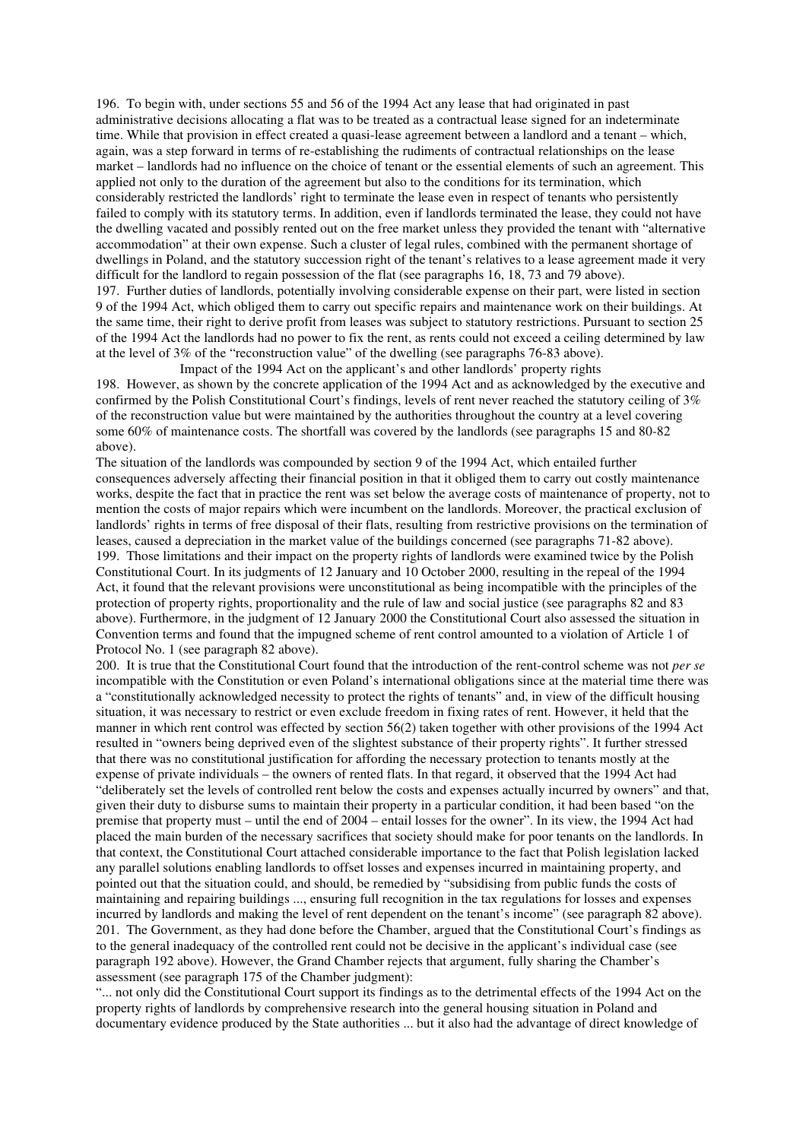196. To begin with, under sections 55 and 56 of the 1994 Act any lease that had originated in past administrative decisions allocating a flat was to be treated as a contractual lease signed for an indeterminate time. While that provision in effect created a quasi-lease agreement between a landlord and a tenant – which, again, was a step forward in terms of re-establishing the rudiments of contractual relationships on the lease market – landlords had no influence on the choice of tenant or the essential elements of such an agreement. This applied not only to the duration of the agreement but also to the conditions for its termination, which considerably restricted the landlords' right to terminate the lease even in respect of tenants who persistently failed to comply with its statutory terms. In addition, even if landlords terminated the lease, they could not have the dwelling vacated and possibly rented out on the free market unless they provided the tenant with "alternative accommodation" at their own expense. Such a cluster of legal rules, combined with the permanent shortage of dwellings in Poland, and the statutory succession right of the tenant's relatives to a lease agreement made it very difficult for the landlord to regain possession of the flat (see paragraphs 16, 18, 73 and 79 above). 197. Further duties of landlords, potentially involving considerable expense on their part, were listed in section 9 of the 1994 Act, which obliged them to carry out specific repairs and maintenance work on their buildings. At the same time, their right to derive profit from leases was subject to statutory restrictions. Pursuant to section 25 of the 1994 Act the landlords had no power to fix the rent, as rents could not exceed a ceiling determined by law at the level of 3% of the "reconstruction value" of the dwelling (see paragraphs 76-83 above).

Impact of the 1994 Act on the applicant's and other landlords' property rights 198. However, as shown by the concrete application of the 1994 Act and as acknowledged by the executive and confirmed by the Polish Constitutional Court's findings, levels of rent never reached the statutory ceiling of 3% of the reconstruction value but were maintained by the authorities throughout the country at a level covering some 60% of maintenance costs. The shortfall was covered by the landlords (see paragraphs 15 and 80-82 above).

The situation of the landlords was compounded by section 9 of the 1994 Act, which entailed further consequences adversely affecting their financial position in that it obliged them to carry out costly maintenance works, despite the fact that in practice the rent was set below the average costs of maintenance of property, not to mention the costs of major repairs which were incumbent on the landlords. Moreover, the practical exclusion of landlords' rights in terms of free disposal of their flats, resulting from restrictive provisions on the termination of leases, caused a depreciation in the market value of the buildings concerned (see paragraphs 71-82 above). 199. Those limitations and their impact on the property rights of landlords were examined twice by the Polish Constitutional Court. In its judgments of 12 January and 10 October 2000, resulting in the repeal of the 1994 Act, it found that the relevant provisions were unconstitutional as being incompatible with the principles of the protection of property rights, proportionality and the rule of law and social justice (see paragraphs 82 and 83 above). Furthermore, in the judgment of 12 January 2000 the Constitutional Court also assessed the situation in Convention terms and found that the impugned scheme of rent control amounted to a violation of Article 1 of Protocol No. 1 (see paragraph 82 above).

200. It is true that the Constitutional Court found that the introduction of the rent-control scheme was not *per se* incompatible with the Constitution or even Poland's international obligations since at the material time there was a "constitutionally acknowledged necessity to protect the rights of tenants" and, in view of the difficult housing situation, it was necessary to restrict or even exclude freedom in fixing rates of rent. However, it held that the manner in which rent control was effected by section 56(2) taken together with other provisions of the 1994 Act resulted in "owners being deprived even of the slightest substance of their property rights". It further stressed that there was no constitutional justification for affording the necessary protection to tenants mostly at the expense of private individuals – the owners of rented flats. In that regard, it observed that the 1994 Act had "deliberately set the levels of controlled rent below the costs and expenses actually incurred by owners" and that, given their duty to disburse sums to maintain their property in a particular condition, it had been based "on the premise that property must – until the end of 2004 – entail losses for the owner". In its view, the 1994 Act had placed the main burden of the necessary sacrifices that society should make for poor tenants on the landlords. In that context, the Constitutional Court attached considerable importance to the fact that Polish legislation lacked any parallel solutions enabling landlords to offset losses and expenses incurred in maintaining property, and pointed out that the situation could, and should, be remedied by "subsidising from public funds the costs of maintaining and repairing buildings ..., ensuring full recognition in the tax regulations for losses and expenses incurred by landlords and making the level of rent dependent on the tenant's income" (see paragraph 82 above). 201. The Government, as they had done before the Chamber, argued that the Constitutional Court's findings as to the general inadequacy of the controlled rent could not be decisive in the applicant's individual case (see paragraph 192 above). However, the Grand Chamber rejects that argument, fully sharing the Chamber's assessment (see paragraph 175 of the Chamber judgment):

"... not only did the Constitutional Court support its findings as to the detrimental effects of the 1994 Act on the property rights of landlords by comprehensive research into the general housing situation in Poland and documentary evidence produced by the State authorities ... but it also had the advantage of direct knowledge of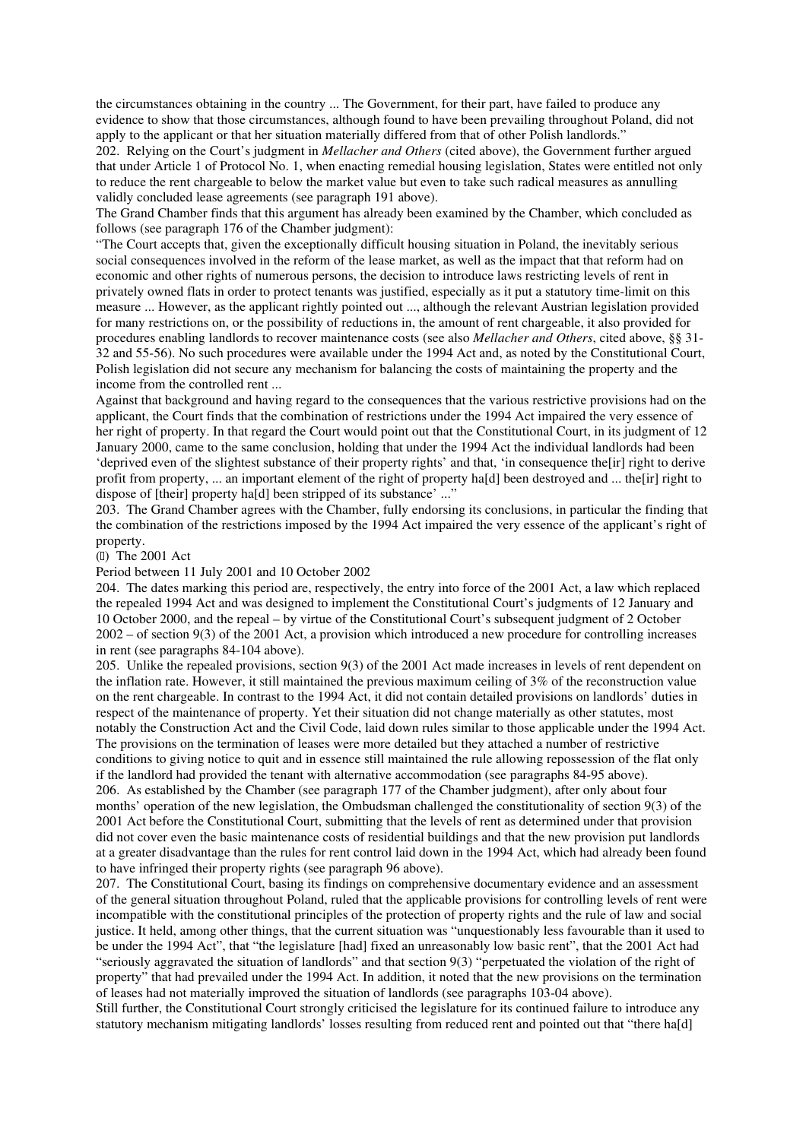the circumstances obtaining in the country ... The Government, for their part, have failed to produce any evidence to show that those circumstances, although found to have been prevailing throughout Poland, did not apply to the applicant or that her situation materially differed from that of other Polish landlords."

202. Relying on the Court's judgment in *Mellacher and Others* (cited above), the Government further argued that under Article 1 of Protocol No. 1, when enacting remedial housing legislation, States were entitled not only to reduce the rent chargeable to below the market value but even to take such radical measures as annulling validly concluded lease agreements (see paragraph 191 above).

The Grand Chamber finds that this argument has already been examined by the Chamber, which concluded as follows (see paragraph 176 of the Chamber judgment):

"The Court accepts that, given the exceptionally difficult housing situation in Poland, the inevitably serious social consequences involved in the reform of the lease market, as well as the impact that that reform had on economic and other rights of numerous persons, the decision to introduce laws restricting levels of rent in privately owned flats in order to protect tenants was justified, especially as it put a statutory time-limit on this measure ... However, as the applicant rightly pointed out ..., although the relevant Austrian legislation provided for many restrictions on, or the possibility of reductions in, the amount of rent chargeable, it also provided for procedures enabling landlords to recover maintenance costs (see also *Mellacher and Others*, cited above, §§ 31- 32 and 55-56). No such procedures were available under the 1994 Act and, as noted by the Constitutional Court, Polish legislation did not secure any mechanism for balancing the costs of maintaining the property and the income from the controlled rent ...

Against that background and having regard to the consequences that the various restrictive provisions had on the applicant, the Court finds that the combination of restrictions under the 1994 Act impaired the very essence of her right of property. In that regard the Court would point out that the Constitutional Court, in its judgment of 12 January 2000, came to the same conclusion, holding that under the 1994 Act the individual landlords had been 'deprived even of the slightest substance of their property rights' and that, 'in consequence the[ir] right to derive profit from property, ... an important element of the right of property ha[d] been destroyed and ... the[ir] right to dispose of [their] property ha[d] been stripped of its substance'...'

203. The Grand Chamber agrees with the Chamber, fully endorsing its conclusions, in particular the finding that the combination of the restrictions imposed by the 1994 Act impaired the very essence of the applicant's right of property.

## (α) The 2001 Act

Period between 11 July 2001 and 10 October 2002

204. The dates marking this period are, respectively, the entry into force of the 2001 Act, a law which replaced the repealed 1994 Act and was designed to implement the Constitutional Court's judgments of 12 January and 10 October 2000, and the repeal – by virtue of the Constitutional Court's subsequent judgment of 2 October 2002 – of section 9(3) of the 2001 Act, a provision which introduced a new procedure for controlling increases in rent (see paragraphs 84-104 above).

205. Unlike the repealed provisions, section 9(3) of the 2001 Act made increases in levels of rent dependent on the inflation rate. However, it still maintained the previous maximum ceiling of 3% of the reconstruction value on the rent chargeable. In contrast to the 1994 Act, it did not contain detailed provisions on landlords' duties in respect of the maintenance of property. Yet their situation did not change materially as other statutes, most notably the Construction Act and the Civil Code, laid down rules similar to those applicable under the 1994 Act. The provisions on the termination of leases were more detailed but they attached a number of restrictive conditions to giving notice to quit and in essence still maintained the rule allowing repossession of the flat only if the landlord had provided the tenant with alternative accommodation (see paragraphs 84-95 above).

206. As established by the Chamber (see paragraph 177 of the Chamber judgment), after only about four months' operation of the new legislation, the Ombudsman challenged the constitutionality of section 9(3) of the 2001 Act before the Constitutional Court, submitting that the levels of rent as determined under that provision did not cover even the basic maintenance costs of residential buildings and that the new provision put landlords at a greater disadvantage than the rules for rent control laid down in the 1994 Act, which had already been found to have infringed their property rights (see paragraph 96 above).

207. The Constitutional Court, basing its findings on comprehensive documentary evidence and an assessment of the general situation throughout Poland, ruled that the applicable provisions for controlling levels of rent were incompatible with the constitutional principles of the protection of property rights and the rule of law and social justice. It held, among other things, that the current situation was "unquestionably less favourable than it used to be under the 1994 Act", that "the legislature [had] fixed an unreasonably low basic rent", that the 2001 Act had "seriously aggravated the situation of landlords" and that section 9(3) "perpetuated the violation of the right of property" that had prevailed under the 1994 Act. In addition, it noted that the new provisions on the termination of leases had not materially improved the situation of landlords (see paragraphs 103-04 above).

Still further, the Constitutional Court strongly criticised the legislature for its continued failure to introduce any statutory mechanism mitigating landlords' losses resulting from reduced rent and pointed out that "there ha[d]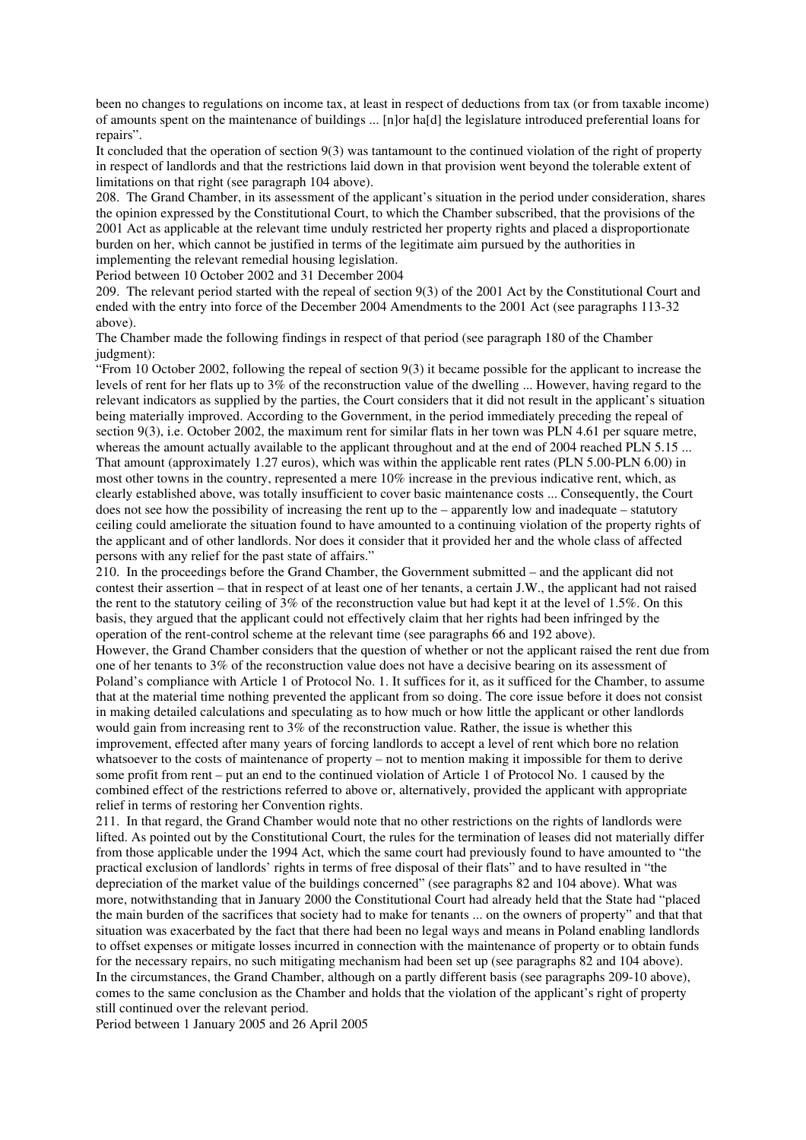been no changes to regulations on income tax, at least in respect of deductions from tax (or from taxable income) of amounts spent on the maintenance of buildings ... [n]or ha[d] the legislature introduced preferential loans for repairs".

It concluded that the operation of section 9(3) was tantamount to the continued violation of the right of property in respect of landlords and that the restrictions laid down in that provision went beyond the tolerable extent of limitations on that right (see paragraph 104 above).

208. The Grand Chamber, in its assessment of the applicant's situation in the period under consideration, shares the opinion expressed by the Constitutional Court, to which the Chamber subscribed, that the provisions of the 2001 Act as applicable at the relevant time unduly restricted her property rights and placed a disproportionate burden on her, which cannot be justified in terms of the legitimate aim pursued by the authorities in implementing the relevant remedial housing legislation.

Period between 10 October 2002 and 31 December 2004

209. The relevant period started with the repeal of section 9(3) of the 2001 Act by the Constitutional Court and ended with the entry into force of the December 2004 Amendments to the 2001 Act (see paragraphs 113-32 above).

The Chamber made the following findings in respect of that period (see paragraph 180 of the Chamber judgment):

"From 10 October 2002, following the repeal of section 9(3) it became possible for the applicant to increase the levels of rent for her flats up to 3% of the reconstruction value of the dwelling ... However, having regard to the relevant indicators as supplied by the parties, the Court considers that it did not result in the applicant's situation being materially improved. According to the Government, in the period immediately preceding the repeal of section 9(3), i.e. October 2002, the maximum rent for similar flats in her town was PLN 4.61 per square metre, whereas the amount actually available to the applicant throughout and at the end of 2004 reached PLN 5.15 ... That amount (approximately 1.27 euros), which was within the applicable rent rates (PLN 5.00-PLN 6.00) in most other towns in the country, represented a mere 10% increase in the previous indicative rent, which, as clearly established above, was totally insufficient to cover basic maintenance costs ... Consequently, the Court does not see how the possibility of increasing the rent up to the – apparently low and inadequate – statutory ceiling could ameliorate the situation found to have amounted to a continuing violation of the property rights of the applicant and of other landlords. Nor does it consider that it provided her and the whole class of affected persons with any relief for the past state of affairs."

210. In the proceedings before the Grand Chamber, the Government submitted – and the applicant did not contest their assertion – that in respect of at least one of her tenants, a certain J.W., the applicant had not raised the rent to the statutory ceiling of 3% of the reconstruction value but had kept it at the level of 1.5%. On this basis, they argued that the applicant could not effectively claim that her rights had been infringed by the operation of the rent-control scheme at the relevant time (see paragraphs 66 and 192 above).

However, the Grand Chamber considers that the question of whether or not the applicant raised the rent due from one of her tenants to 3% of the reconstruction value does not have a decisive bearing on its assessment of Poland's compliance with Article 1 of Protocol No. 1. It suffices for it, as it sufficed for the Chamber, to assume that at the material time nothing prevented the applicant from so doing. The core issue before it does not consist in making detailed calculations and speculating as to how much or how little the applicant or other landlords would gain from increasing rent to 3% of the reconstruction value. Rather, the issue is whether this improvement, effected after many years of forcing landlords to accept a level of rent which bore no relation whatsoever to the costs of maintenance of property – not to mention making it impossible for them to derive some profit from rent – put an end to the continued violation of Article 1 of Protocol No. 1 caused by the combined effect of the restrictions referred to above or, alternatively, provided the applicant with appropriate relief in terms of restoring her Convention rights.

211. In that regard, the Grand Chamber would note that no other restrictions on the rights of landlords were lifted. As pointed out by the Constitutional Court, the rules for the termination of leases did not materially differ from those applicable under the 1994 Act, which the same court had previously found to have amounted to "the practical exclusion of landlords' rights in terms of free disposal of their flats" and to have resulted in "the depreciation of the market value of the buildings concerned" (see paragraphs 82 and 104 above). What was more, notwithstanding that in January 2000 the Constitutional Court had already held that the State had "placed the main burden of the sacrifices that society had to make for tenants ... on the owners of property" and that that situation was exacerbated by the fact that there had been no legal ways and means in Poland enabling landlords to offset expenses or mitigate losses incurred in connection with the maintenance of property or to obtain funds for the necessary repairs, no such mitigating mechanism had been set up (see paragraphs 82 and 104 above). In the circumstances, the Grand Chamber, although on a partly different basis (see paragraphs 209-10 above), comes to the same conclusion as the Chamber and holds that the violation of the applicant's right of property still continued over the relevant period.

Period between 1 January 2005 and 26 April 2005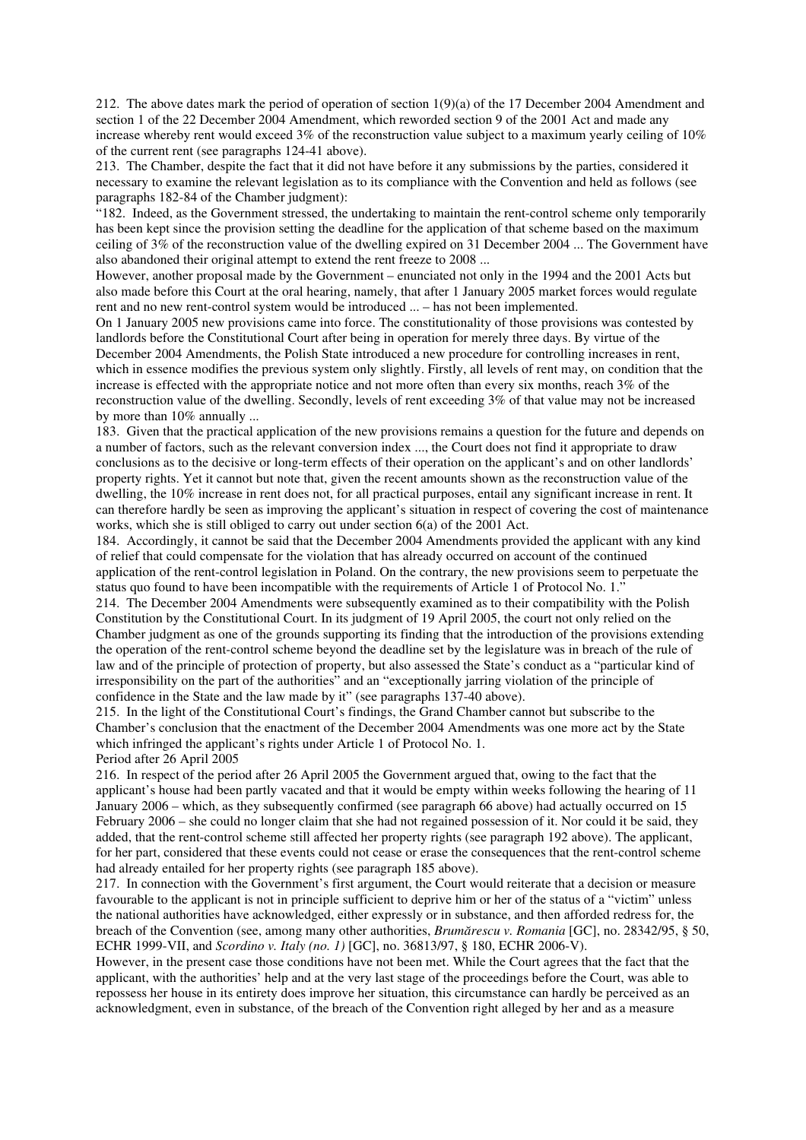212. The above dates mark the period of operation of section 1(9)(a) of the 17 December 2004 Amendment and section 1 of the 22 December 2004 Amendment, which reworded section 9 of the 2001 Act and made any increase whereby rent would exceed 3% of the reconstruction value subject to a maximum yearly ceiling of 10% of the current rent (see paragraphs 124-41 above).

213. The Chamber, despite the fact that it did not have before it any submissions by the parties, considered it necessary to examine the relevant legislation as to its compliance with the Convention and held as follows (see paragraphs 182-84 of the Chamber judgment):

"182. Indeed, as the Government stressed, the undertaking to maintain the rent-control scheme only temporarily has been kept since the provision setting the deadline for the application of that scheme based on the maximum ceiling of 3% of the reconstruction value of the dwelling expired on 31 December 2004 ... The Government have also abandoned their original attempt to extend the rent freeze to 2008 ...

However, another proposal made by the Government – enunciated not only in the 1994 and the 2001 Acts but also made before this Court at the oral hearing, namely, that after 1 January 2005 market forces would regulate rent and no new rent-control system would be introduced ... – has not been implemented.

On 1 January 2005 new provisions came into force. The constitutionality of those provisions was contested by landlords before the Constitutional Court after being in operation for merely three days. By virtue of the December 2004 Amendments, the Polish State introduced a new procedure for controlling increases in rent, which in essence modifies the previous system only slightly. Firstly, all levels of rent may, on condition that the increase is effected with the appropriate notice and not more often than every six months, reach 3% of the reconstruction value of the dwelling. Secondly, levels of rent exceeding 3% of that value may not be increased by more than 10% annually ...

183. Given that the practical application of the new provisions remains a question for the future and depends on a number of factors, such as the relevant conversion index ..., the Court does not find it appropriate to draw conclusions as to the decisive or long-term effects of their operation on the applicant's and on other landlords' property rights. Yet it cannot but note that, given the recent amounts shown as the reconstruction value of the dwelling, the 10% increase in rent does not, for all practical purposes, entail any significant increase in rent. It can therefore hardly be seen as improving the applicant's situation in respect of covering the cost of maintenance works, which she is still obliged to carry out under section 6(a) of the 2001 Act.

184. Accordingly, it cannot be said that the December 2004 Amendments provided the applicant with any kind of relief that could compensate for the violation that has already occurred on account of the continued application of the rent-control legislation in Poland. On the contrary, the new provisions seem to perpetuate the status quo found to have been incompatible with the requirements of Article 1 of Protocol No. 1."

214. The December 2004 Amendments were subsequently examined as to their compatibility with the Polish Constitution by the Constitutional Court. In its judgment of 19 April 2005, the court not only relied on the Chamber judgment as one of the grounds supporting its finding that the introduction of the provisions extending the operation of the rent-control scheme beyond the deadline set by the legislature was in breach of the rule of law and of the principle of protection of property, but also assessed the State's conduct as a "particular kind of irresponsibility on the part of the authorities" and an "exceptionally jarring violation of the principle of confidence in the State and the law made by it" (see paragraphs 137-40 above).

215. In the light of the Constitutional Court's findings, the Grand Chamber cannot but subscribe to the Chamber's conclusion that the enactment of the December 2004 Amendments was one more act by the State which infringed the applicant's rights under Article 1 of Protocol No. 1.

Period after 26 April 2005

216. In respect of the period after 26 April 2005 the Government argued that, owing to the fact that the applicant's house had been partly vacated and that it would be empty within weeks following the hearing of 11 January 2006 – which, as they subsequently confirmed (see paragraph 66 above) had actually occurred on 15 February 2006 – she could no longer claim that she had not regained possession of it. Nor could it be said, they added, that the rent-control scheme still affected her property rights (see paragraph 192 above). The applicant, for her part, considered that these events could not cease or erase the consequences that the rent-control scheme had already entailed for her property rights (see paragraph 185 above).

217. In connection with the Government's first argument, the Court would reiterate that a decision or measure favourable to the applicant is not in principle sufficient to deprive him or her of the status of a "victim" unless the national authorities have acknowledged, either expressly or in substance, and then afforded redress for, the breach of the Convention (see, among many other authorities, *Brum*ă*rescu v. Romania* [GC], no. 28342/95, § 50, ECHR 1999-VII, and *Scordino v. Italy (no. 1)* [GC], no. 36813/97, § 180, ECHR 2006-V).

However, in the present case those conditions have not been met. While the Court agrees that the fact that the applicant, with the authorities' help and at the very last stage of the proceedings before the Court, was able to repossess her house in its entirety does improve her situation, this circumstance can hardly be perceived as an acknowledgment, even in substance, of the breach of the Convention right alleged by her and as a measure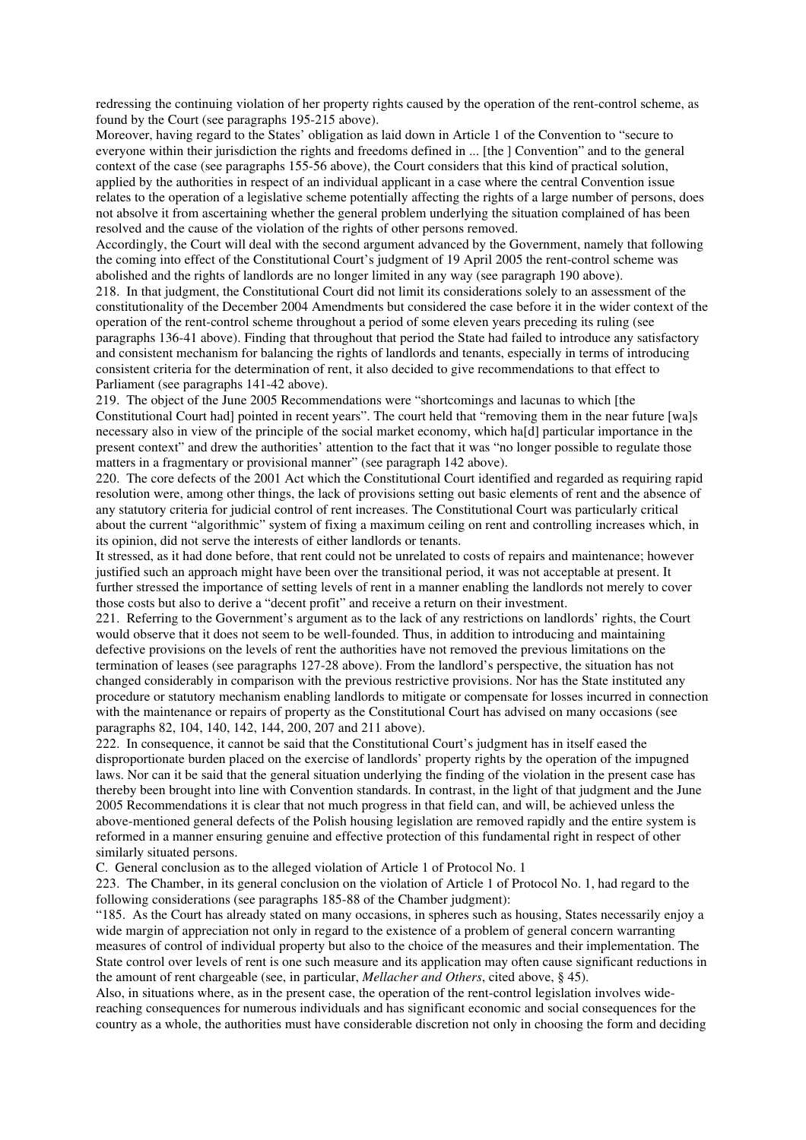redressing the continuing violation of her property rights caused by the operation of the rent-control scheme, as found by the Court (see paragraphs 195-215 above).

Moreover, having regard to the States' obligation as laid down in Article 1 of the Convention to "secure to everyone within their jurisdiction the rights and freedoms defined in ... [the ] Convention" and to the general context of the case (see paragraphs 155-56 above), the Court considers that this kind of practical solution, applied by the authorities in respect of an individual applicant in a case where the central Convention issue relates to the operation of a legislative scheme potentially affecting the rights of a large number of persons, does not absolve it from ascertaining whether the general problem underlying the situation complained of has been resolved and the cause of the violation of the rights of other persons removed.

Accordingly, the Court will deal with the second argument advanced by the Government, namely that following the coming into effect of the Constitutional Court's judgment of 19 April 2005 the rent-control scheme was abolished and the rights of landlords are no longer limited in any way (see paragraph 190 above).

218. In that judgment, the Constitutional Court did not limit its considerations solely to an assessment of the constitutionality of the December 2004 Amendments but considered the case before it in the wider context of the operation of the rent-control scheme throughout a period of some eleven years preceding its ruling (see paragraphs 136-41 above). Finding that throughout that period the State had failed to introduce any satisfactory and consistent mechanism for balancing the rights of landlords and tenants, especially in terms of introducing consistent criteria for the determination of rent, it also decided to give recommendations to that effect to Parliament (see paragraphs 141-42 above).

219. The object of the June 2005 Recommendations were "shortcomings and lacunas to which [the Constitutional Court had] pointed in recent years". The court held that "removing them in the near future [wa]s necessary also in view of the principle of the social market economy, which ha[d] particular importance in the present context" and drew the authorities' attention to the fact that it was "no longer possible to regulate those matters in a fragmentary or provisional manner" (see paragraph 142 above).

220. The core defects of the 2001 Act which the Constitutional Court identified and regarded as requiring rapid resolution were, among other things, the lack of provisions setting out basic elements of rent and the absence of any statutory criteria for judicial control of rent increases. The Constitutional Court was particularly critical about the current "algorithmic" system of fixing a maximum ceiling on rent and controlling increases which, in its opinion, did not serve the interests of either landlords or tenants.

It stressed, as it had done before, that rent could not be unrelated to costs of repairs and maintenance; however justified such an approach might have been over the transitional period, it was not acceptable at present. It further stressed the importance of setting levels of rent in a manner enabling the landlords not merely to cover those costs but also to derive a "decent profit" and receive a return on their investment.

221. Referring to the Government's argument as to the lack of any restrictions on landlords' rights, the Court would observe that it does not seem to be well-founded. Thus, in addition to introducing and maintaining defective provisions on the levels of rent the authorities have not removed the previous limitations on the termination of leases (see paragraphs 127-28 above). From the landlord's perspective, the situation has not changed considerably in comparison with the previous restrictive provisions. Nor has the State instituted any procedure or statutory mechanism enabling landlords to mitigate or compensate for losses incurred in connection with the maintenance or repairs of property as the Constitutional Court has advised on many occasions (see paragraphs 82, 104, 140, 142, 144, 200, 207 and 211 above).

222. In consequence, it cannot be said that the Constitutional Court's judgment has in itself eased the disproportionate burden placed on the exercise of landlords' property rights by the operation of the impugned laws. Nor can it be said that the general situation underlying the finding of the violation in the present case has thereby been brought into line with Convention standards. In contrast, in the light of that judgment and the June 2005 Recommendations it is clear that not much progress in that field can, and will, be achieved unless the above-mentioned general defects of the Polish housing legislation are removed rapidly and the entire system is reformed in a manner ensuring genuine and effective protection of this fundamental right in respect of other similarly situated persons.

C. General conclusion as to the alleged violation of Article 1 of Protocol No. 1

223. The Chamber, in its general conclusion on the violation of Article 1 of Protocol No. 1, had regard to the following considerations (see paragraphs 185-88 of the Chamber judgment):

"185. As the Court has already stated on many occasions, in spheres such as housing, States necessarily enjoy a wide margin of appreciation not only in regard to the existence of a problem of general concern warranting measures of control of individual property but also to the choice of the measures and their implementation. The State control over levels of rent is one such measure and its application may often cause significant reductions in the amount of rent chargeable (see, in particular, *Mellacher and Others*, cited above, § 45).

Also, in situations where, as in the present case, the operation of the rent-control legislation involves widereaching consequences for numerous individuals and has significant economic and social consequences for the country as a whole, the authorities must have considerable discretion not only in choosing the form and deciding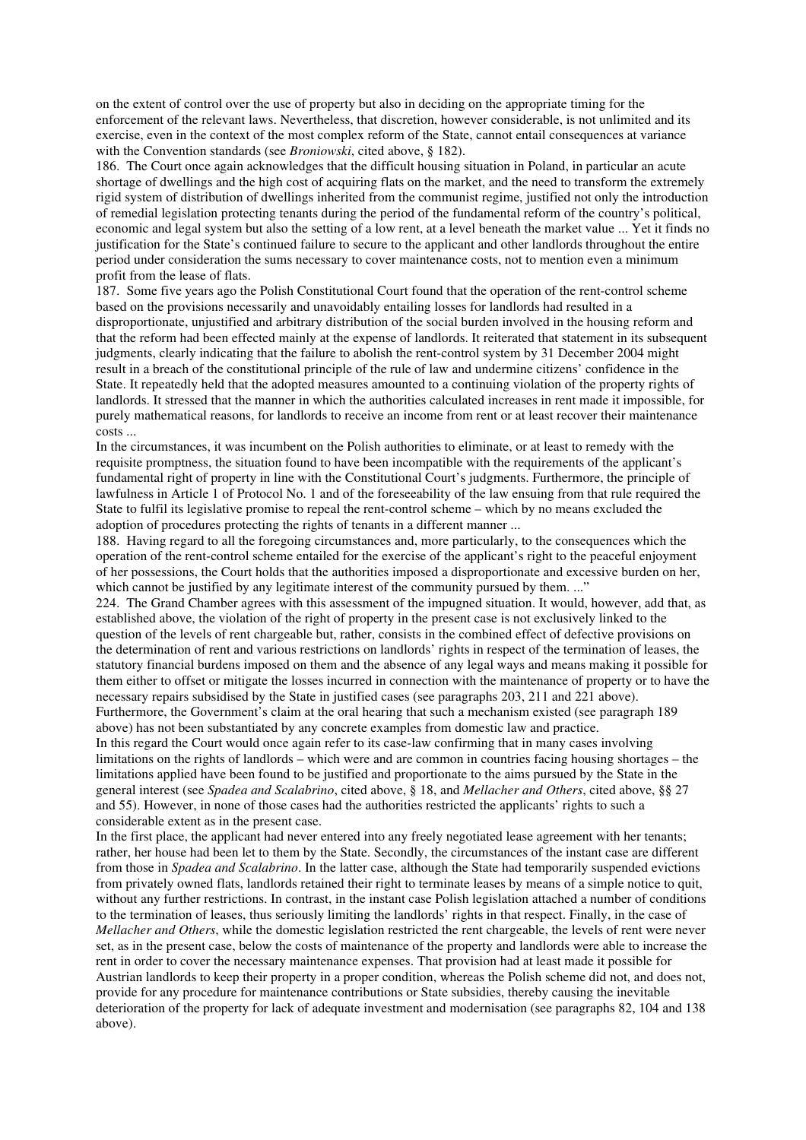on the extent of control over the use of property but also in deciding on the appropriate timing for the enforcement of the relevant laws. Nevertheless, that discretion, however considerable, is not unlimited and its exercise, even in the context of the most complex reform of the State, cannot entail consequences at variance with the Convention standards (see *Broniowski*, cited above, § 182).

186. The Court once again acknowledges that the difficult housing situation in Poland, in particular an acute shortage of dwellings and the high cost of acquiring flats on the market, and the need to transform the extremely rigid system of distribution of dwellings inherited from the communist regime, justified not only the introduction of remedial legislation protecting tenants during the period of the fundamental reform of the country's political, economic and legal system but also the setting of a low rent, at a level beneath the market value ... Yet it finds no justification for the State's continued failure to secure to the applicant and other landlords throughout the entire period under consideration the sums necessary to cover maintenance costs, not to mention even a minimum profit from the lease of flats.

187. Some five years ago the Polish Constitutional Court found that the operation of the rent-control scheme based on the provisions necessarily and unavoidably entailing losses for landlords had resulted in a disproportionate, unjustified and arbitrary distribution of the social burden involved in the housing reform and that the reform had been effected mainly at the expense of landlords. It reiterated that statement in its subsequent judgments, clearly indicating that the failure to abolish the rent-control system by 31 December 2004 might result in a breach of the constitutional principle of the rule of law and undermine citizens' confidence in the State. It repeatedly held that the adopted measures amounted to a continuing violation of the property rights of landlords. It stressed that the manner in which the authorities calculated increases in rent made it impossible, for purely mathematical reasons, for landlords to receive an income from rent or at least recover their maintenance costs ...

In the circumstances, it was incumbent on the Polish authorities to eliminate, or at least to remedy with the requisite promptness, the situation found to have been incompatible with the requirements of the applicant's fundamental right of property in line with the Constitutional Court's judgments. Furthermore, the principle of lawfulness in Article 1 of Protocol No. 1 and of the foreseeability of the law ensuing from that rule required the State to fulfil its legislative promise to repeal the rent-control scheme – which by no means excluded the adoption of procedures protecting the rights of tenants in a different manner ...

188. Having regard to all the foregoing circumstances and, more particularly, to the consequences which the operation of the rent-control scheme entailed for the exercise of the applicant's right to the peaceful enjoyment of her possessions, the Court holds that the authorities imposed a disproportionate and excessive burden on her, which cannot be justified by any legitimate interest of the community pursued by them. ..."

224. The Grand Chamber agrees with this assessment of the impugned situation. It would, however, add that, as established above, the violation of the right of property in the present case is not exclusively linked to the question of the levels of rent chargeable but, rather, consists in the combined effect of defective provisions on the determination of rent and various restrictions on landlords' rights in respect of the termination of leases, the statutory financial burdens imposed on them and the absence of any legal ways and means making it possible for them either to offset or mitigate the losses incurred in connection with the maintenance of property or to have the necessary repairs subsidised by the State in justified cases (see paragraphs 203, 211 and 221 above). Furthermore, the Government's claim at the oral hearing that such a mechanism existed (see paragraph 189 above) has not been substantiated by any concrete examples from domestic law and practice.

In this regard the Court would once again refer to its case-law confirming that in many cases involving limitations on the rights of landlords – which were and are common in countries facing housing shortages – the limitations applied have been found to be justified and proportionate to the aims pursued by the State in the general interest (see *Spadea and Scalabrino*, cited above, § 18, and *Mellacher and Others*, cited above, §§ 27 and 55). However, in none of those cases had the authorities restricted the applicants' rights to such a considerable extent as in the present case.

In the first place, the applicant had never entered into any freely negotiated lease agreement with her tenants; rather, her house had been let to them by the State. Secondly, the circumstances of the instant case are different from those in *Spadea and Scalabrino*. In the latter case, although the State had temporarily suspended evictions from privately owned flats, landlords retained their right to terminate leases by means of a simple notice to quit, without any further restrictions. In contrast, in the instant case Polish legislation attached a number of conditions to the termination of leases, thus seriously limiting the landlords' rights in that respect. Finally, in the case of *Mellacher and Others*, while the domestic legislation restricted the rent chargeable, the levels of rent were never set, as in the present case, below the costs of maintenance of the property and landlords were able to increase the rent in order to cover the necessary maintenance expenses. That provision had at least made it possible for Austrian landlords to keep their property in a proper condition, whereas the Polish scheme did not, and does not, provide for any procedure for maintenance contributions or State subsidies, thereby causing the inevitable deterioration of the property for lack of adequate investment and modernisation (see paragraphs 82, 104 and 138 above).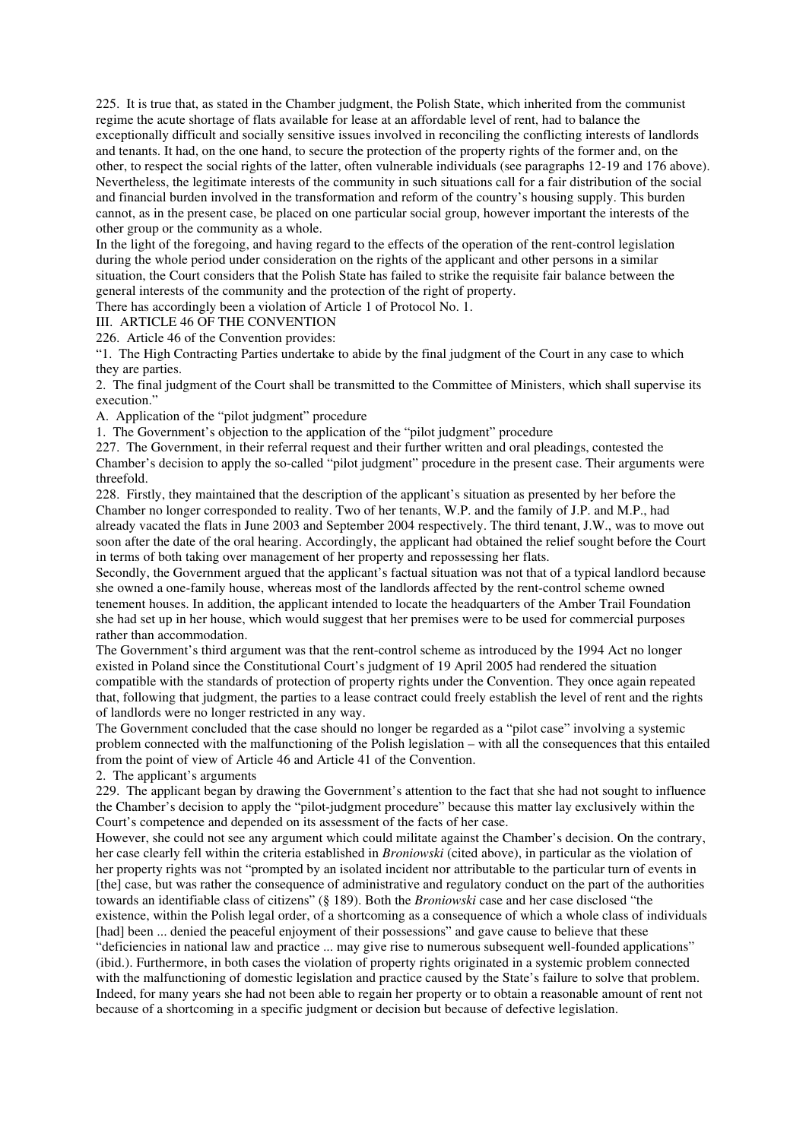225. It is true that, as stated in the Chamber judgment, the Polish State, which inherited from the communist regime the acute shortage of flats available for lease at an affordable level of rent, had to balance the exceptionally difficult and socially sensitive issues involved in reconciling the conflicting interests of landlords and tenants. It had, on the one hand, to secure the protection of the property rights of the former and, on the other, to respect the social rights of the latter, often vulnerable individuals (see paragraphs 12-19 and 176 above). Nevertheless, the legitimate interests of the community in such situations call for a fair distribution of the social and financial burden involved in the transformation and reform of the country's housing supply. This burden cannot, as in the present case, be placed on one particular social group, however important the interests of the other group or the community as a whole.

In the light of the foregoing, and having regard to the effects of the operation of the rent-control legislation during the whole period under consideration on the rights of the applicant and other persons in a similar situation, the Court considers that the Polish State has failed to strike the requisite fair balance between the general interests of the community and the protection of the right of property.

There has accordingly been a violation of Article 1 of Protocol No. 1.

### III. ARTICLE 46 OF THE CONVENTION

226. Article 46 of the Convention provides:

"1. The High Contracting Parties undertake to abide by the final judgment of the Court in any case to which they are parties.

2. The final judgment of the Court shall be transmitted to the Committee of Ministers, which shall supervise its execution."

A. Application of the "pilot judgment" procedure

1. The Government's objection to the application of the "pilot judgment" procedure

227. The Government, in their referral request and their further written and oral pleadings, contested the Chamber's decision to apply the so-called "pilot judgment" procedure in the present case. Their arguments were threefold.

228. Firstly, they maintained that the description of the applicant's situation as presented by her before the Chamber no longer corresponded to reality. Two of her tenants, W.P. and the family of J.P. and M.P., had already vacated the flats in June 2003 and September 2004 respectively. The third tenant, J.W., was to move out soon after the date of the oral hearing. Accordingly, the applicant had obtained the relief sought before the Court in terms of both taking over management of her property and repossessing her flats.

Secondly, the Government argued that the applicant's factual situation was not that of a typical landlord because she owned a one-family house, whereas most of the landlords affected by the rent-control scheme owned tenement houses. In addition, the applicant intended to locate the headquarters of the Amber Trail Foundation she had set up in her house, which would suggest that her premises were to be used for commercial purposes rather than accommodation.

The Government's third argument was that the rent-control scheme as introduced by the 1994 Act no longer existed in Poland since the Constitutional Court's judgment of 19 April 2005 had rendered the situation compatible with the standards of protection of property rights under the Convention. They once again repeated that, following that judgment, the parties to a lease contract could freely establish the level of rent and the rights of landlords were no longer restricted in any way.

The Government concluded that the case should no longer be regarded as a "pilot case" involving a systemic problem connected with the malfunctioning of the Polish legislation – with all the consequences that this entailed from the point of view of Article 46 and Article 41 of the Convention.

2. The applicant's arguments

229. The applicant began by drawing the Government's attention to the fact that she had not sought to influence the Chamber's decision to apply the "pilot-judgment procedure" because this matter lay exclusively within the Court's competence and depended on its assessment of the facts of her case.

However, she could not see any argument which could militate against the Chamber's decision. On the contrary, her case clearly fell within the criteria established in *Broniowski* (cited above), in particular as the violation of her property rights was not "prompted by an isolated incident nor attributable to the particular turn of events in [the] case, but was rather the consequence of administrative and regulatory conduct on the part of the authorities towards an identifiable class of citizens" (§ 189). Both the *Broniowski* case and her case disclosed "the existence, within the Polish legal order, of a shortcoming as a consequence of which a whole class of individuals [had] been ... denied the peaceful enjoyment of their possessions" and gave cause to believe that these "deficiencies in national law and practice ... may give rise to numerous subsequent well-founded applications" (ibid.). Furthermore, in both cases the violation of property rights originated in a systemic problem connected with the malfunctioning of domestic legislation and practice caused by the State's failure to solve that problem. Indeed, for many years she had not been able to regain her property or to obtain a reasonable amount of rent not because of a shortcoming in a specific judgment or decision but because of defective legislation.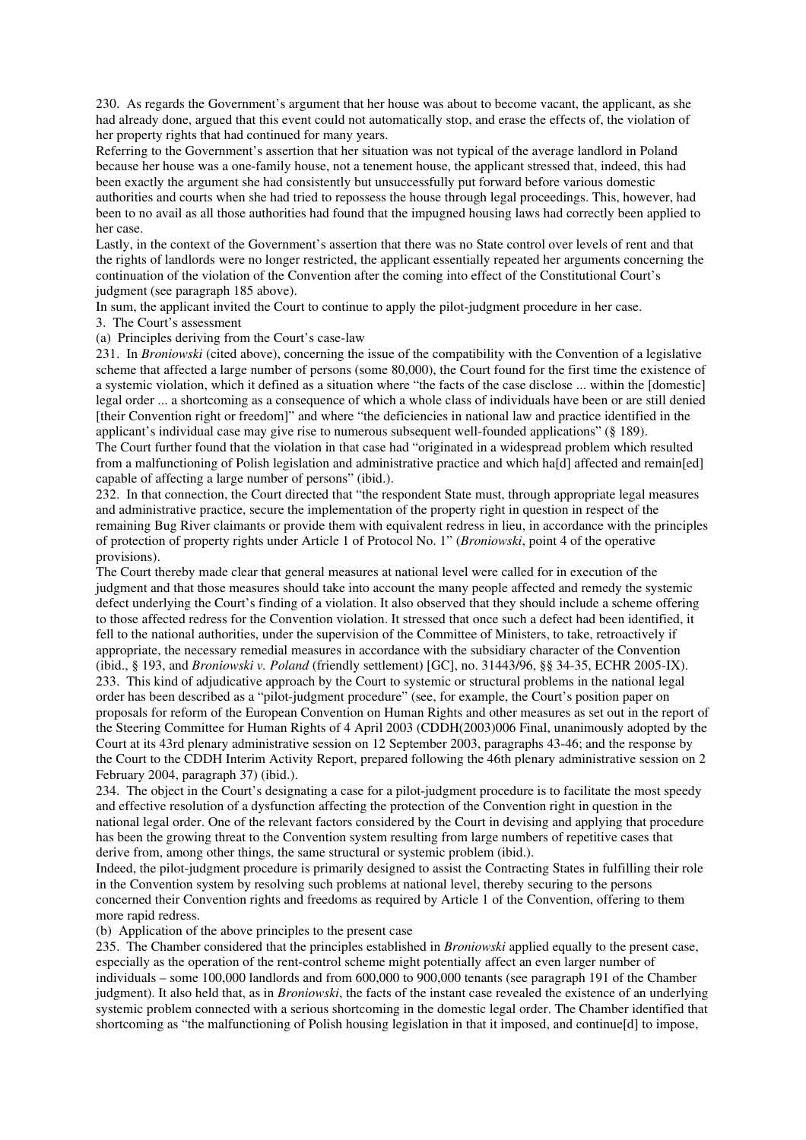230. As regards the Government's argument that her house was about to become vacant, the applicant, as she had already done, argued that this event could not automatically stop, and erase the effects of, the violation of her property rights that had continued for many years.

Referring to the Government's assertion that her situation was not typical of the average landlord in Poland because her house was a one-family house, not a tenement house, the applicant stressed that, indeed, this had been exactly the argument she had consistently but unsuccessfully put forward before various domestic authorities and courts when she had tried to repossess the house through legal proceedings. This, however, had been to no avail as all those authorities had found that the impugned housing laws had correctly been applied to her case.

Lastly, in the context of the Government's assertion that there was no State control over levels of rent and that the rights of landlords were no longer restricted, the applicant essentially repeated her arguments concerning the continuation of the violation of the Convention after the coming into effect of the Constitutional Court's judgment (see paragraph 185 above).

In sum, the applicant invited the Court to continue to apply the pilot-judgment procedure in her case.

3. The Court's assessment

(a) Principles deriving from the Court's case-law

231. In *Broniowski* (cited above), concerning the issue of the compatibility with the Convention of a legislative scheme that affected a large number of persons (some 80,000), the Court found for the first time the existence of a systemic violation, which it defined as a situation where "the facts of the case disclose ... within the [domestic] legal order ... a shortcoming as a consequence of which a whole class of individuals have been or are still denied [their Convention right or freedom]" and where "the deficiencies in national law and practice identified in the applicant's individual case may give rise to numerous subsequent well-founded applications" (§ 189). The Court further found that the violation in that case had "originated in a widespread problem which resulted from a malfunctioning of Polish legislation and administrative practice and which ha[d] affected and remain[ed] capable of affecting a large number of persons" (ibid.).

232. In that connection, the Court directed that "the respondent State must, through appropriate legal measures and administrative practice, secure the implementation of the property right in question in respect of the remaining Bug River claimants or provide them with equivalent redress in lieu, in accordance with the principles of protection of property rights under Article 1 of Protocol No. 1" (*Broniowski*, point 4 of the operative provisions).

The Court thereby made clear that general measures at national level were called for in execution of the judgment and that those measures should take into account the many people affected and remedy the systemic defect underlying the Court's finding of a violation. It also observed that they should include a scheme offering to those affected redress for the Convention violation. It stressed that once such a defect had been identified, it fell to the national authorities, under the supervision of the Committee of Ministers, to take, retroactively if appropriate, the necessary remedial measures in accordance with the subsidiary character of the Convention (ibid., § 193, and *Broniowski v. Poland* (friendly settlement) [GC], no. 31443/96, §§ 34-35, ECHR 2005-IX). 233. This kind of adjudicative approach by the Court to systemic or structural problems in the national legal order has been described as a "pilot-judgment procedure" (see, for example, the Court's position paper on proposals for reform of the European Convention on Human Rights and other measures as set out in the report of the Steering Committee for Human Rights of 4 April 2003 (CDDH(2003)006 Final, unanimously adopted by the Court at its 43rd plenary administrative session on 12 September 2003, paragraphs 43-46; and the response by the Court to the CDDH Interim Activity Report, prepared following the 46th plenary administrative session on 2 February 2004, paragraph 37) (ibid.).

234. The object in the Court's designating a case for a pilot-judgment procedure is to facilitate the most speedy and effective resolution of a dysfunction affecting the protection of the Convention right in question in the national legal order. One of the relevant factors considered by the Court in devising and applying that procedure has been the growing threat to the Convention system resulting from large numbers of repetitive cases that derive from, among other things, the same structural or systemic problem (ibid.).

Indeed, the pilot-judgment procedure is primarily designed to assist the Contracting States in fulfilling their role in the Convention system by resolving such problems at national level, thereby securing to the persons concerned their Convention rights and freedoms as required by Article 1 of the Convention, offering to them more rapid redress.

(b) Application of the above principles to the present case

235. The Chamber considered that the principles established in *Broniowski* applied equally to the present case, especially as the operation of the rent-control scheme might potentially affect an even larger number of individuals – some 100,000 landlords and from 600,000 to 900,000 tenants (see paragraph 191 of the Chamber judgment). It also held that, as in *Broniowski*, the facts of the instant case revealed the existence of an underlying systemic problem connected with a serious shortcoming in the domestic legal order. The Chamber identified that shortcoming as "the malfunctioning of Polish housing legislation in that it imposed, and continue[d] to impose,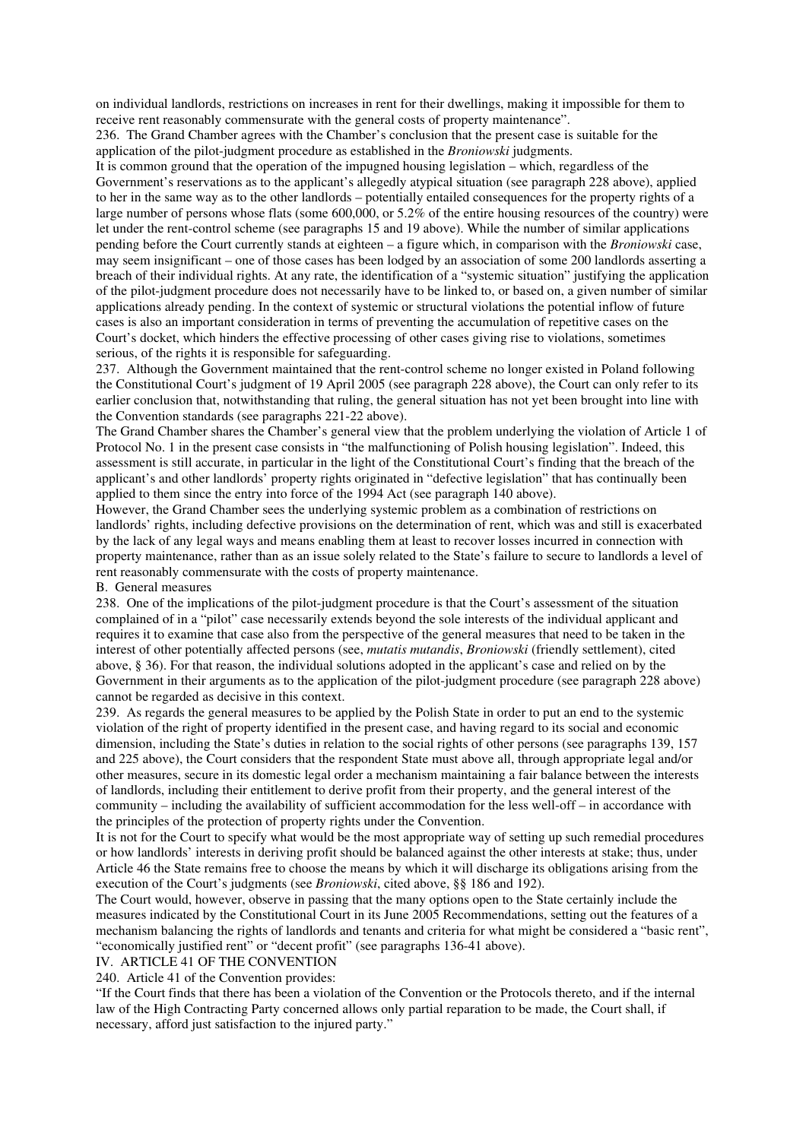on individual landlords, restrictions on increases in rent for their dwellings, making it impossible for them to receive rent reasonably commensurate with the general costs of property maintenance".

236. The Grand Chamber agrees with the Chamber's conclusion that the present case is suitable for the application of the pilot-judgment procedure as established in the *Broniowski* judgments.

It is common ground that the operation of the impugned housing legislation – which, regardless of the Government's reservations as to the applicant's allegedly atypical situation (see paragraph 228 above), applied to her in the same way as to the other landlords – potentially entailed consequences for the property rights of a large number of persons whose flats (some 600,000, or 5.2% of the entire housing resources of the country) were let under the rent-control scheme (see paragraphs 15 and 19 above). While the number of similar applications pending before the Court currently stands at eighteen – a figure which, in comparison with the *Broniowski* case, may seem insignificant – one of those cases has been lodged by an association of some 200 landlords asserting a breach of their individual rights. At any rate, the identification of a "systemic situation" justifying the application of the pilot-judgment procedure does not necessarily have to be linked to, or based on, a given number of similar applications already pending. In the context of systemic or structural violations the potential inflow of future cases is also an important consideration in terms of preventing the accumulation of repetitive cases on the Court's docket, which hinders the effective processing of other cases giving rise to violations, sometimes serious, of the rights it is responsible for safeguarding.

237. Although the Government maintained that the rent-control scheme no longer existed in Poland following the Constitutional Court's judgment of 19 April 2005 (see paragraph 228 above), the Court can only refer to its earlier conclusion that, notwithstanding that ruling, the general situation has not yet been brought into line with the Convention standards (see paragraphs 221-22 above).

The Grand Chamber shares the Chamber's general view that the problem underlying the violation of Article 1 of Protocol No. 1 in the present case consists in "the malfunctioning of Polish housing legislation". Indeed, this assessment is still accurate, in particular in the light of the Constitutional Court's finding that the breach of the applicant's and other landlords' property rights originated in "defective legislation" that has continually been applied to them since the entry into force of the 1994 Act (see paragraph 140 above).

However, the Grand Chamber sees the underlying systemic problem as a combination of restrictions on landlords' rights, including defective provisions on the determination of rent, which was and still is exacerbated by the lack of any legal ways and means enabling them at least to recover losses incurred in connection with property maintenance, rather than as an issue solely related to the State's failure to secure to landlords a level of rent reasonably commensurate with the costs of property maintenance.

## B. General measures

238. One of the implications of the pilot-judgment procedure is that the Court's assessment of the situation complained of in a "pilot" case necessarily extends beyond the sole interests of the individual applicant and requires it to examine that case also from the perspective of the general measures that need to be taken in the interest of other potentially affected persons (see, *mutatis mutandis*, *Broniowski* (friendly settlement), cited above, § 36). For that reason, the individual solutions adopted in the applicant's case and relied on by the Government in their arguments as to the application of the pilot-judgment procedure (see paragraph 228 above) cannot be regarded as decisive in this context.

239. As regards the general measures to be applied by the Polish State in order to put an end to the systemic violation of the right of property identified in the present case, and having regard to its social and economic dimension, including the State's duties in relation to the social rights of other persons (see paragraphs 139, 157 and 225 above), the Court considers that the respondent State must above all, through appropriate legal and/or other measures, secure in its domestic legal order a mechanism maintaining a fair balance between the interests of landlords, including their entitlement to derive profit from their property, and the general interest of the community – including the availability of sufficient accommodation for the less well-off – in accordance with the principles of the protection of property rights under the Convention.

It is not for the Court to specify what would be the most appropriate way of setting up such remedial procedures or how landlords' interests in deriving profit should be balanced against the other interests at stake; thus, under Article 46 the State remains free to choose the means by which it will discharge its obligations arising from the execution of the Court's judgments (see *Broniowski*, cited above, §§ 186 and 192).

The Court would, however, observe in passing that the many options open to the State certainly include the measures indicated by the Constitutional Court in its June 2005 Recommendations, setting out the features of a mechanism balancing the rights of landlords and tenants and criteria for what might be considered a "basic rent", "economically justified rent" or "decent profit" (see paragraphs 136-41 above).

#### IV. ARTICLE 41 OF THE CONVENTION

240. Article 41 of the Convention provides:

"If the Court finds that there has been a violation of the Convention or the Protocols thereto, and if the internal law of the High Contracting Party concerned allows only partial reparation to be made, the Court shall, if necessary, afford just satisfaction to the injured party."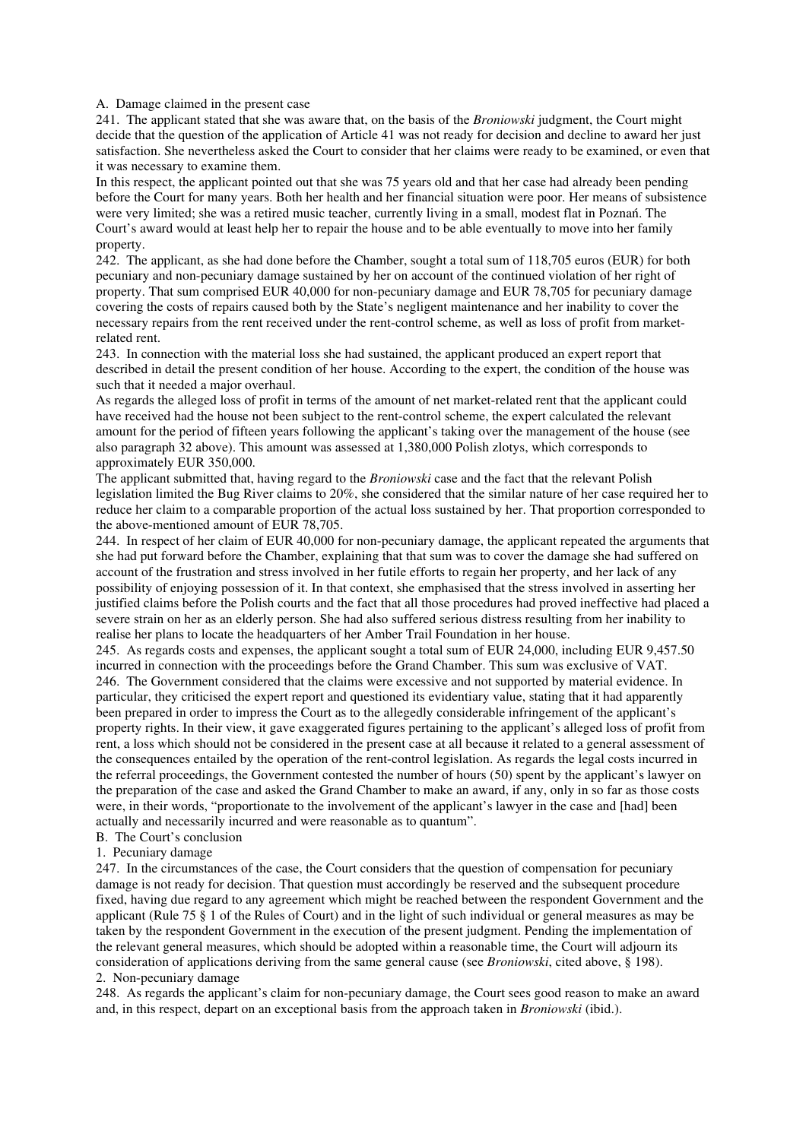## A. Damage claimed in the present case

241. The applicant stated that she was aware that, on the basis of the *Broniowski* judgment, the Court might decide that the question of the application of Article 41 was not ready for decision and decline to award her just satisfaction. She nevertheless asked the Court to consider that her claims were ready to be examined, or even that it was necessary to examine them.

In this respect, the applicant pointed out that she was 75 years old and that her case had already been pending before the Court for many years. Both her health and her financial situation were poor. Her means of subsistence were very limited; she was a retired music teacher, currently living in a small, modest flat in Poznań. The Court's award would at least help her to repair the house and to be able eventually to move into her family property.

242. The applicant, as she had done before the Chamber, sought a total sum of 118,705 euros (EUR) for both pecuniary and non-pecuniary damage sustained by her on account of the continued violation of her right of property. That sum comprised EUR 40,000 for non-pecuniary damage and EUR 78,705 for pecuniary damage covering the costs of repairs caused both by the State's negligent maintenance and her inability to cover the necessary repairs from the rent received under the rent-control scheme, as well as loss of profit from marketrelated rent.

243. In connection with the material loss she had sustained, the applicant produced an expert report that described in detail the present condition of her house. According to the expert, the condition of the house was such that it needed a major overhaul.

As regards the alleged loss of profit in terms of the amount of net market-related rent that the applicant could have received had the house not been subject to the rent-control scheme, the expert calculated the relevant amount for the period of fifteen years following the applicant's taking over the management of the house (see also paragraph 32 above). This amount was assessed at 1,380,000 Polish zlotys, which corresponds to approximately EUR 350,000.

The applicant submitted that, having regard to the *Broniowski* case and the fact that the relevant Polish legislation limited the Bug River claims to 20%, she considered that the similar nature of her case required her to reduce her claim to a comparable proportion of the actual loss sustained by her. That proportion corresponded to the above-mentioned amount of EUR 78,705.

244. In respect of her claim of EUR 40,000 for non-pecuniary damage, the applicant repeated the arguments that she had put forward before the Chamber, explaining that that sum was to cover the damage she had suffered on account of the frustration and stress involved in her futile efforts to regain her property, and her lack of any possibility of enjoying possession of it. In that context, she emphasised that the stress involved in asserting her justified claims before the Polish courts and the fact that all those procedures had proved ineffective had placed a severe strain on her as an elderly person. She had also suffered serious distress resulting from her inability to realise her plans to locate the headquarters of her Amber Trail Foundation in her house.

245. As regards costs and expenses, the applicant sought a total sum of EUR 24,000, including EUR 9,457.50 incurred in connection with the proceedings before the Grand Chamber. This sum was exclusive of VAT. 246. The Government considered that the claims were excessive and not supported by material evidence. In particular, they criticised the expert report and questioned its evidentiary value, stating that it had apparently been prepared in order to impress the Court as to the allegedly considerable infringement of the applicant's property rights. In their view, it gave exaggerated figures pertaining to the applicant's alleged loss of profit from rent, a loss which should not be considered in the present case at all because it related to a general assessment of the consequences entailed by the operation of the rent-control legislation. As regards the legal costs incurred in the referral proceedings, the Government contested the number of hours (50) spent by the applicant's lawyer on the preparation of the case and asked the Grand Chamber to make an award, if any, only in so far as those costs were, in their words, "proportionate to the involvement of the applicant's lawyer in the case and [had] been actually and necessarily incurred and were reasonable as to quantum".

# B. The Court's conclusion

## 1. Pecuniary damage

247. In the circumstances of the case, the Court considers that the question of compensation for pecuniary damage is not ready for decision. That question must accordingly be reserved and the subsequent procedure fixed, having due regard to any agreement which might be reached between the respondent Government and the applicant (Rule 75 § 1 of the Rules of Court) and in the light of such individual or general measures as may be taken by the respondent Government in the execution of the present judgment. Pending the implementation of the relevant general measures, which should be adopted within a reasonable time, the Court will adjourn its consideration of applications deriving from the same general cause (see *Broniowski*, cited above, § 198). 2. Non-pecuniary damage

248. As regards the applicant's claim for non-pecuniary damage, the Court sees good reason to make an award and, in this respect, depart on an exceptional basis from the approach taken in *Broniowski* (ibid.).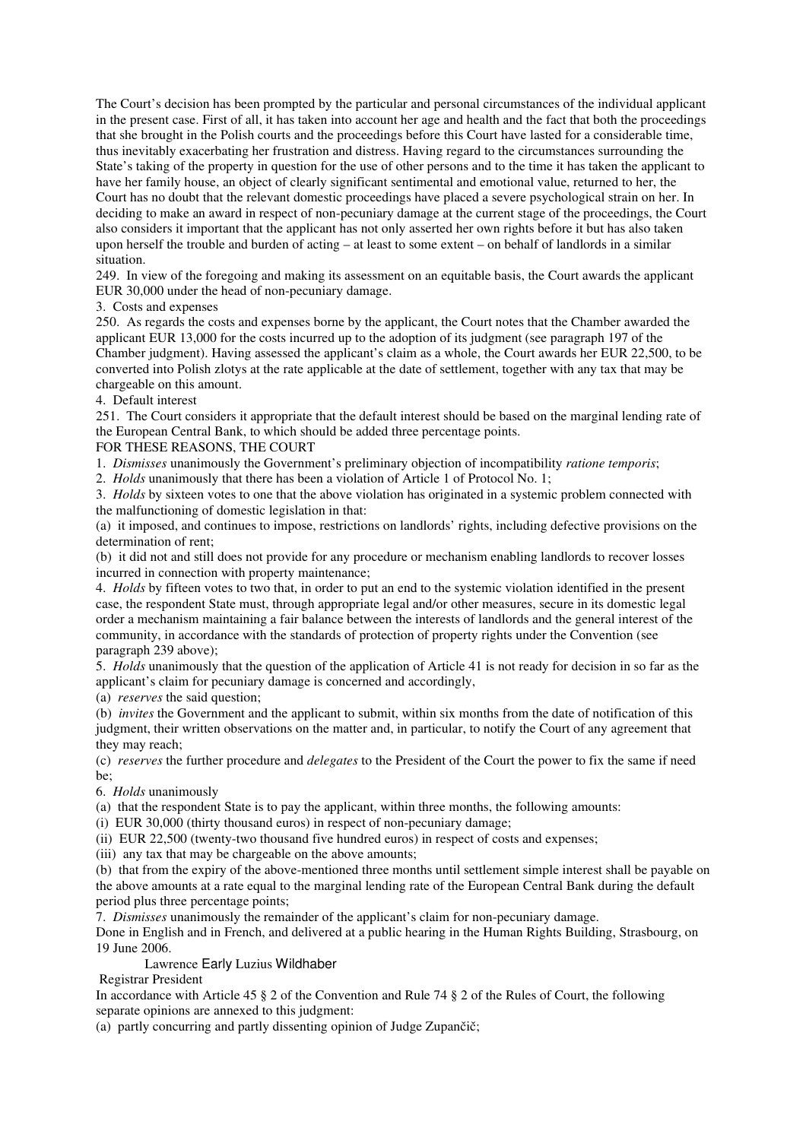The Court's decision has been prompted by the particular and personal circumstances of the individual applicant in the present case. First of all, it has taken into account her age and health and the fact that both the proceedings that she brought in the Polish courts and the proceedings before this Court have lasted for a considerable time, thus inevitably exacerbating her frustration and distress. Having regard to the circumstances surrounding the State's taking of the property in question for the use of other persons and to the time it has taken the applicant to have her family house, an object of clearly significant sentimental and emotional value, returned to her, the Court has no doubt that the relevant domestic proceedings have placed a severe psychological strain on her. In deciding to make an award in respect of non-pecuniary damage at the current stage of the proceedings, the Court also considers it important that the applicant has not only asserted her own rights before it but has also taken upon herself the trouble and burden of acting – at least to some extent – on behalf of landlords in a similar situation.

249. In view of the foregoing and making its assessment on an equitable basis, the Court awards the applicant EUR 30,000 under the head of non-pecuniary damage.

3. Costs and expenses

250. As regards the costs and expenses borne by the applicant, the Court notes that the Chamber awarded the applicant EUR 13,000 for the costs incurred up to the adoption of its judgment (see paragraph 197 of the Chamber judgment). Having assessed the applicant's claim as a whole, the Court awards her EUR 22,500, to be converted into Polish zlotys at the rate applicable at the date of settlement, together with any tax that may be chargeable on this amount.

4. Default interest

251. The Court considers it appropriate that the default interest should be based on the marginal lending rate of the European Central Bank, to which should be added three percentage points.

### FOR THESE REASONS, THE COURT

1. *Dismisses* unanimously the Government's preliminary objection of incompatibility *ratione temporis*;

2. *Holds* unanimously that there has been a violation of Article 1 of Protocol No. 1;

3. *Holds* by sixteen votes to one that the above violation has originated in a systemic problem connected with the malfunctioning of domestic legislation in that:

(a) it imposed, and continues to impose, restrictions on landlords' rights, including defective provisions on the determination of rent;

(b) it did not and still does not provide for any procedure or mechanism enabling landlords to recover losses incurred in connection with property maintenance;

4. *Holds* by fifteen votes to two that, in order to put an end to the systemic violation identified in the present case, the respondent State must, through appropriate legal and/or other measures, secure in its domestic legal order a mechanism maintaining a fair balance between the interests of landlords and the general interest of the community, in accordance with the standards of protection of property rights under the Convention (see paragraph 239 above);

5. *Holds* unanimously that the question of the application of Article 41 is not ready for decision in so far as the applicant's claim for pecuniary damage is concerned and accordingly,

(a) *reserves* the said question;

(b) *invites* the Government and the applicant to submit, within six months from the date of notification of this judgment, their written observations on the matter and, in particular, to notify the Court of any agreement that they may reach;

(c) *reserves* the further procedure and *delegates* to the President of the Court the power to fix the same if need be;

6. *Holds* unanimously

(a) that the respondent State is to pay the applicant, within three months, the following amounts:

(i) EUR 30,000 (thirty thousand euros) in respect of non-pecuniary damage;

(ii) EUR 22,500 (twenty-two thousand five hundred euros) in respect of costs and expenses;

(iii) any tax that may be chargeable on the above amounts;

(b) that from the expiry of the above-mentioned three months until settlement simple interest shall be payable on the above amounts at a rate equal to the marginal lending rate of the European Central Bank during the default period plus three percentage points;

7. *Dismisses* unanimously the remainder of the applicant's claim for non-pecuniary damage.

Done in English and in French, and delivered at a public hearing in the Human Rights Building, Strasbourg, on 19 June 2006.

Lawrence Early Luzius Wildhaber

Registrar President

In accordance with Article 45 § 2 of the Convention and Rule 74 § 2 of the Rules of Court, the following separate opinions are annexed to this judgment:

(a) partly concurring and partly dissenting opinion of Judge Zupančič;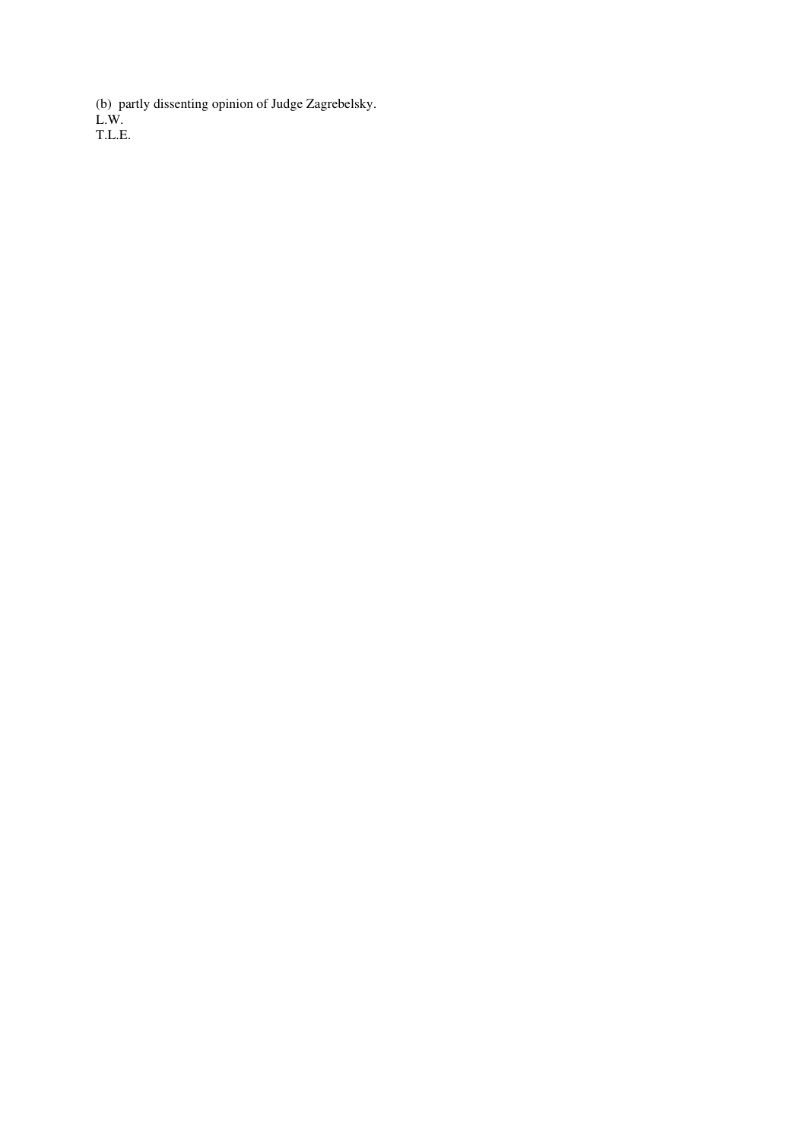(b) partly dissenting opinion of Judge Zagrebelsky. L.W. T.L.E.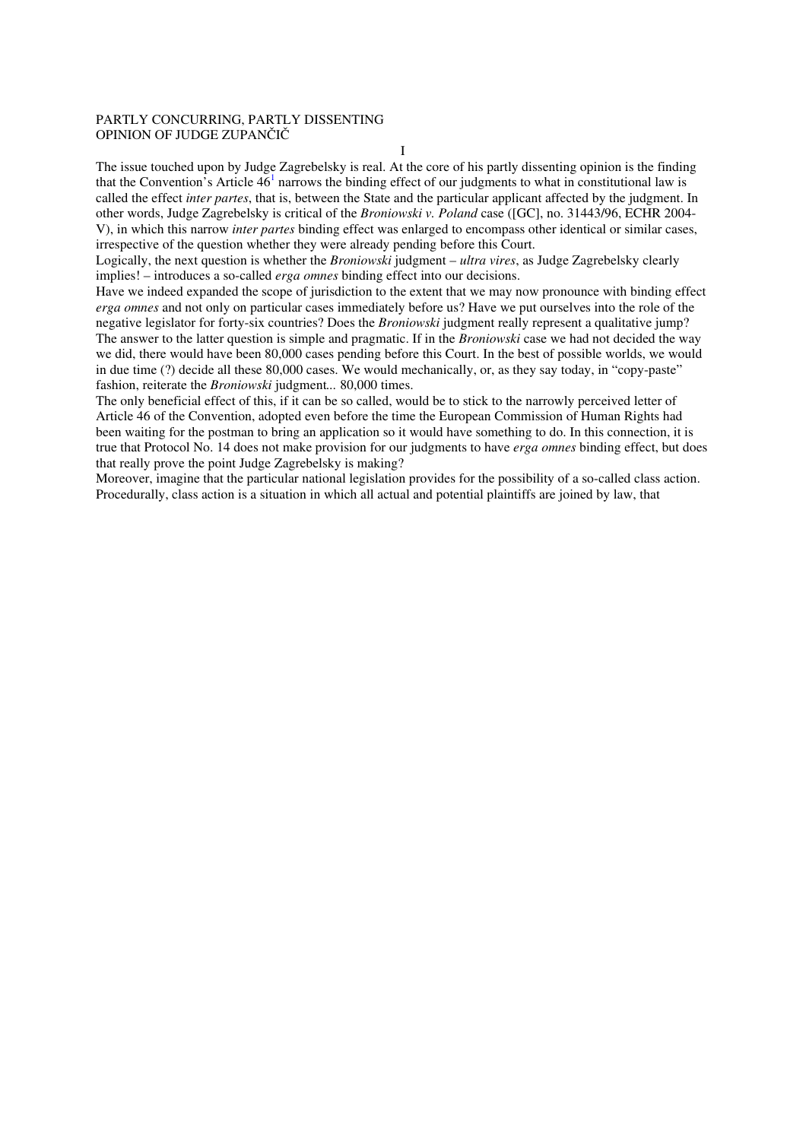### PARTLY CONCURRING, PARTLY DISSENTING OPINION OF JUDGE ZUPANČIČ

I

The issue touched upon by Judge Zagrebelsky is real. At the core of his partly dissenting opinion is the finding that the Convention's Article  $46<sup>1</sup>$  narrows the binding effect of our judgments to what in constitutional law is called the effect *inter partes*, that is, between the State and the particular applicant affected by the judgment. In other words, Judge Zagrebelsky is critical of the *Broniowski v. Poland* case ([GC], no. 31443/96, ECHR 2004- V), in which this narrow *inter partes* binding effect was enlarged to encompass other identical or similar cases, irrespective of the question whether they were already pending before this Court.

Logically, the next question is whether the *Broniowski* judgment – *ultra vires*, as Judge Zagrebelsky clearly implies! – introduces a so-called *erga omnes* binding effect into our decisions.

Have we indeed expanded the scope of jurisdiction to the extent that we may now pronounce with binding effect *erga omnes* and not only on particular cases immediately before us? Have we put ourselves into the role of the negative legislator for forty-six countries? Does the *Broniowski* judgment really represent a qualitative jump? The answer to the latter question is simple and pragmatic. If in the *Broniowski* case we had not decided the way we did, there would have been 80,000 cases pending before this Court. In the best of possible worlds, we would in due time (?) decide all these 80,000 cases. We would mechanically, or, as they say today, in "copy-paste" fashion, reiterate the *Broniowski* judgment*...* 80,000 times.

The only beneficial effect of this, if it can be so called, would be to stick to the narrowly perceived letter of Article 46 of the Convention, adopted even before the time the European Commission of Human Rights had been waiting for the postman to bring an application so it would have something to do. In this connection, it is true that Protocol No. 14 does not make provision for our judgments to have *erga omnes* binding effect, but does that really prove the point Judge Zagrebelsky is making?

Moreover, imagine that the particular national legislation provides for the possibility of a so-called class action. Procedurally, class action is a situation in which all actual and potential plaintiffs are joined by law, that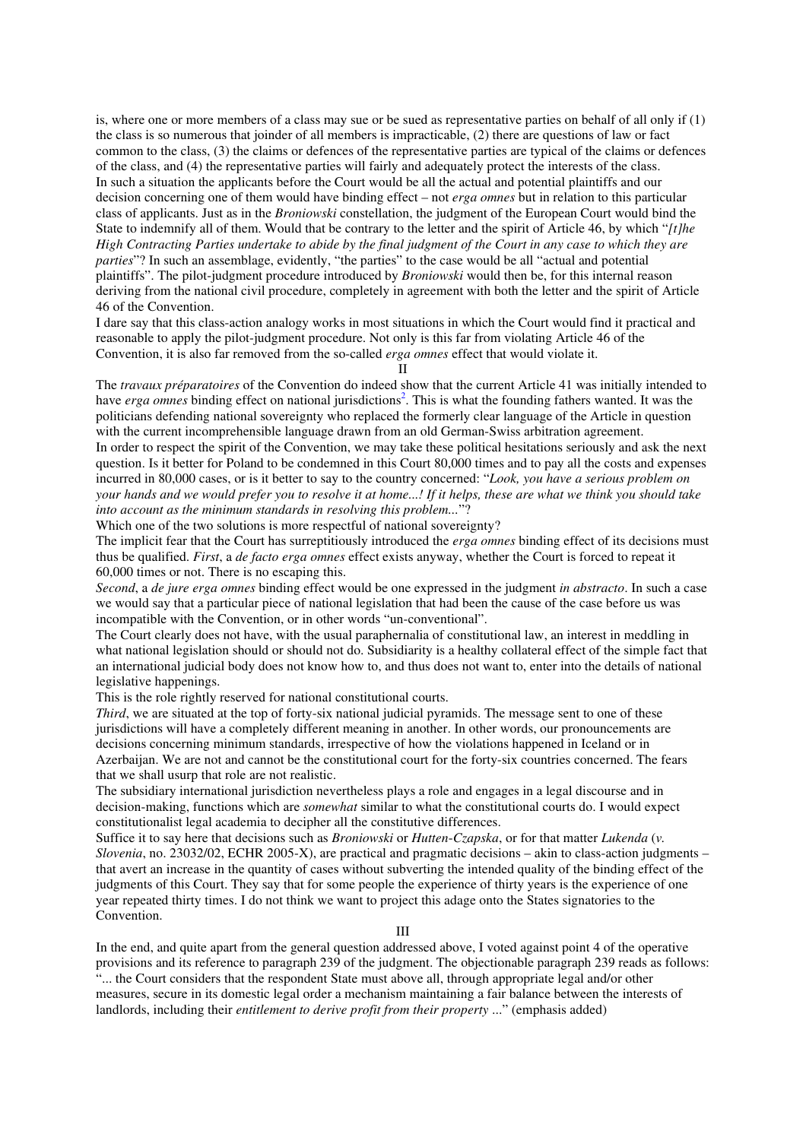is, where one or more members of a class may sue or be sued as representative parties on behalf of all only if (1) the class is so numerous that joinder of all members is impracticable, (2) there are questions of law or fact common to the class, (3) the claims or defences of the representative parties are typical of the claims or defences of the class, and (4) the representative parties will fairly and adequately protect the interests of the class. In such a situation the applicants before the Court would be all the actual and potential plaintiffs and our decision concerning one of them would have binding effect – not *erga omnes* but in relation to this particular class of applicants. Just as in the *Broniowski* constellation, the judgment of the European Court would bind the State to indemnify all of them. Would that be contrary to the letter and the spirit of Article 46, by which "*[t]he High Contracting Parties undertake to abide by the final judgment of the Court in any case to which they are parties*"? In such an assemblage, evidently, "the parties" to the case would be all "actual and potential plaintiffs". The pilot-judgment procedure introduced by *Broniowski* would then be, for this internal reason deriving from the national civil procedure, completely in agreement with both the letter and the spirit of Article 46 of the Convention.

I dare say that this class-action analogy works in most situations in which the Court would find it practical and reasonable to apply the pilot-judgment procedure. Not only is this far from violating Article 46 of the Convention, it is also far removed from the so-called *erga omnes* effect that would violate it.

II

The *travaux préparatoires* of the Convention do indeed show that the current Article 41 was initially intended to have erga omnes binding effect on national jurisdictions<sup>2</sup>. This is what the founding fathers wanted. It was the politicians defending national sovereignty who replaced the formerly clear language of the Article in question with the current incomprehensible language drawn from an old German-Swiss arbitration agreement. In order to respect the spirit of the Convention, we may take these political hesitations seriously and ask the next question. Is it better for Poland to be condemned in this Court 80,000 times and to pay all the costs and expenses incurred in 80,000 cases, or is it better to say to the country concerned: "*Look, you have a serious problem on your hands and we would prefer you to resolve it at home...! If it helps, these are what we think you should take into account as the minimum standards in resolving this problem...*"?

Which one of the two solutions is more respectful of national sovereignty?

The implicit fear that the Court has surreptitiously introduced the *erga omnes* binding effect of its decisions must thus be qualified. *First*, a *de facto erga omnes* effect exists anyway, whether the Court is forced to repeat it 60,000 times or not. There is no escaping this.

*Second*, a *de jure erga omnes* binding effect would be one expressed in the judgment *in abstracto*. In such a case we would say that a particular piece of national legislation that had been the cause of the case before us was incompatible with the Convention, or in other words "un-conventional".

The Court clearly does not have, with the usual paraphernalia of constitutional law, an interest in meddling in what national legislation should or should not do. Subsidiarity is a healthy collateral effect of the simple fact that an international judicial body does not know how to, and thus does not want to, enter into the details of national legislative happenings.

This is the role rightly reserved for national constitutional courts.

*Third*, we are situated at the top of forty-six national judicial pyramids. The message sent to one of these jurisdictions will have a completely different meaning in another. In other words, our pronouncements are decisions concerning minimum standards, irrespective of how the violations happened in Iceland or in Azerbaijan. We are not and cannot be the constitutional court for the forty-six countries concerned. The fears that we shall usurp that role are not realistic.

The subsidiary international jurisdiction nevertheless plays a role and engages in a legal discourse and in decision-making, functions which are *somewhat* similar to what the constitutional courts do. I would expect constitutionalist legal academia to decipher all the constitutive differences.

Suffice it to say here that decisions such as *Broniowski* or *Hutten*-*Czapska*, or for that matter *Lukenda* (*v. Slovenia*, no. 23032/02, ECHR 2005-X), are practical and pragmatic decisions – akin to class-action judgments – that avert an increase in the quantity of cases without subverting the intended quality of the binding effect of the judgments of this Court. They say that for some people the experience of thirty years is the experience of one year repeated thirty times. I do not think we want to project this adage onto the States signatories to the Convention.

III

In the end, and quite apart from the general question addressed above, I voted against point 4 of the operative provisions and its reference to paragraph 239 of the judgment. The objectionable paragraph 239 reads as follows: "... the Court considers that the respondent State must above all, through appropriate legal and/or other measures, secure in its domestic legal order a mechanism maintaining a fair balance between the interests of landlords, including their *entitlement to derive profit from their property* ..." (emphasis added)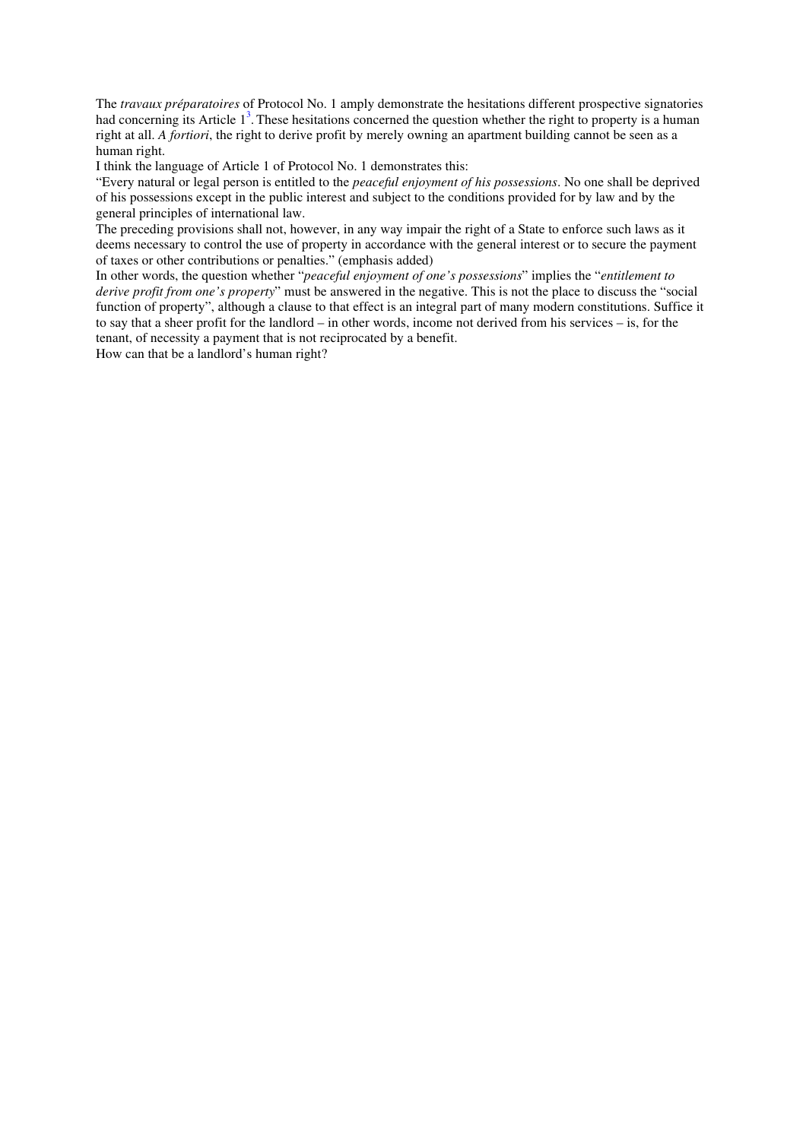The *travaux préparatoires* of Protocol No. 1 amply demonstrate the hesitations different prospective signatories had concerning its Article  $1<sup>3</sup>$ . These hesitations concerned the question whether the right to property is a human right at all. *A fortiori*, the right to derive profit by merely owning an apartment building cannot be seen as a human right.

I think the language of Article 1 of Protocol No. 1 demonstrates this:

"Every natural or legal person is entitled to the *peaceful enjoyment of his possessions*. No one shall be deprived of his possessions except in the public interest and subject to the conditions provided for by law and by the general principles of international law.

The preceding provisions shall not, however, in any way impair the right of a State to enforce such laws as it deems necessary to control the use of property in accordance with the general interest or to secure the payment of taxes or other contributions or penalties." (emphasis added)

In other words, the question whether "*peaceful enjoyment of one's possessions*" implies the "*entitlement to derive profit from one's property*" must be answered in the negative. This is not the place to discuss the "social function of property", although a clause to that effect is an integral part of many modern constitutions. Suffice it to say that a sheer profit for the landlord – in other words, income not derived from his services – is, for the tenant, of necessity a payment that is not reciprocated by a benefit.

How can that be a landlord's human right?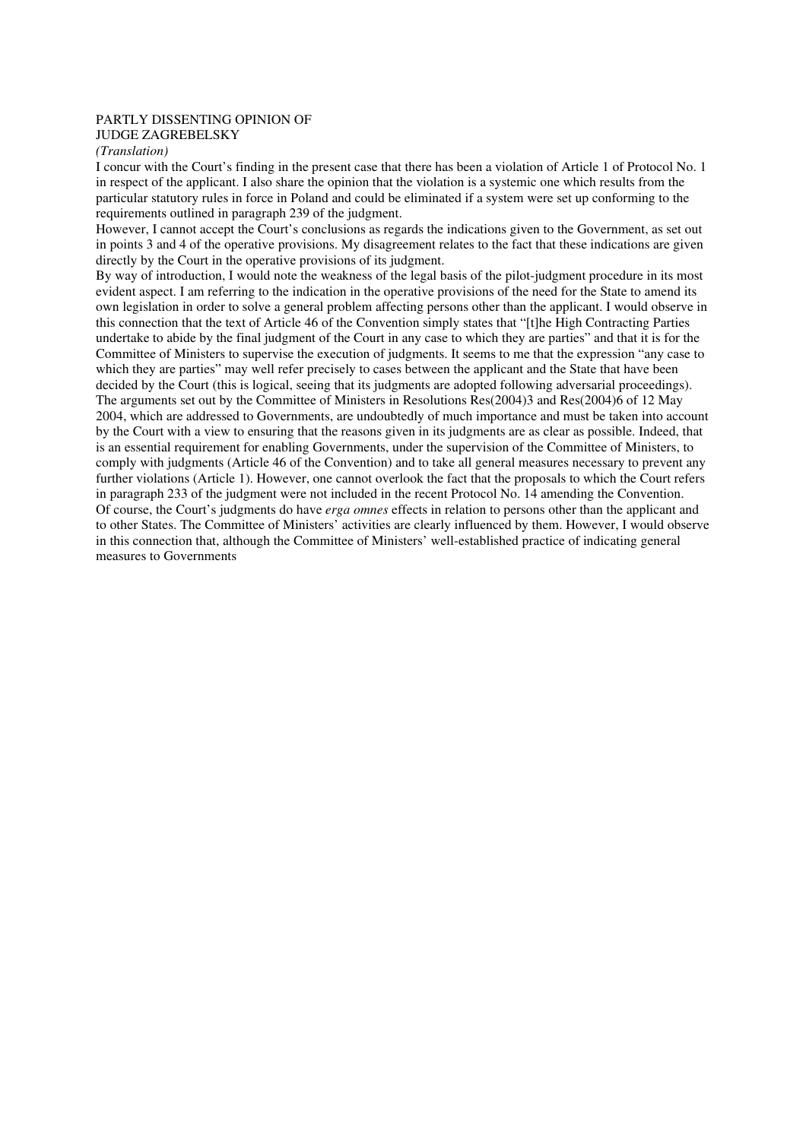### PARTLY DISSENTING OPINION OF JUDGE ZAGREBELSKY

# *(Translation)*

I concur with the Court's finding in the present case that there has been a violation of Article 1 of Protocol No. 1 in respect of the applicant. I also share the opinion that the violation is a systemic one which results from the particular statutory rules in force in Poland and could be eliminated if a system were set up conforming to the requirements outlined in paragraph 239 of the judgment.

However, I cannot accept the Court's conclusions as regards the indications given to the Government, as set out in points 3 and 4 of the operative provisions. My disagreement relates to the fact that these indications are given directly by the Court in the operative provisions of its judgment.

By way of introduction, I would note the weakness of the legal basis of the pilot-judgment procedure in its most evident aspect. I am referring to the indication in the operative provisions of the need for the State to amend its own legislation in order to solve a general problem affecting persons other than the applicant. I would observe in this connection that the text of Article 46 of the Convention simply states that "[t]he High Contracting Parties undertake to abide by the final judgment of the Court in any case to which they are parties" and that it is for the Committee of Ministers to supervise the execution of judgments. It seems to me that the expression "any case to which they are parties" may well refer precisely to cases between the applicant and the State that have been decided by the Court (this is logical, seeing that its judgments are adopted following adversarial proceedings). The arguments set out by the Committee of Ministers in Resolutions Res(2004)3 and Res(2004)6 of 12 May 2004, which are addressed to Governments, are undoubtedly of much importance and must be taken into account by the Court with a view to ensuring that the reasons given in its judgments are as clear as possible. Indeed, that is an essential requirement for enabling Governments, under the supervision of the Committee of Ministers, to comply with judgments (Article 46 of the Convention) and to take all general measures necessary to prevent any further violations (Article 1). However, one cannot overlook the fact that the proposals to which the Court refers in paragraph 233 of the judgment were not included in the recent Protocol No. 14 amending the Convention. Of course, the Court's judgments do have *erga omnes* effects in relation to persons other than the applicant and to other States. The Committee of Ministers' activities are clearly influenced by them. However, I would observe in this connection that, although the Committee of Ministers' well-established practice of indicating general measures to Governments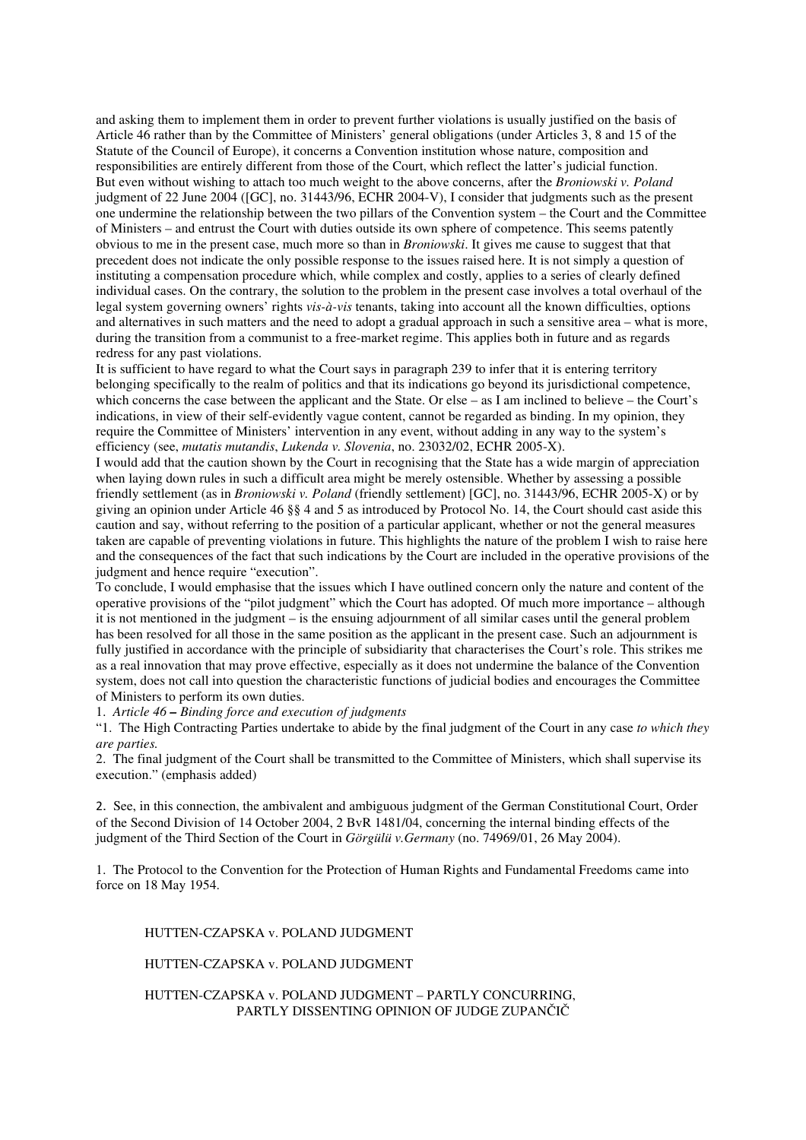and asking them to implement them in order to prevent further violations is usually justified on the basis of Article 46 rather than by the Committee of Ministers' general obligations (under Articles 3, 8 and 15 of the Statute of the Council of Europe), it concerns a Convention institution whose nature, composition and responsibilities are entirely different from those of the Court, which reflect the latter's judicial function. But even without wishing to attach too much weight to the above concerns, after the *Broniowski v. Poland* judgment of 22 June 2004 ([GC], no. 31443/96, ECHR 2004-V), I consider that judgments such as the present one undermine the relationship between the two pillars of the Convention system – the Court and the Committee of Ministers – and entrust the Court with duties outside its own sphere of competence. This seems patently obvious to me in the present case, much more so than in *Broniowski*. It gives me cause to suggest that that precedent does not indicate the only possible response to the issues raised here. It is not simply a question of instituting a compensation procedure which, while complex and costly, applies to a series of clearly defined individual cases. On the contrary, the solution to the problem in the present case involves a total overhaul of the legal system governing owners' rights *vis-à-vis* tenants, taking into account all the known difficulties, options and alternatives in such matters and the need to adopt a gradual approach in such a sensitive area – what is more, during the transition from a communist to a free-market regime. This applies both in future and as regards redress for any past violations.

It is sufficient to have regard to what the Court says in paragraph 239 to infer that it is entering territory belonging specifically to the realm of politics and that its indications go beyond its jurisdictional competence, which concerns the case between the applicant and the State. Or else – as I am inclined to believe – the Court's indications, in view of their self-evidently vague content, cannot be regarded as binding. In my opinion, they require the Committee of Ministers' intervention in any event, without adding in any way to the system's efficiency (see, *mutatis mutandis*, *Lukenda v. Slovenia*, no. 23032/02, ECHR 2005-X).

I would add that the caution shown by the Court in recognising that the State has a wide margin of appreciation when laying down rules in such a difficult area might be merely ostensible. Whether by assessing a possible friendly settlement (as in *Broniowski v. Poland* (friendly settlement) [GC], no. 31443/96, ECHR 2005-X) or by giving an opinion under Article 46 §§ 4 and 5 as introduced by Protocol No. 14, the Court should cast aside this caution and say, without referring to the position of a particular applicant, whether or not the general measures taken are capable of preventing violations in future. This highlights the nature of the problem I wish to raise here and the consequences of the fact that such indications by the Court are included in the operative provisions of the judgment and hence require "execution".

To conclude, I would emphasise that the issues which I have outlined concern only the nature and content of the operative provisions of the "pilot judgment" which the Court has adopted. Of much more importance – although it is not mentioned in the judgment – is the ensuing adjournment of all similar cases until the general problem has been resolved for all those in the same position as the applicant in the present case. Such an adjournment is fully justified in accordance with the principle of subsidiarity that characterises the Court's role. This strikes me as a real innovation that may prove effective, especially as it does not undermine the balance of the Convention system, does not call into question the characteristic functions of judicial bodies and encourages the Committee of Ministers to perform its own duties.

1. *Article 46 – Binding force and execution of judgments*

"1. The High Contracting Parties undertake to abide by the final judgment of the Court in any case *to which they are parties.*

2. The final judgment of the Court shall be transmitted to the Committee of Ministers, which shall supervise its execution." (emphasis added)

2. See, in this connection, the ambivalent and ambiguous judgment of the German Constitutional Court, Order of the Second Division of 14 October 2004, 2 BvR 1481/04, concerning the internal binding effects of the judgment of the Third Section of the Court in *Görgülü v.Germany* (no. 74969/01, 26 May 2004).

1. The Protocol to the Convention for the Protection of Human Rights and Fundamental Freedoms came into force on 18 May 1954.

HUTTEN-CZAPSKA v. POLAND JUDGMENT

HUTTEN-CZAPSKA v. POLAND JUDGMENT

HUTTEN-CZAPSKA v. POLAND JUDGMENT – PARTLY CONCURRING, PARTLY DISSENTING OPINION OF JUDGE ZUPANČIČ